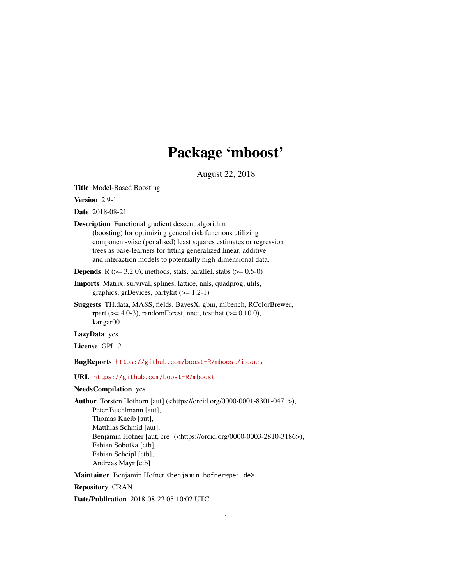# Package 'mboost'

August 22, 2018

<span id="page-0-0"></span>Title Model-Based Boosting

Version 2.9-1

Date 2018-08-21

Description Functional gradient descent algorithm (boosting) for optimizing general risk functions utilizing component-wise (penalised) least squares estimates or regression trees as base-learners for fitting generalized linear, additive and interaction models to potentially high-dimensional data.

**Depends** R  $(>= 3.2.0)$ , methods, stats, parallel, stabs  $(>= 0.5-0)$ 

- Imports Matrix, survival, splines, lattice, nnls, quadprog, utils, graphics, grDevices, partykit (>= 1.2-1)
- Suggests TH.data, MASS, fields, BayesX, gbm, mlbench, RColorBrewer, rpart ( $>= 4.0-3$ ), randomForest, nnet, test that ( $>= 0.10.0$ ), kangar00

LazyData yes

License GPL-2

BugReports <https://github.com/boost-R/mboost/issues>

URL <https://github.com/boost-R/mboost>

# NeedsCompilation yes

Author Torsten Hothorn [aut] (<https://orcid.org/0000-0001-8301-0471>), Peter Buehlmann [aut], Thomas Kneib [aut], Matthias Schmid [aut], Benjamin Hofner [aut, cre] (<https://orcid.org/0000-0003-2810-3186>), Fabian Sobotka [ctb], Fabian Scheipl [ctb], Andreas Mayr [ctb]

Maintainer Benjamin Hofner <benjamin.hofner@pei.de>

Repository CRAN

Date/Publication 2018-08-22 05:10:02 UTC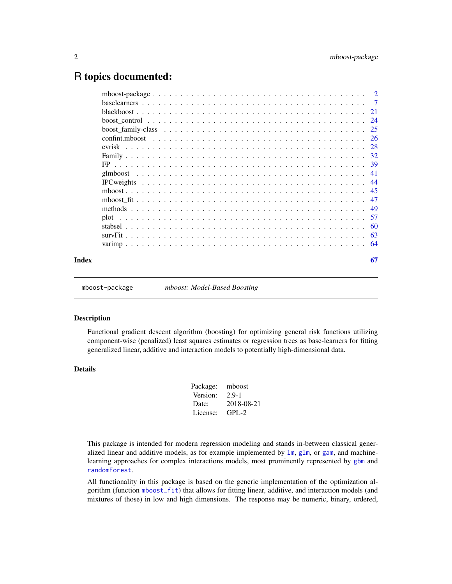# <span id="page-1-0"></span>R topics documented:

|       | 24   |
|-------|------|
|       | 25   |
|       | -26  |
|       | 28   |
|       |      |
|       |      |
|       | -41  |
|       |      |
|       |      |
|       |      |
|       | -49  |
|       | - 57 |
|       | 60   |
|       | 63   |
|       | -64  |
| Index | 67   |

mboost-package *mboost: Model-Based Boosting*

#### Description

Functional gradient descent algorithm (boosting) for optimizing general risk functions utilizing component-wise (penalized) least squares estimates or regression trees as base-learners for fitting generalized linear, additive and interaction models to potentially high-dimensional data.

# Details

| Package: | mboost     |
|----------|------------|
| Version: | $2.9-1$    |
| Date:    | 2018-08-21 |
| License: | $GPI - 2$  |
|          |            |

This package is intended for modern regression modeling and stands in-between classical generalized linear and additive models, as for example implemented by  $lm$ ,  $glm$ , or [gam](#page-0-0), and machinelearning approaches for complex interactions models, most prominently represented by [gbm](#page-0-0) and [randomForest](#page-0-0).

All functionality in this package is based on the generic implementation of the optimization algorithm (function [mboost\\_fit](#page-46-1)) that allows for fitting linear, additive, and interaction models (and mixtures of those) in low and high dimensions. The response may be numeric, binary, ordered,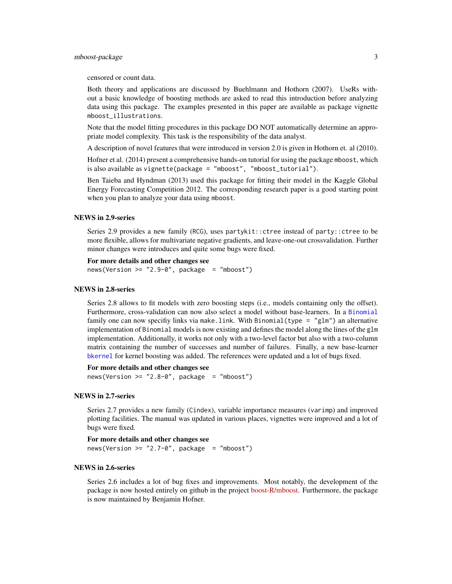# <span id="page-2-0"></span>mboost-package 3

censored or count data.

Both theory and applications are discussed by Buehlmann and Hothorn (2007). UseRs without a basic knowledge of boosting methods are asked to read this introduction before analyzing data using this package. The examples presented in this paper are available as package vignette mboost\_illustrations.

Note that the model fitting procedures in this package DO NOT automatically determine an appropriate model complexity. This task is the responsibility of the data analyst.

A description of novel features that were introduced in version 2.0 is given in Hothorn et. al (2010).

Hofner et al. (2014) present a comprehensive hands-on tutorial for using the package mboost, which is also available as vignette(package = "mboost", "mboost\_tutorial").

Ben Taieba and Hyndman (2013) used this package for fitting their model in the Kaggle Global Energy Forecasting Competition 2012. The corresponding research paper is a good starting point when you plan to analyze your data using mboost.

# NEWS in 2.9-series

Series 2.9 provides a new family (RCG), uses partykit::ctree instead of party::ctree to be more flexible, allows for multivariate negative gradients, and leave-one-out crossvalidation. Further minor changes were introduces and quite some bugs were fixed.

# For more details and other changes see

 $news(Version \geq "2.9-0", package = "mboost")$ 

# NEWS in 2.8-series

Series 2.8 allows to fit models with zero boosting steps (i.e., models containing only the offset). Furthermore, cross-validation can now also select a model without base-learners. In a [Binomial](#page-31-1) family one can now specifiy links via make.link. With Binomial (type = "glm") an alternative implementation of Binomial models is now existing and defines the model along the lines of the glm implementation. Additionally, it works not only with a two-level factor but also with a two-column matrix containing the number of successes and number of failures. Finally, a new base-learner [bkernel](#page-6-1) for kernel boosting was added. The references were updated and a lot of bugs fixed.

```
For more details and other changes see
news(Version \geq "2.8-0", package = "mboost")
```
# NEWS in 2.7-series

Series 2.7 provides a new family (Cindex), variable importance measures (varimp) and improved plotting facilities. The manual was updated in various places, vignettes were improved and a lot of bugs were fixed.

```
For more details and other changes see
news(Version >= "2.7-0", package = "mboost")
```
# NEWS in 2.6-series

Series 2.6 includes a lot of bug fixes and improvements. Most notably, the development of the package is now hosted entirely on github in the project [boost-R/mboost.](https://github.com/boost-R/mboost/) Furthermore, the package is now maintained by Benjamin Hofner.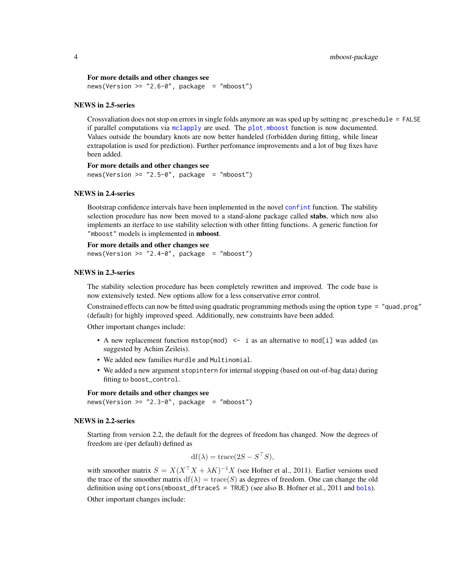<span id="page-3-0"></span>For more details and other changes see

news(Version >=  $"2.6-0"$ , package = "mboost")

# NEWS in 2.5-series

Crossvaliation does not stop on errors in single folds anymore an was sped up by setting mc.preschedule = FALSE if parallel computations via [mclapply](#page-0-0) are used. The [plot.mboost](#page-56-1) function is now documented. Values outside the boundary knots are now better handeled (forbidden during fitting, while linear extrapolation is used for prediction). Further perfomance improvements and a lot of bug fixes have been added.

For more details and other changes see  $news(Version \geq "2.5-0", package = "mboost")$ 

#### NEWS in 2.4-series

Bootstrap confidence intervals have been implemented in the novel [confint](#page-25-1) function. The stability selection procedure has now been moved to a stand-alone package called **stabs**, which now also implements an iterface to use stability selection with other fitting functions. A generic function for "mboost" models is implemented in mboost.

For more details and other changes see  $news(Version \geq "2.4-0", package = "mboost")$ 

#### NEWS in 2.3-series

The stability selection procedure has been completely rewritten and improved. The code base is now extensively tested. New options allow for a less conservative error control.

Constrained effects can now be fitted using quadratic programming methods using the option type = "quad.prog" (default) for highly improved speed. Additionally, new constraints have been added.

Other important changes include:

- A new replacement function mstop(mod)  $\leq -1$  is an alternative to mod[i] was added (as suggested by Achim Zeileis).
- We added new families Hurdle and Multinomial.
- We added a new argument stopintern for internal stopping (based on out-of-bag data) during fitting to boost\_control.

#### For more details and other changes see

```
news(Version \geq "2.3-0", package = "mboost")
```
#### NEWS in 2.2-series

Starting from version 2.2, the default for the degrees of freedom has changed. Now the degrees of freedom are (per default) defined as

$$
df(\lambda) = \text{trace}(2S - S^{\top}S),
$$

with smoother matrix  $S = X(X^{\top}X + \lambda K)^{-1}X$  (see Hofner et al., 2011). Earlier versions used the trace of the smoother matrix  $df(\lambda) = \text{trace}(S)$  as degrees of freedom. One can change the old definition using options(mboost\_dftraceS = TRUE) (see also B. Hofner et al., 2011 and [bols](#page-6-1)).

Other important changes include: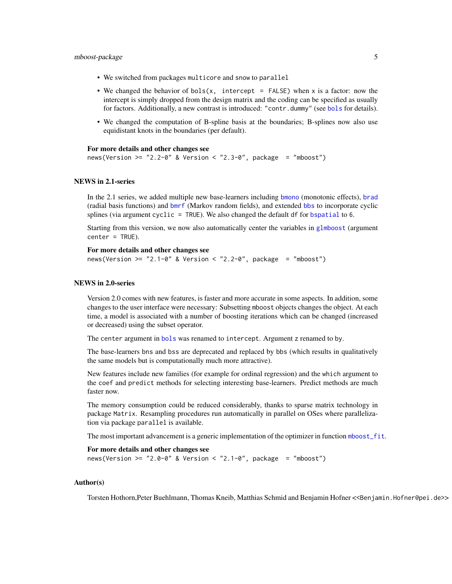- <span id="page-4-0"></span>• We switched from packages multicore and snow to parallel
- We changed the behavior of bols(x, intercept = FALSE) when x is a factor: now the intercept is simply dropped from the design matrix and the coding can be specified as usually for factors. Additionally, a new contrast is introduced: "contr.dummy" (see [bols](#page-6-1) for details).
- We changed the computation of B-spline basis at the boundaries; B-splines now also use equidistant knots in the boundaries (per default).

#### For more details and other changes see

news(Version  $>=$  "2.2-0" & Version  $<$  "2.3-0", package = "mboost")

# NEWS in 2.1-series

In the 2.1 series, we added multiple new base-learners including [bmono](#page-6-1) (monotonic effects), [brad](#page-6-1) (radial basis functions) and [bmrf](#page-6-1) (Markov random fields), and extended [bbs](#page-6-1) to incorporate cyclic splines (via argument cyclic = TRUE). We also changed the default df for [bspatial](#page-6-1) to 6.

Starting from this version, we now also automatically center the variables in [glmboost](#page-40-1) (argument center = TRUE).

#### For more details and other changes see

news(Version >= "2.1-0" & Version < "2.2-0", package = "mboost")

#### NEWS in 2.0-series

Version 2.0 comes with new features, is faster and more accurate in some aspects. In addition, some changes to the user interface were necessary: Subsetting mboost objects changes the object. At each time, a model is associated with a number of boosting iterations which can be changed (increased or decreased) using the subset operator.

The center argument in [bols](#page-6-1) was renamed to intercept. Argument z renamed to by.

The base-learners bns and bss are deprecated and replaced by bbs (which results in qualitatively the same models but is computationally much more attractive).

New features include new families (for example for ordinal regression) and the which argument to the coef and predict methods for selecting interesting base-learners. Predict methods are much faster now.

The memory consumption could be reduced considerably, thanks to sparse matrix technology in package Matrix. Resampling procedures run automatically in parallel on OSes where parallelization via package parallel is available.

The most important advancement is a generic implementation of the optimizer in function [mboost\\_fit](#page-46-1).

# For more details and other changes see news(Version >= "2.0-0" & Version < "2.1-0", package = "mboost")

#### Author(s)

Torsten Hothorn,Peter Buehlmann, Thomas Kneib, Matthias Schmid and Benjamin Hofner <<Benjamin.Hofner@pei.de>>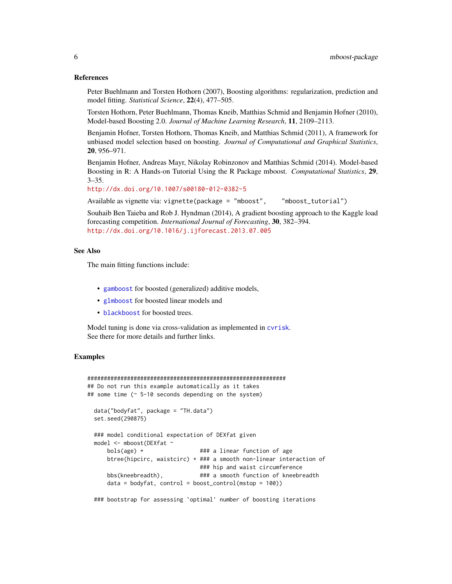### <span id="page-5-0"></span>References

Peter Buehlmann and Torsten Hothorn (2007), Boosting algorithms: regularization, prediction and model fitting. *Statistical Science*, 22(4), 477–505.

Torsten Hothorn, Peter Buehlmann, Thomas Kneib, Matthias Schmid and Benjamin Hofner (2010), Model-based Boosting 2.0. *Journal of Machine Learning Research*, 11, 2109–2113.

Benjamin Hofner, Torsten Hothorn, Thomas Kneib, and Matthias Schmid (2011), A framework for unbiased model selection based on boosting. *Journal of Computational and Graphical Statistics*, 20, 956–971.

Benjamin Hofner, Andreas Mayr, Nikolay Robinzonov and Matthias Schmid (2014). Model-based Boosting in R: A Hands-on Tutorial Using the R Package mboost. *Computational Statistics*, 29,  $3 - 35.$ 

<http://dx.doi.org/10.1007/s00180-012-0382-5>

Available as vignette via: vignette(package = "mboost", "mboost\_tutorial")

Souhaib Ben Taieba and Rob J. Hyndman (2014), A gradient boosting approach to the Kaggle load forecasting competition. *International Journal of Forecasting*, 30, 382–394. <http://dx.doi.org/10.1016/j.ijforecast.2013.07.005>

# See Also

The main fitting functions include:

- [gamboost](#page-44-1) for boosted (generalized) additive models,
- [glmboost](#page-40-1) for boosted linear models and
- [blackboost](#page-20-1) for boosted trees.

Model tuning is done via cross-validation as implemented in [cvrisk](#page-27-1). See there for more details and further links.

# Examples

```
############################################################
## Do not run this example automatically as it takes
## some time (~ 5-10 seconds depending on the system)
 data("bodyfat", package = "TH.data")
 set.seed(290875)
 ### model conditional expectation of DEXfat given
 model <- mboost(DEXfat ~
     bols(age) + \# \# a linear function of age
     btree(hipcirc, waistcirc) + ### a smooth non-linear interaction of
                                ### hip and waist circumference
     bbs(kneebreadth), ### a smooth function of kneebreadth
     data = bodyfat, control = boost_control(mstop = 100))
```
### bootstrap for assessing `optimal' number of boosting iterations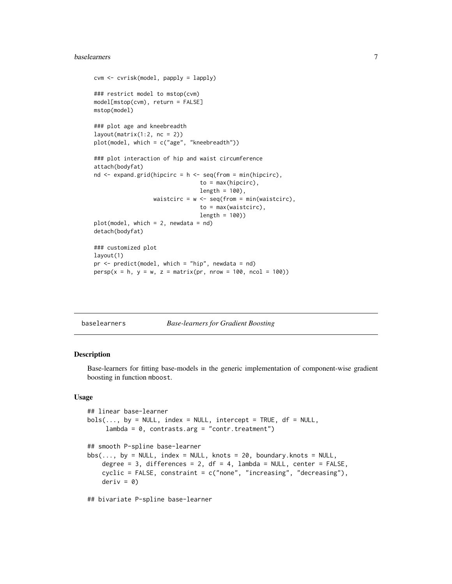#### <span id="page-6-0"></span>baselearners **7**

```
cvm <- cvrisk(model, papply = lapply)
### restrict model to mstop(cvm)
model[mstop(cvm), return = FALSE]
mstop(model)
### plot age and kneebreadth
layout(matrix(1:2, nc = 2))
plot(model, which = c("age", "kneebreadth"))
### plot interaction of hip and waist circumference
attach(bodyfat)
nd \leq expand.grid(hipcirc = h \leq seq(from = min(hipcirc),
                                  to = max(hipcirc),
                                  length = 100),
                   waistcirc = w \leftarrow \text{seq}(\text{from} = \text{min}(\text{waistcirc}),to = max(waistcirc),
                                  length = 100))
plot(model, which = 2, newdata = nd)
detach(bodyfat)
### customized plot
layout(1)
pr <- predict(model, which = "hip", newdata = nd)
persp(x = h, y = w, z = matrix(pr, nrow = 100, ncol = 100))
```
<span id="page-6-2"></span>

| <b>Base-learners for Gradient Boosting</b><br>baselearners |  |
|------------------------------------------------------------|--|
|------------------------------------------------------------|--|

# <span id="page-6-1"></span>Description

Base-learners for fitting base-models in the generic implementation of component-wise gradient boosting in function mboost.

# Usage

```
## linear base-learner
bols(..., by = NULL, index = NULL, intercept = TRUE, df = NULL,lambda = 0, contrasts.arg = "contr.treatment")
## smooth P-spline base-learner
bbs(..., by = NULL, index = NULL, knots = 20, boundary.knots = NULL,degree = 3, differences = 2, df = 4, lambda = NULL, center = FALSE,
   cyclic = FALSE, constraint = c("none", "increasing", "decreasing"),
   deriv = 0)
```
## bivariate P-spline base-learner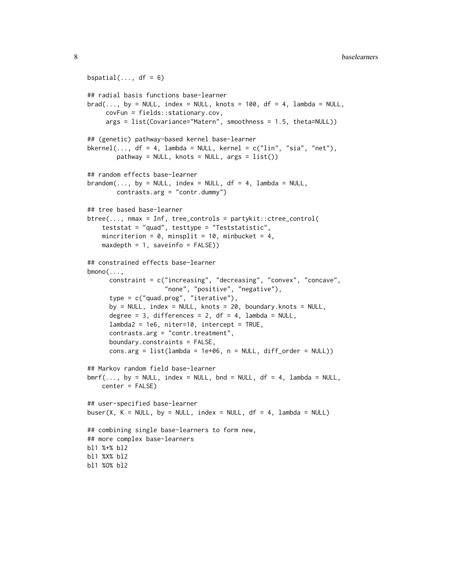```
bspatial(..., df = 6)## radial basis functions base-learner
brad(..., by = NULL, index = NULL, knots = 100, df = 4, lambda = NULL,covFun = fields::stationary.cov,
     args = list(Covariance="Matern", smoothness = 1.5, theta=NULL))
## (genetic) pathway-based kernel base-learner
bkernel(..., df = 4, lambda = NULL, kernel = c("lin", "sia", "net"),pathway = NULL, knots = NULL, args = list())
## random effects base-learner
branchom(..., by = NULL, index = NULL, df = 4, lambda = NULL,contrasts.arg = "contr.dummy")
## tree based base-learner
btree(..., nmax = Inf, tree_controls = partykit::ctree_control(
    teststat = "quad", testtype = "Teststatistic",
    mincriterion = 0, minsplit = 10, minbucket = 4,
    maxdepth = 1, saveinfo = FALSE()## constrained effects base-learner
bmono(...,
      constraint = c("increasing", "decreasing", "convex", "concave",
                     "none", "positive", "negative"),
      type = c("quad.prog", "iterative"),
      by = NULL, index = NULL, knots = 20, boundary.knots = NULL,
      degree = 3, differences = 2, df = 4, lambda = NULL,
      lambda2 = 1e6, niter=10, intercept = TRUE,
      contrasts.arg = "contr.treatment",
      boundary.constraints = FALSE,
      cons.argv = list(lambda = 1e+06, n = NULL, diff-order = NULL)## Markov random field base-learner
bmf(..., by = NULL, index = NULL, bnd = NULL, df = 4, lambda = NULL,center = FALSE)
## user-specified base-learner
buser(X, K = NULL, by = NULL, index = NULL, df = 4, lambda = NULL)
## combining single base-learners to form new,
## more complex base-learners
bl1 %+% bl2
bl1 %X% bl2
bl1 %O% bl2
```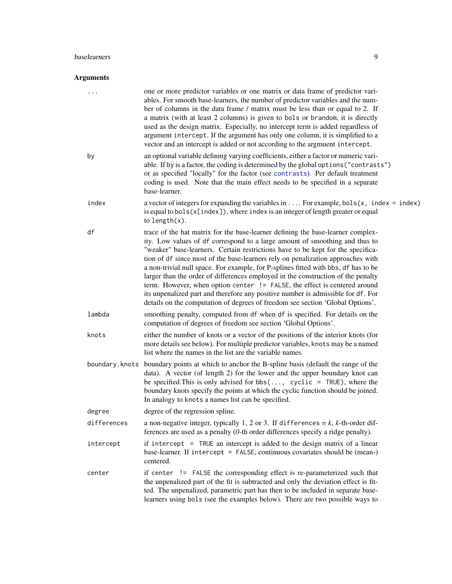# <span id="page-8-0"></span>baselearners 9

# Arguments

|                | one or more predictor variables or one matrix or data frame of predictor vari-<br>ables. For smooth base-learners, the number of predictor variables and the num-<br>ber of columns in the data frame / matrix must be less than or equal to 2. If<br>a matrix (with at least 2 columns) is given to bols or brandom, it is directly<br>used as the design matrix. Especially, no intercept term is added regardless of<br>argument intercept. If the argument has only one column, it is simplified to a<br>vector and an intercept is added or not according to the argmuent intercept.                                                                                                                                                                         |
|----------------|-------------------------------------------------------------------------------------------------------------------------------------------------------------------------------------------------------------------------------------------------------------------------------------------------------------------------------------------------------------------------------------------------------------------------------------------------------------------------------------------------------------------------------------------------------------------------------------------------------------------------------------------------------------------------------------------------------------------------------------------------------------------|
| by             | an optional variable defining varying coefficients, either a factor or numeric vari-<br>able. If by is a factor, the coding is determined by the global options ("contrasts")<br>or as specified "locally" for the factor (see contrasts). Per default treatment<br>coding is used. Note that the main effect needs to be specified in a separate<br>base-learner.                                                                                                                                                                                                                                                                                                                                                                                                |
| index          | a vector of integers for expanding the variables in  For example, $bols(x, index = index)$<br>is equal to bols(x[index]), where index is an integer of length greater or equal<br>to $length(x)$ .                                                                                                                                                                                                                                                                                                                                                                                                                                                                                                                                                                |
| df             | trace of the hat matrix for the base-learner defining the base-learner complex-<br>ity. Low values of df correspond to a large amount of smoothing and thus to<br>"weaker" base-learners. Certain restrictions have to be kept for the specifica-<br>tion of df since most of the base-learners rely on penalization approaches with<br>a non-trivial null space. For example, for P-splines fitted with bbs, df has to be<br>larger than the order of differences employed in the construction of the penalty<br>term. However, when option center != FALSE, the effect is centered around<br>its unpenalized part and therefore any positive number is admissible for df. For<br>details on the computation of degrees of freedom see section 'Global Options'. |
| lambda         | smoothing penalty, computed from df when df is specified. For details on the<br>computation of degrees of freedom see section 'Global Options'.                                                                                                                                                                                                                                                                                                                                                                                                                                                                                                                                                                                                                   |
| knots          | either the number of knots or a vector of the positions of the interior knots (for<br>more details see below). For multiple predictor variables, knots may be a named<br>list where the names in the list are the variable names.                                                                                                                                                                                                                                                                                                                                                                                                                                                                                                                                 |
| boundary.knots | boundary points at which to anchor the B-spline basis (default the range of the<br>data). A vector (of length 2) for the lower and the upper boundary knot can<br>be specified. This is only advised for $bbs$ , cyclic = TRUE), where the<br>boundary knots specify the points at which the cyclic function should be joined.<br>In analogy to knots a names list can be specified.                                                                                                                                                                                                                                                                                                                                                                              |
| degree         | degree of the regression spline.                                                                                                                                                                                                                                                                                                                                                                                                                                                                                                                                                                                                                                                                                                                                  |
| differences    | a non-negative integer, typically 1, 2 or 3. If differences = $k$ , $k$ -th-order dif-<br>ferences are used as a penalty (0-th order differences specify a ridge penalty).                                                                                                                                                                                                                                                                                                                                                                                                                                                                                                                                                                                        |
| intercept      | if intercept = TRUE an intercept is added to the design matrix of a linear<br>base-learner. If intercept = FALSE, continuous covariates should be (mean-)<br>centered.                                                                                                                                                                                                                                                                                                                                                                                                                                                                                                                                                                                            |
| center         | if center != FALSE the corresponding effect is re-parameterized such that<br>the unpenalized part of the fit is subtracted and only the deviation effect is fit-<br>ted. The unpenalized, parametric part has then to be included in separate base-<br>learners using bols (see the examples below). There are two possible ways to                                                                                                                                                                                                                                                                                                                                                                                                                               |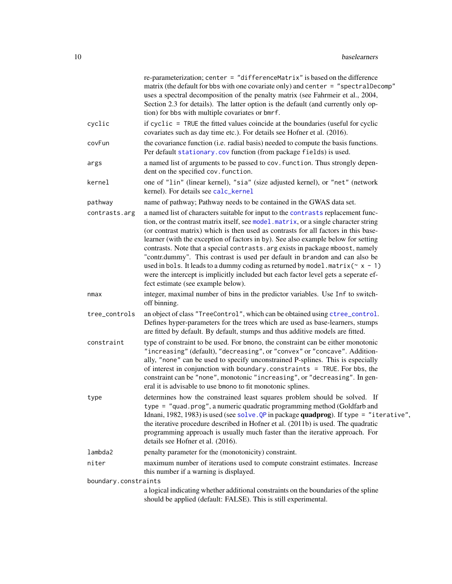<span id="page-9-0"></span>

|                      | re-parameterization; center = "differenceMatrix" is based on the difference<br>matrix (the default for bbs with one covariate only) and center = "spectralDecomp"<br>uses a spectral decomposition of the penalty matrix (see Fahrmeir et al., 2004,<br>Section 2.3 for details). The latter option is the default (and currently only op-<br>tion) for bbs with multiple covariates or bmrf.                                                                                                                                                                                                                                                                                                                                            |
|----------------------|------------------------------------------------------------------------------------------------------------------------------------------------------------------------------------------------------------------------------------------------------------------------------------------------------------------------------------------------------------------------------------------------------------------------------------------------------------------------------------------------------------------------------------------------------------------------------------------------------------------------------------------------------------------------------------------------------------------------------------------|
| cyclic               | if cyclic = TRUE the fitted values coincide at the boundaries (useful for cyclic<br>covariates such as day time etc.). For details see Hofner et al. (2016).                                                                                                                                                                                                                                                                                                                                                                                                                                                                                                                                                                             |
| covFun               | the covariance function (i.e. radial basis) needed to compute the basis functions.<br>Per default stationary.cov function (from package fields) is used.                                                                                                                                                                                                                                                                                                                                                                                                                                                                                                                                                                                 |
| args                 | a named list of arguments to be passed to cov. function. Thus strongly depen-<br>dent on the specified cov. function.                                                                                                                                                                                                                                                                                                                                                                                                                                                                                                                                                                                                                    |
| kernel               | one of "lin" (linear kernel), "sia" (size adjusted kernel), or "net" (network<br>kernel). For details see calc_kernel                                                                                                                                                                                                                                                                                                                                                                                                                                                                                                                                                                                                                    |
| pathway              | name of pathway; Pathway needs to be contained in the GWAS data set.                                                                                                                                                                                                                                                                                                                                                                                                                                                                                                                                                                                                                                                                     |
| contrasts.arg        | a named list of characters suitable for input to the contrasts replacement func-<br>tion, or the contrast matrix itself, see model . matrix, or a single character string<br>(or contrast matrix) which is then used as contrasts for all factors in this base-<br>learner (with the exception of factors in by). See also example below for setting<br>contrasts. Note that a special contrasts argexists in package mboost, namely<br>"contr.dummy". This contrast is used per default in brandom and can also be<br>used in bols. It leads to a dummy coding as returned by model. matrix $(\sim x - 1)$<br>were the intercept is implicitly included but each factor level gets a seperate ef-<br>fect estimate (see example below). |
| nmax                 | integer, maximal number of bins in the predictor variables. Use Inf to switch-<br>off binning.                                                                                                                                                                                                                                                                                                                                                                                                                                                                                                                                                                                                                                           |
| tree_controls        | an object of class "TreeControl", which can be obtained using ctree_control.<br>Defines hyper-parameters for the trees which are used as base-learners, stumps<br>are fitted by default. By default, stumps and thus additive models are fitted.                                                                                                                                                                                                                                                                                                                                                                                                                                                                                         |
| constraint           | type of constraint to be used. For bmono, the constraint can be either monotonic<br>"increasing" (default), "decreasing", or "convex" or "concave". Addition-<br>ally, "none" can be used to specify unconstrained P-splines. This is especially<br>of interest in conjunction with boundary. constraints $=$ TRUE. For bbs, the<br>constraint can be "none", monotonic "increasing", or "decreasing". In gen-<br>eral it is advisable to use bmono to fit monotonic splines.                                                                                                                                                                                                                                                            |
| type                 | determines how the constrained least squares problem should be solved. If<br>type = "quad.prog", a numeric quadratic programming method (Goldfarb and<br>Idnani, 1982, 1983) is used (see solve. QP in package quadprog). If type = "iterative",<br>the iterative procedure described in Hofner et al. (2011b) is used. The quadratic<br>programming approach is usually much faster than the iterative approach. For<br>details see Hofner et al. (2016).                                                                                                                                                                                                                                                                               |
| lambda2              | penalty parameter for the (monotonicity) constraint.                                                                                                                                                                                                                                                                                                                                                                                                                                                                                                                                                                                                                                                                                     |
| niter                | maximum number of iterations used to compute constraint estimates. Increase<br>this number if a warning is displayed.                                                                                                                                                                                                                                                                                                                                                                                                                                                                                                                                                                                                                    |
| boundary.constraints |                                                                                                                                                                                                                                                                                                                                                                                                                                                                                                                                                                                                                                                                                                                                          |
|                      | a logical indicating whether additional constraints on the boundaries of the spline<br>should be applied (default: FALSE). This is still experimental.                                                                                                                                                                                                                                                                                                                                                                                                                                                                                                                                                                                   |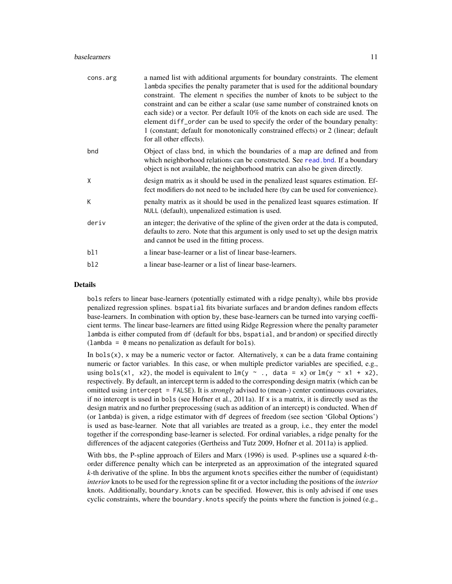#### <span id="page-10-0"></span>baselearners and the set of the set of the set of the set of the set of the set of the set of the set of the set of the set of the set of the set of the set of the set of the set of the set of the set of the set of the set

| cons.arg | a named list with additional arguments for boundary constraints. The element<br>lambda specifies the penalty parameter that is used for the additional boundary<br>constraint. The element n specifies the number of knots to be subject to the<br>constraint and can be either a scalar (use same number of constrained knots on<br>each side) or a vector. Per default 10% of the knots on each side are used. The<br>element diff_order can be used to specify the order of the boundary penalty:<br>1 (constant; default for monotonically constrained effects) or 2 (linear; default<br>for all other effects). |
|----------|----------------------------------------------------------------------------------------------------------------------------------------------------------------------------------------------------------------------------------------------------------------------------------------------------------------------------------------------------------------------------------------------------------------------------------------------------------------------------------------------------------------------------------------------------------------------------------------------------------------------|
| bnd      | Object of class bnd, in which the boundaries of a map are defined and from<br>which neighborhood relations can be constructed. See read. bnd. If a boundary<br>object is not available, the neighborhood matrix can also be given directly.                                                                                                                                                                                                                                                                                                                                                                          |
| X        | design matrix as it should be used in the penalized least squares estimation. Ef-<br>fect modifiers do not need to be included here (by can be used for convenience).                                                                                                                                                                                                                                                                                                                                                                                                                                                |
| K        | penalty matrix as it should be used in the penalized least squares estimation. If<br>NULL (default), unpenalized estimation is used.                                                                                                                                                                                                                                                                                                                                                                                                                                                                                 |
| deriv    | an integer; the derivative of the spline of the given order at the data is computed,<br>defaults to zero. Note that this argument is only used to set up the design matrix<br>and cannot be used in the fitting process.                                                                                                                                                                                                                                                                                                                                                                                             |
| b11      | a linear base-learner or a list of linear base-learners.                                                                                                                                                                                                                                                                                                                                                                                                                                                                                                                                                             |
| b12      | a linear base-learner or a list of linear base-learners.                                                                                                                                                                                                                                                                                                                                                                                                                                                                                                                                                             |

# Details

bols refers to linear base-learners (potentially estimated with a ridge penalty), while bbs provide penalized regression splines. bspatial fits bivariate surfaces and brandom defines random effects base-learners. In combination with option by, these base-learners can be turned into varying coefficient terms. The linear base-learners are fitted using Ridge Regression where the penalty parameter lambda is either computed from df (default for bbs, bspatial, and brandom) or specified directly (lambda =  $\theta$  means no penalization as default for bols).

In  $bols(x)$ , x may be a numeric vector or factor. Alternatively, x can be a data frame containing numeric or factor variables. In this case, or when multiple predictor variables are specified, e.g., using bols(x1, x2), the model is equivalent to  $lm(y \sim ., \text{ data } = x)$  or  $lm(y \sim x1 + x2)$ , respectively. By default, an intercept term is added to the corresponding design matrix (which can be omitted using intercept = FALSE). It is *strongly* advised to (mean-) center continuous covariates, if no intercept is used in bols (see Hofner et al., 2011a). If x is a matrix, it is directly used as the design matrix and no further preprocessing (such as addition of an intercept) is conducted. When df (or lambda) is given, a ridge estimator with df degrees of freedom (see section 'Global Options') is used as base-learner. Note that all variables are treated as a group, i.e., they enter the model together if the corresponding base-learner is selected. For ordinal variables, a ridge penalty for the differences of the adjacent categories (Gertheiss and Tutz 2009, Hofner et al. 2011a) is applied.

With bbs, the P-spline approach of Eilers and Marx (1996) is used. P-splines use a squared *k*-thorder difference penalty which can be interpreted as an approximation of the integrated squared *k*-th derivative of the spline. In bbs the argument knots specifies either the number of (equidistant) *interior* knots to be used for the regression spline fit or a vector including the positions of the *interior* knots. Additionally, boundary.knots can be specified. However, this is only advised if one uses cyclic constraints, where the boundary.knots specify the points where the function is joined (e.g.,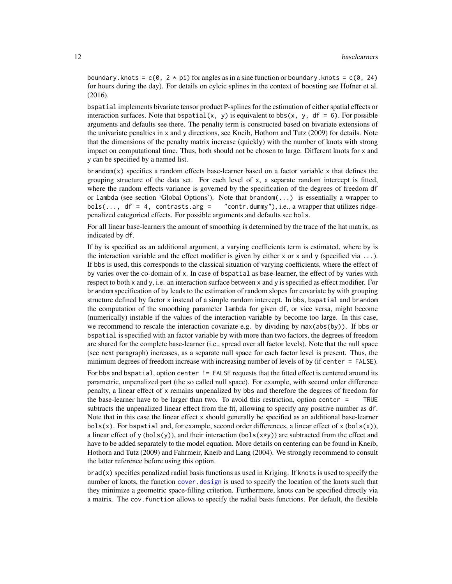<span id="page-11-0"></span>boundary.knots =  $c(\emptyset, 2 * \text{pi})$  for angles as in a sine function or boundary.knots =  $c(\emptyset, 24)$ for hours during the day). For details on cylcic splines in the context of boosting see Hofner et al. (2016).

bspatial implements bivariate tensor product P-splines for the estimation of either spatial effects or interaction surfaces. Note that bspatial(x, y) is equivalent to bbs(x, y, df = 6). For possible arguments and defaults see there. The penalty term is constructed based on bivariate extensions of the univariate penalties in x and y directions, see Kneib, Hothorn and Tutz (2009) for details. Note that the dimensions of the penalty matrix increase (quickly) with the number of knots with strong impact on computational time. Thus, both should not be chosen to large. Different knots for x and y can be specified by a named list.

brandom $(x)$  specifies a random effects base-learner based on a factor variable x that defines the grouping structure of the data set. For each level of x, a separate random intercept is fitted, where the random effects variance is governed by the specification of the degrees of freedom df or lambda (see section 'Global Options'). Note that brandom(...) is essentially a wrapper to  $bols($ ..., df = 4, contrasts.arg =  $"contr.$ dummy"), i.e., a wrapper that utilizes ridgepenalized categorical effects. For possible arguments and defaults see bols.

For all linear base-learners the amount of smoothing is determined by the trace of the hat matrix, as indicated by df.

If by is specified as an additional argument, a varying coefficients term is estimated, where by is the interaction variable and the effect modifier is given by either  $x$  or  $x$  and  $y$  (specified via  $\dots$ ). If bbs is used, this corresponds to the classical situation of varying coefficients, where the effect of by varies over the co-domain of x. In case of bspatial as base-learner, the effect of by varies with respect to both x and y, i.e. an interaction surface between x and y is specified as effect modifier. For brandom specification of by leads to the estimation of random slopes for covariate by with grouping structure defined by factor x instead of a simple random intercept. In bbs, bspatial and brandom the computation of the smoothing parameter lambda for given df, or vice versa, might become (numerically) instable if the values of the interaction variable by become too large. In this case, we recommend to rescale the interaction covariate e.g. by dividing by max(abs(by)). If bbs or bspatial is specified with an factor variable by with more than two factors, the degrees of freedom are shared for the complete base-learner (i.e., spread over all factor levels). Note that the null space (see next paragraph) increases, as a separate null space for each factor level is present. Thus, the minimum degrees of freedom increase with increasing number of levels of by (if center = FALSE).

For bbs and bspatial, option center != FALSE requests that the fitted effect is centered around its parametric, unpenalized part (the so called null space). For example, with second order difference penalty, a linear effect of x remains unpenalized by bbs and therefore the degrees of freedom for the base-learner have to be larger than two. To avoid this restriction, option center = TRUE subtracts the unpenalized linear effect from the fit, allowing to specify any positive number as df. Note that in this case the linear effect x should generally be specified as an additional base-learner  $bols(x)$ . For bspatial and, for example, second order differences, a linear effect of x ( $bols(x)$ ), a linear effect of y (bols(y)), and their interaction (bols(x\*y)) are subtracted from the effect and have to be added separately to the model equation. More details on centering can be found in Kneib, Hothorn and Tutz (2009) and Fahrmeir, Kneib and Lang (2004). We strongly recommend to consult the latter reference before using this option.

 $brad(x)$  specifies penalized radial basis functions as used in Kriging. If knots is used to specify the number of knots, the function [cover.design](#page-0-0) is used to specify the location of the knots such that they minimize a geometric space-filling criterion. Furthermore, knots can be specified directly via a matrix. The cov. function allows to specify the radial basis functions. Per default, the flexible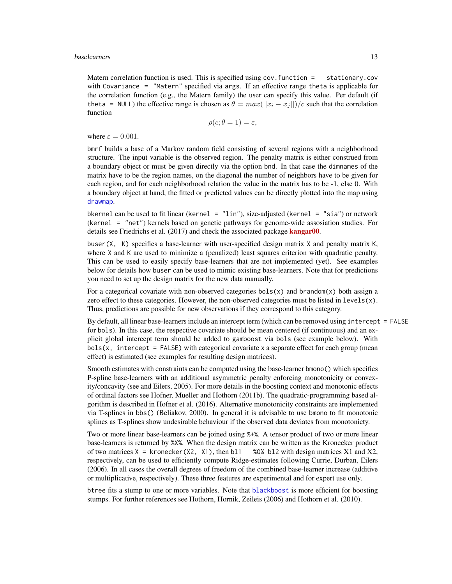#### <span id="page-12-0"></span>baselearners and the set of the set of the set of the set of the set of the set of the set of the set of the set of the set of the set of the set of the set of the set of the set of the set of the set of the set of the set

Matern correlation function is used. This is specified using cov. function = stationary.cov with Covariance = "Matern" specified via args. If an effective range theta is applicable for the correlation function (e.g., the Matern family) the user can specify this value. Per default (if theta = NULL) the effective range is chosen as  $\theta = max(||x_i - x_j||)/c$  such that the correlation function

$$
\rho(c; \theta = 1) = \varepsilon,
$$

where  $\varepsilon = 0.001$ .

bmrf builds a base of a Markov random field consisting of several regions with a neighborhood structure. The input variable is the observed region. The penalty matrix is either construed from a boundary object or must be given directly via the option bnd. In that case the dimnames of the matrix have to be the region names, on the diagonal the number of neighbors have to be given for each region, and for each neighborhood relation the value in the matrix has to be -1, else 0. With a boundary object at hand, the fitted or predicted values can be directly plotted into the map using [drawmap](#page-0-0).

bkernel can be used to fit linear (kernel = "lin"), size-adjusted (kernel = "sia") or network (kernel = "net") kernels based on genetic pathways for genome-wide assosiation studies. For details see Friedrichs et al. (2017) and check the associated package **[kangar00](https://CRAN.R-project.org/package=kangar00)**.

buser(X, K) specifies a base-learner with user-specified design matrix X and penalty matrix K, where X and K are used to minimize a (penalized) least squares criterion with quadratic penalty. This can be used to easily specify base-learners that are not implemented (yet). See examples below for details how buser can be used to mimic existing base-learners. Note that for predictions you need to set up the design matrix for the new data manually.

For a categorical covariate with non-observed categories bols $(x)$  and brandom $(x)$  both assign a zero effect to these categories. However, the non-observed categories must be listed in  $levels(x)$ . Thus, predictions are possible for new observations if they correspond to this category.

By default, all linear base-learners include an intercept term (which can be removed using intercept = FALSE for bols). In this case, the respective covariate should be mean centered (if continuous) and an explicit global intercept term should be added to gamboost via bols (see example below). With  $bols(x,$  intercept = FALSE) with categorical covariate x a separate effect for each group (mean effect) is estimated (see examples for resulting design matrices).

Smooth estimates with constraints can be computed using the base-learner bmono() which specifies P-spline base-learners with an additional asymmetric penalty enforcing monotonicity or convexity/concavity (see and Eilers, 2005). For more details in the boosting context and monotonic effects of ordinal factors see Hofner, Mueller and Hothorn (2011b). The quadratic-programming based algorithm is described in Hofner et al. (2016). Alternative monotonicity constraints are implemented via T-splines in bbs() (Beliakov, 2000). In general it is advisable to use bmono to fit monotonic splines as T-splines show undesirable behaviour if the observed data deviates from monotonicty.

Two or more linear base-learners can be joined using %+%. A tensor product of two or more linear base-learners is returned by %X%. When the design matrix can be written as the Kronecker product of two matrices  $X =$  kronecker(X2, X1), then bl1 %0% bl2 with design matrices X1 and X2, respectively, can be used to efficiently compute Ridge-estimates following Currie, Durban, Eilers (2006). In all cases the overall degrees of freedom of the combined base-learner increase (additive or multiplicative, respectively). These three features are experimental and for expert use only.

btree fits a stump to one or more variables. Note that [blackboost](#page-20-1) is more efficient for boosting stumps. For further references see Hothorn, Hornik, Zeileis (2006) and Hothorn et al. (2010).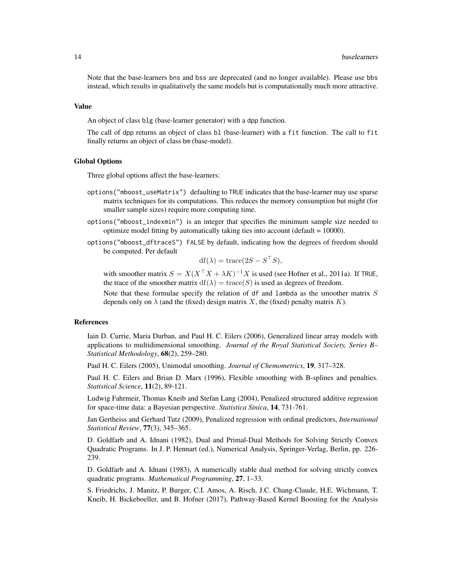Note that the base-learners bns and bss are deprecated (and no longer available). Please use bbs instead, which results in qualitatively the same models but is computationally much more attractive.

#### Value

An object of class blg (base-learner generator) with a dpp function.

The call of dpp returns an object of class bl (base-learner) with a fit function. The call to fit finally returns an object of class bm (base-model).

#### Global Options

Three global options affect the base-learners:

- options("mboost\_useMatrix") defaulting to TRUE indicates that the base-learner may use sparse matrix techniques for its computations. This reduces the memory consumption but might (for smaller sample sizes) require more computing time.
- options("mboost\_indexmin") is an integer that specifies the minimum sample size needed to optimize model fitting by automatically taking ties into account (default = 10000).
- options("mboost\_dftraceS") FALSE by default, indicating how the degrees of freedom should be computed. Per default

$$
df(\lambda) = \text{trace}(2S - S^{\top}S),
$$

with smoother matrix  $S = X(X^{\top}X + \lambda K)^{-1}X$  is used (see Hofner et al., 2011a). If TRUE, the trace of the smoother matrix  $df(\lambda) = trace(S)$  is used as degrees of freedom.

Note that these formulae specify the relation of  $df$  and lambda as the smoother matrix  $S$ depends only on  $\lambda$  (and the (fixed) design matrix X, the (fixed) penalty matrix K).

#### References

Iain D. Currie, Maria Durban, and Paul H. C. Eilers (2006), Generalized linear array models with applications to multidimensional smoothing. *Journal of the Royal Statistical Society, Series B– Statistical Methodology*, 68(2), 259–280.

Paul H. C. Eilers (2005), Unimodal smoothing. *Journal of Chemometrics*, 19, 317–328.

Paul H. C. Eilers and Brian D. Marx (1996), Flexible smoothing with B-splines and penalties. *Statistical Science*, 11(2), 89-121.

Ludwig Fahrmeir, Thomas Kneib and Stefan Lang (2004), Penalized structured additive regression for space-time data: a Bayesian perspective. *Statistica Sinica*, 14, 731-761.

Jan Gertheiss and Gerhard Tutz (2009), Penalized regression with ordinal predictors, *International Statistical Review*, 77(3), 345–365.

D. Goldfarb and A. Idnani (1982), Dual and Primal-Dual Methods for Solving Strictly Convex Quadratic Programs. In J. P. Hennart (ed.), Numerical Analysis, Springer-Verlag, Berlin, pp. 226- 239.

D. Goldfarb and A. Idnani (1983), A numerically stable dual method for solving strictly convex quadratic programs. *Mathematical Programming*, 27, 1–33.

S. Friedrichs, J. Manitz, P. Burger, C.I. Amos, A. Risch, J.C. Chang-Claude, H.E. Wichmann, T. Kneib, H. Bickeboeller, and B. Hofner (2017), Pathway-Based Kernel Boosting for the Analysis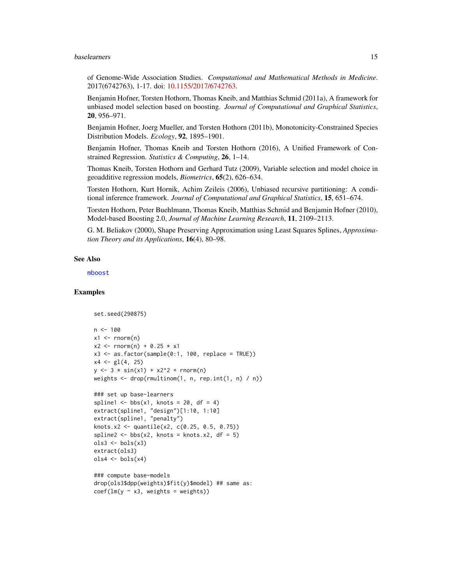#### <span id="page-14-0"></span>baselearners and the set of the set of the set of the set of the set of the set of the set of the set of the set of the set of the set of the set of the set of the set of the set of the set of the set of the set of the set

of Genome-Wide Association Studies. *Computational and Mathematical Methods in Medicine*. 2017(6742763), 1-17. doi: [10.1155/2017/6742763.](http://doi.org/10.1155/2017/6742763)

Benjamin Hofner, Torsten Hothorn, Thomas Kneib, and Matthias Schmid (2011a), A framework for unbiased model selection based on boosting. *Journal of Computational and Graphical Statistics*, 20, 956–971.

Benjamin Hofner, Joerg Mueller, and Torsten Hothorn (2011b), Monotonicity-Constrained Species Distribution Models. *Ecology*, 92, 1895–1901.

Benjamin Hofner, Thomas Kneib and Torsten Hothorn (2016), A Unified Framework of Constrained Regression. *Statistics & Computing*, 26, 1–14.

Thomas Kneib, Torsten Hothorn and Gerhard Tutz (2009), Variable selection and model choice in geoadditive regression models, *Biometrics*, 65(2), 626–634.

Torsten Hothorn, Kurt Hornik, Achim Zeileis (2006), Unbiased recursive partitioning: A conditional inference framework. *Journal of Computational and Graphical Statistics*, 15, 651–674.

Torsten Hothorn, Peter Buehlmann, Thomas Kneib, Matthias Schmid and Benjamin Hofner (2010), Model-based Boosting 2.0, *Journal of Machine Learning Research*, 11, 2109–2113.

G. M. Beliakov (2000), Shape Preserving Approximation using Least Squares Splines, *Approximation Theory and its Applications*, 16(4), 80–98.

# See Also

[mboost](#page-44-2)

# Examples

```
set.seed(290875)
n < - 100x1 \leftarrow \text{rnorm}(n)x2 \le rnorm(n) + 0.25 * x1
x3 \leq -as.factor(sample(0:1, 100, replace = TRUE))x4 \leftarrow g1(4, 25)y \le -3 * sin(x1) + x2^2 + rnorm(n)weights \leq drop(rmultinom(1, n, rep.int(1, n) / n))
### set up base-learners
spline1 \leq bbs(x1, knots = 20, df = 4)
extract(spline1, "design")[1:10, 1:10]
extract(spline1, "penalty")
knots.x2 <- quantile(x2, c(0.25, 0.5, 0.75))
spline2 <- bbs(x2, knots = knots.x2, df = 5)
ols3 < -bols(x3)extract(ols3)
ols4 < - bols(x4)### compute base-models
drop(ols3$dpp(weights)$fit(y)$model) ## same as:
coef(lm(y \sim x3, weights = weights))
```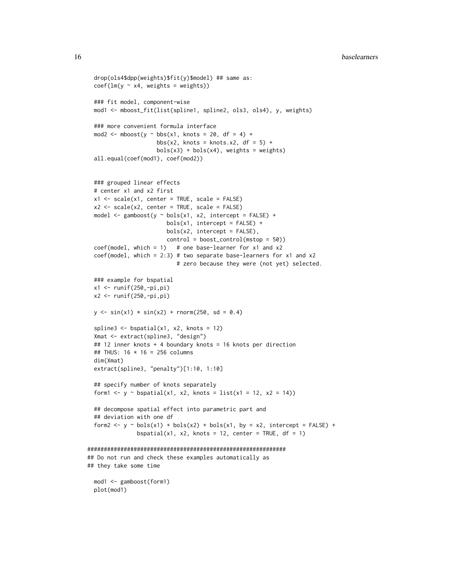```
drop(ols4$dpp(weights)$fit(y)$model) ## same as:
 coef(lm(y \sim x4, weights = weights))### fit model, component-wise
 mod1 <- mboost_fit(list(spline1, spline2, ols3, ols4), y, weights)
 ### more convenient formula interface
 mod2 \le - \text{mboost}(y \sim \text{bbs}(x1, \text{ knots} = 20, \text{df} = 4) +bbs(x2, knots = knots.x2, df = 5) +
                      bols(x3) + bols(x4), weights = weights)
 all.equal(coef(mod1), coef(mod2))
 ### grouped linear effects
 # center x1 and x2 first
 x1 \leftarrow scale(x1, center = TRUE, scale = FALSE)x2 \leq - \text{scale}(x2, \text{ center} = \text{TRUE}, \text{scale} = \text{FALSE})model \leq gamboost(y \sim bols(x1, x2, intercept = FALSE) +
                         bols(x1, intercept = FALSE) +bols(x2, intercept = FALSE),control = boost_countcol(mstop = 50))coef(model, which = 1) # one base-learner for x1 and x2
 coef(\text{model}, \text{ which} = 2:3) # two separate base-learners for x1 and x2
                             # zero because they were (not yet) selected.
 ### example for bspatial
 x1 <- runif(250,-pi,pi)
 x2 <- runif(250,-pi,pi)
 y \le -\sin(x1) \cdot \sin(x2) + \text{norm}(250, \text{ sd} = 0.4)spline3 \leftarrow bspatial(x1, x2, knots = 12)
 Xmat <- extract(spline3, "design")
 ## 12 inner knots + 4 boundary knots = 16 knots per direction
 ## THUS: 16 * 16 = 256 columns
 dim(Xmat)
 extract(spline3, "penalty")[1:10, 1:10]
 ## specify number of knots separately
 form1 \leftarrow y \sim bspatial(x1, x2, knots = list(x1 = 12, x2 = 14))
 ## decompose spatial effect into parametric part and
 ## deviation with one df
 form2 <- y \sim bols(x1) + bols(x2) + bols(x1, by = x2, intercept = FALSE) +
                bspatial(x1, x2, knots = 12, center = TRUE, df = 1)
############################################################
## Do not run and check these examples automatically as
## they take some time
 mod1 <- gamboost(form1)
 plot(mod1)
```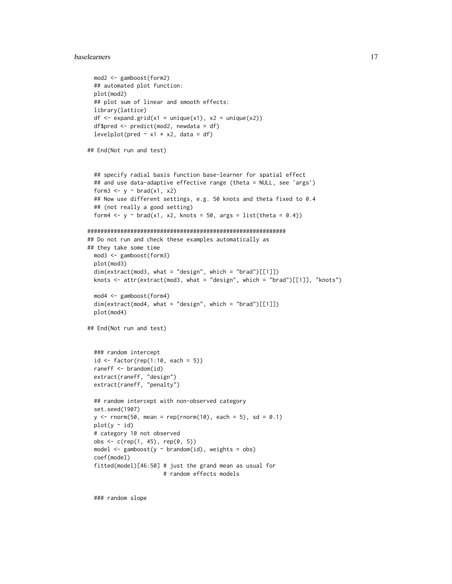#### baselearners and the set of the set of the set of the set of the set of the set of the set of the set of the set of the set of the set of the set of the set of the set of the set of the set of the set of the set of the set

```
mod2 <- gamboost(form2)
 ## automated plot function:
 plot(mod2)
 ## plot sum of linear and smooth effects:
 library(lattice)
 df \leq expand.grid(x1 = unique(x1), x2 = unique(x2))
 df$pred <- predict(mod2, newdata = df)
 levelplot(pred \sim x1 \times x2, data = df)
## End(Not run and test)
 ## specify radial basis function base-learner for spatial effect
 ## and use data-adaptive effective range (theta = NULL, see 'args')
 form3 \leq y \sim brad(x1, x2)
 ## Now use different settings, e.g. 50 knots and theta fixed to 0.4
 ## (not really a good setting)
 form4 \leq y \sim brad(x1, x2, knots = 50, args = list(theta = 0.4))
############################################################
## Do not run and check these examples automatically as
## they take some time
 mod3 <- gamboost(form3)
 plot(mod3)
 dim(extract(mod3, what = "design", which = "brad")[[1]])
 knots <- attr(extract(mod3, what = "design", which = "brad")[[1]], "knots")
 mod4 <- gamboost(form4)
 dim(extract(mod4, what = "design", which = "brad")[[1]])
 plot(mod4)
## End(Not run and test)
 ### random intercept
 id \le factor(rep(1:10, each = 5))
 raneff <- brandom(id)
 extract(raneff, "design")
 extract(raneff, "penalty")
 ## random intercept with non-observed category
 set.seed(1907)
 y \le - rnorm(50, mean = rep(rnorm(10), each = 5), sd = 0.1)
 plot(y \sim id)# category 10 not observed
 obs <- c(rep(1, 45), rep(0, 5))
 model \leq gamboost(y \sim brandom(id), weights = obs)
 coef(model)
 fitted(model)[46:50] # just the grand mean as usual for
                       # random effects models
```
### random slope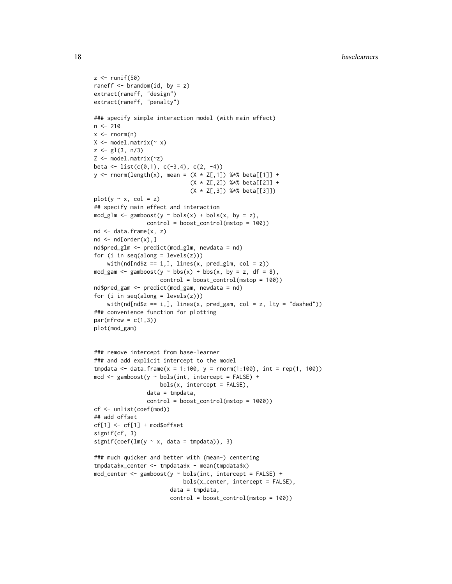```
z \leftarrow runif(50)raneff \leq brandom(id, by = z)
extract(raneff, "design")
extract(raneff, "penalty")
### specify simple interaction model (with main effect)
n < -210x \leq -rnorm(n)X \leq model.matrix(\sim x)
z \leq g1(3, n/3)Z <- model.matrix(~z)
beta <- list(c(0,1), c(-3,4), c(2, -4))
y \le - rnorm(length(x), mean = (X * Z[, 1]) %*% beta[[1]] +
                              (X * Z[, 2]) %*% beta[[2]] +
                              (X * Z[, 3]) %*% beta[[3]])
plot(y \sim x, col = z)## specify main effect and interaction
mod_glm <- gamboost(y \sim bols(x) + bols(x, by = z),
                control = boost_countrol(mstop = 100))nd <- data.frame(x, z)
nd \leq nd[order(x),]
nd$pred_glm <- predict(mod_glm, newdata = nd)
for (i in seq(along = levels(z)))
    with(ndInd$z == i,], lines(x, pred_g1m, col = z))mod_gam <- gamboost(y \sim bbs(x) + bbs(x, by = z, df = 8),
                    control = boost_control(mstop = 100))
nd$pred_gam <- predict(mod_gam, newdata = nd)
for (i in seq(along = levels(z)))
    with(nd[nd$z == i,], lines(x, pred_gam, col = z, lty = "dashed"))
### convenience function for plotting
par(mfrow = c(1,3))plot(mod_gam)
### remove intercept from base-learner
### and add explicit intercept to the model
tmpdata <- data.frame(x = 1:100, y = rnorm(1:100), int = rep(1, 100))
mod <- gamboost(y \sim bols(int, intercept = FALSE) +
```

```
bols(x, intercept = FALSE),
                data = tmpdata,
                control = boost_control(mstop = 1000))
cf <- unlist(coef(mod))
## add offset
cf[1] <- cf[1] + mod$offset
signif(cf, 3)
signif(coef(lm(y \sim x, data = tmpdata)), 3)
### much quicker and better with (mean-) centering
tmpdata$x_center <- tmpdata$x - mean(tmpdata$x)
mod\_center \leftarrow gamboost(y \sim bols(int, intercept = FALSE) +bols(x_center, intercept = FALSE),
```

```
data = tmpdata,
```

```
control = boost_control(mstop = 100))
```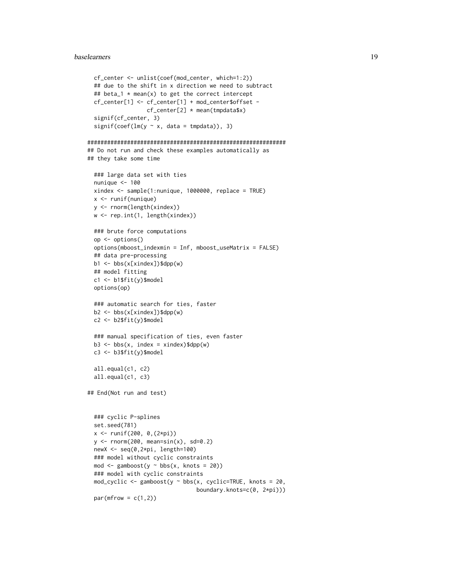```
cf_center <- unlist(coef(mod_center, which=1:2))
 ## due to the shift in x direction we need to subtract
 ## beta_1 * mean(x) to get the correct intercept
 cf_center[1] <- cf_center[1] + mod_center$offset -
                  cf_center[2] * mean(tmpdata$x)
 signif(cf_center, 3)
 signif(coef(lm(y \sim x, data = tmpdata)), 3)
############################################################
## Do not run and check these examples automatically as
## they take some time
 ### large data set with ties
 nunique <- 100
 xindex <- sample(1:nunique, 1000000, replace = TRUE)
 x <- runif(nunique)
 y <- rnorm(length(xindex))
 w <- rep.int(1, length(xindex))
 ### brute force computations
 op <- options()
 options(mboost_indexmin = Inf, mboost_useMatrix = FALSE)
 ## data pre-processing
 b1 <- bbs(x[xindex])$dpp(w)
 ## model fitting
 c1 <- b1$fit(y)$model
 options(op)
 ### automatic search for ties, faster
 b2 <- bbs(x[xindex])$dpp(w)
 c2 <- b2$fit(y)$model
 ### manual specification of ties, even faster
 b3 \leq bbs(x, index = xindex)$dpp(w)
 c3 <- b3$fit(y)$model
 all.equal(c1, c2)
 all.equal(c1, c3)
## End(Not run and test)
 ### cyclic P-splines
 set.seed(781)
 x <- runif(200, 0,(2*pi))
 y \le - rnorm(200, mean=sin(x), sd=0.2)
 newX <- seq(0,2*pi, length=100)
 ### model without cyclic constraints
 mod \leq gamboost(y \sim bbs(x, knots = 20))
 ### model with cyclic constraints
 mod_cyclic <- gamboost(y \sim bbs(x, cyclic=TRUE, knots = 20,
                                 boundary.knots=c(0, 2*pi)))
 par(mfrow = c(1,2))
```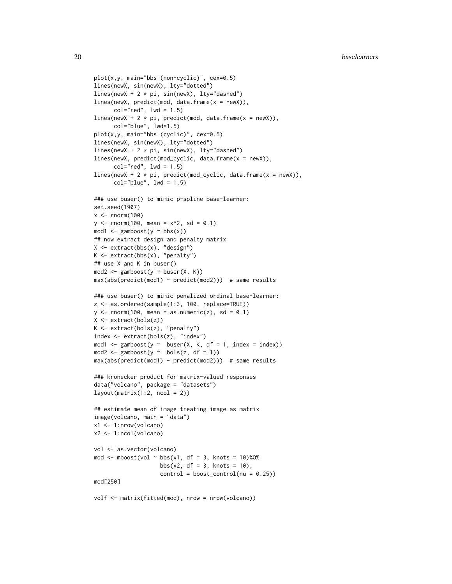```
plot(x,y, main="bbs (non-cyclic)", cex=0.5)
lines(newX, sin(newX), lty="dotted")
lines(newX + 2 * pi, sin(newX), lty="dashed")
lines(newX, predict(mod, data-frame(x = newX)),col="red", \text{ lwd} = 1.5)lines(newX + 2 * pi, predict(mod, data.frame(x = newX)),
      col="blue", lwd=1.5)
plot(x,y, main="bbs (cyclic)", cex=0.5)
lines(newX, sin(newX), lty="dotted")
lines(newX + 2 * pi, sin(newX), lty="dashed")
lines(newX, predict(mod_cyclic, data.frame(x = newX)),
      col="red", \text{ lwd} = 1.5)lines(newX + 2 * pi, predict(mod_cyclic, data.frame(x = newX)),
      col="blue", \text{ lwd} = 1.5)### use buser() to mimic p-spline base-learner:
set.seed(1907)
x < - rnorm(100)
y \le - rnorm(100, mean = x^2, sd = 0.1)
mod1 <- gamboost(y \sim bbs(x))
## now extract design and penalty matrix
X <- extract(bbs(x), "design")
K \leftarrow \text{extract}(\text{bbs}(x), \text{ "penalty"})## use X and K in buser()
mod2 <- gamboost(y \sim buser(X, K))
max(abs(predict(mod1) - predict(mod2))) # same results
### use buser() to mimic penalized ordinal base-learner:
z <- as.ordered(sample(1:3, 100, replace=TRUE))
y \le - rnorm(100, mean = as.numeric(z), sd = 0.1)
X <- extract(bols(z))
K \leftarrow extract(bols(z), "penalty")
index <- extract(bols(z), "index")
mod1 <- gamboost(y ~ buser(X, K, df = 1, index = index))
mod2 <- gamboost(y \sim bols(z, df = 1))
max(abs(predict(mod1) - predict(mod2))) # same results
### kronecker product for matrix-valued responses
data("volcano", package = "datasets")
layout(matrix(1:2, ncol = 2))## estimate mean of image treating image as matrix
image(volcano, main = "data")
x1 <- 1:nrow(volcano)
x2 <- 1:ncol(volcano)
vol <- as.vector(volcano)
mod \leq mboost(vol \sim bbs(x1, df = 3, knots = 10)%0%
                    bbs(x2, df = 3, knots = 10),
                    control = boost_countrol(nu = 0.25))mod[250]
```

```
volf <- matrix(fitted(mod), nrow = nrow(volcano))
```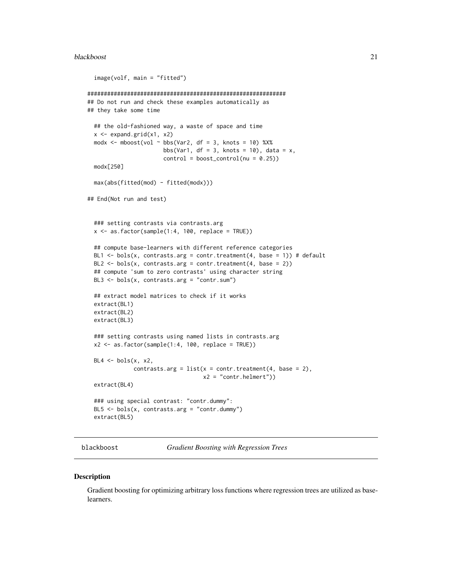#### <span id="page-20-0"></span>blackboost 21

```
image(volf, main = "fitted")
############################################################
## Do not run and check these examples automatically as
## they take some time
 ## the old-fashioned way, a waste of space and time
 x \leftarrow expand.grid(x1, x2)
 modx \leq mboost(vol \sim bbs(Var2, df = 3, knots = 10) %X%
                       bbs(Var1, df = 3, knots = 10), data = x,
                       control = boost_countrol(nu = 0.25))modx[250]
 max(abs(fitted(mod) - fitted(modx)))
## End(Not run and test)
 ### setting contrasts via contrasts.arg
 x \le - as.factor(sample(1:4, 100, replace = TRUE))
 ## compute base-learners with different reference categories
 BL1 <- bols(x, contrasts.arg = contr.treatment(4, base = 1)) # default
 BL2 \leftarrow bols(x, contrasts.arg = contr.treatment(4, base = 2))
 ## compute 'sum to zero contrasts' using character string
 BL3 <- bols(x, contrasts.arg = "contr.sum")
 ## extract model matrices to check if it works
 extract(BL1)
 extract(BL2)
 extract(BL3)
 ### setting contrasts using named lists in contrasts.arg
 x2 \leftarrow as.factor(sample(1:4, 100, replace = TRUE))BL4 \leftarrow bols(x, x2,contrasts.arg = list(x = contr.treatment(4, base = 2),x2 = "contr.helmert"))
 extract(BL4)
 ### using special contrast: "contr.dummy":
 BL5 \leq -bols(x, contrasts.org = "contr.dummy")extract(BL5)
```
<span id="page-20-1"></span>blackboost *Gradient Boosting with Regression Trees*

#### **Description**

Gradient boosting for optimizing arbitrary loss functions where regression trees are utilized as baselearners.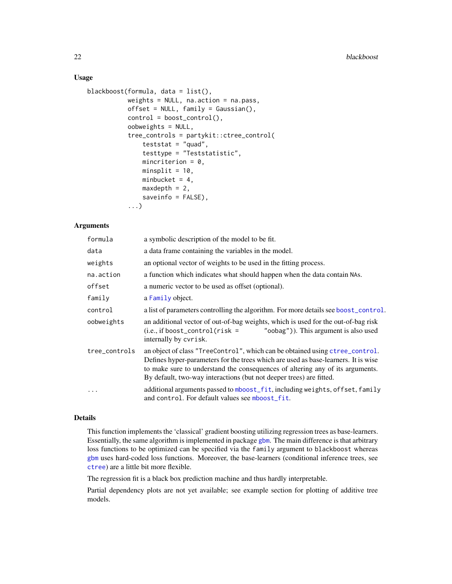# <span id="page-21-0"></span>Usage

```
blackboost(formula, data = list(),
           weights = NULL, na.action = na.pass,
           offset = NULL, family = Gaussian(),
           control = boost_control(),
           oobweights = NULL,
           tree_controls = partykit::ctree_control(
               teststat = "quad,
               testtype = "Teststatistic",
               mincriterion = 0,
               minsplit = 10,
               minbucket = 4,
               maxdepth = 2,
               saveinfo = FALSE),
           ...)
```
# Arguments

| formula       | a symbolic description of the model to be fit.                                                                                                                                                                                                                                                                             |
|---------------|----------------------------------------------------------------------------------------------------------------------------------------------------------------------------------------------------------------------------------------------------------------------------------------------------------------------------|
| data          | a data frame containing the variables in the model.                                                                                                                                                                                                                                                                        |
| weights       | an optional vector of weights to be used in the fitting process.                                                                                                                                                                                                                                                           |
| na.action     | a function which indicates what should happen when the data contain NAs.                                                                                                                                                                                                                                                   |
| offset        | a numeric vector to be used as offset (optional).                                                                                                                                                                                                                                                                          |
| family        | a Family object.                                                                                                                                                                                                                                                                                                           |
| control       | a list of parameters controlling the algorithm. For more details see boost_control.                                                                                                                                                                                                                                        |
| oobweights    | an additional vector of out-of-bag weights, which is used for the out-of-bag risk<br>"oobag")). This argument is also used<br>$(i.e., if boost-control(risk =$<br>internally by cyrisk.                                                                                                                                    |
| tree_controls | an object of class "TreeControl", which can be obtained using ctree_control.<br>Defines hyper-parameters for the trees which are used as base-learners. It is wise<br>to make sure to understand the consequences of altering any of its arguments.<br>By default, two-way interactions (but not deeper trees) are fitted. |
| .             | additional arguments passed to mboost_fit, including weights, offset, family<br>and control. For default values see mboost_fit.                                                                                                                                                                                            |

# Details

This function implements the 'classical' gradient boosting utilizing regression trees as base-learners. Essentially, the same algorithm is implemented in package [gbm](#page-0-0). The main difference is that arbitrary loss functions to be optimized can be specified via the family argument to blackboost whereas [gbm](#page-0-0) uses hard-coded loss functions. Moreover, the base-learners (conditional inference trees, see [ctree](#page-0-0)) are a little bit more flexible.

The regression fit is a black box prediction machine and thus hardly interpretable.

Partial dependency plots are not yet available; see example section for plotting of additive tree models.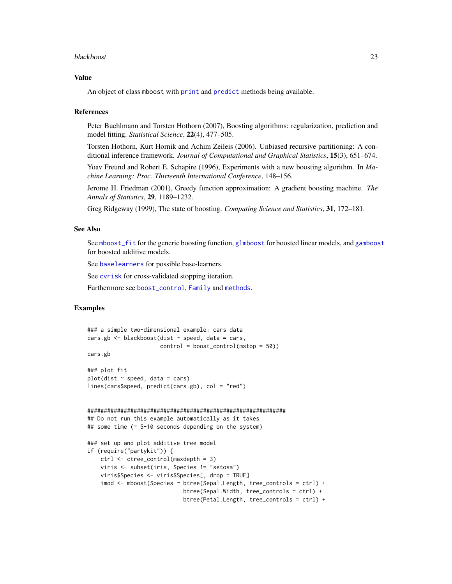#### <span id="page-22-0"></span>blackboost 23

# Value

An object of class mboost with [print](#page-0-0) and [predict](#page-0-0) methods being available.

# **References**

Peter Buehlmann and Torsten Hothorn (2007), Boosting algorithms: regularization, prediction and model fitting. *Statistical Science*, 22(4), 477–505.

Torsten Hothorn, Kurt Hornik and Achim Zeileis (2006). Unbiased recursive partitioning: A conditional inference framework. *Journal of Computational and Graphical Statistics*, 15(3), 651–674.

Yoav Freund and Robert E. Schapire (1996), Experiments with a new boosting algorithm. In *Machine Learning: Proc. Thirteenth International Conference*, 148–156.

Jerome H. Friedman (2001), Greedy function approximation: A gradient boosting machine. *The Annals of Statistics*, 29, 1189–1232.

Greg Ridgeway (1999), The state of boosting. *Computing Science and Statistics*, 31, 172–181.

#### See Also

See [mboost\\_fit](#page-46-1) for the generic boosting function, [glmboost](#page-40-1) for boosted linear models, and [gamboost](#page-44-1) for boosted additive models.

See [baselearners](#page-6-2) for possible base-learners.

See [cvrisk](#page-27-1) for cross-validated stopping iteration.

Furthermore see [boost\\_control](#page-23-1), [Family](#page-31-2) and [methods](#page-48-1).

# Examples

```
### a simple two-dimensional example: cars data
cars.gb \leq blackboost(dist \sim speed, data = cars,
                      control = boost_countrol(mstop = 50))cars.gb
### plot fit
plot(dist ~ ~ speed, data = cars)lines(cars$speed, predict(cars.gb), col = "red")
############################################################
## Do not run this example automatically as it takes
## some time (~ 5-10 seconds depending on the system)
### set up and plot additive tree model
if (require("partykit")) {
   ctrl <- ctree_control(maxdepth = 3)
   viris <- subset(iris, Species != "setosa")
   viris$Species <- viris$Species[, drop = TRUE]
```

```
imod <- mboost(Species ~ btree(Sepal.Length, tree_controls = ctrl) +
                        btree(Sepal.Width, tree_controls = ctrl) +
                        btree(Petal.Length, tree_controls = ctrl) +
```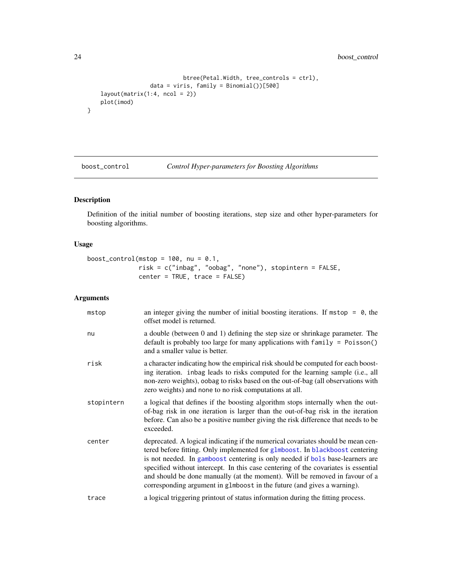```
btree(Petal.Width, tree_controls = ctrl),
               data = viris, family = Binomial())[500]
layout(matrix(1:4, ncol = 2))
plot(imod)
```
<span id="page-23-1"></span>

# boost\_control *Control Hyper-parameters for Boosting Algorithms*

# Description

}

Definition of the initial number of boosting iterations, step size and other hyper-parameters for boosting algorithms.

# Usage

boost\_control(mstop =  $100$ , nu =  $0.1$ , risk = c("inbag", "oobag", "none"), stopintern = FALSE, center = TRUE, trace = FALSE)

# Arguments

| mstop      | an integer giving the number of initial boosting iterations. If $mstop = 0$ , the<br>offset model is returned.                                                                                                                                                                                                                                                                                                                                                                                    |
|------------|---------------------------------------------------------------------------------------------------------------------------------------------------------------------------------------------------------------------------------------------------------------------------------------------------------------------------------------------------------------------------------------------------------------------------------------------------------------------------------------------------|
| nu         | a double (between 0 and 1) defining the step size or shrinkage parameter. The<br>default is probably too large for many applications with $family = Poisson()$<br>and a smaller value is better.                                                                                                                                                                                                                                                                                                  |
| risk       | a character indicating how the empirical risk should be computed for each boost-<br>ing iteration. in bag leads to risks computed for the learning sample (i.e., all<br>non-zero weights), oobag to risks based on the out-of-bag (all observations with<br>zero weights) and none to no risk computations at all.                                                                                                                                                                                |
| stopintern | a logical that defines if the boosting algorithm stops internally when the out-<br>of-bag risk in one iteration is larger than the out-of-bag risk in the iteration<br>before. Can also be a positive number giving the risk difference that needs to be<br>exceeded.                                                                                                                                                                                                                             |
| center     | deprecated. A logical indicating if the numerical covariates should be mean cen-<br>tered before fitting. Only implemented for glmboost. In blackboost centering<br>is not needed. In gamboost centering is only needed if bols base-learners are<br>specified without intercept. In this case centering of the covariates is essential<br>and should be done manually (at the moment). Will be removed in favour of a<br>corresponding argument in glmboost in the future (and gives a warning). |
| trace      | a logical triggering printout of status information during the fitting process.                                                                                                                                                                                                                                                                                                                                                                                                                   |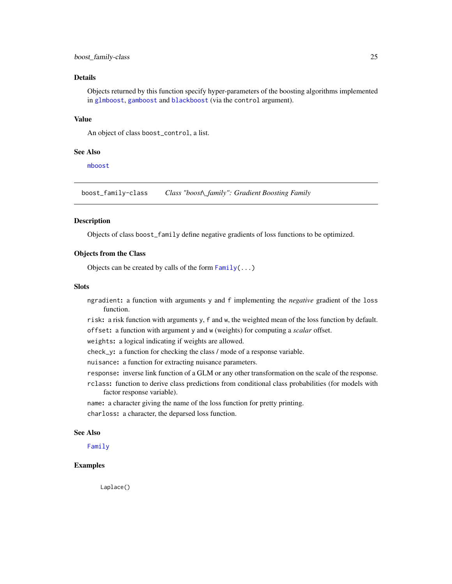# <span id="page-24-0"></span>boost\_family-class 25

# Details

Objects returned by this function specify hyper-parameters of the boosting algorithms implemented in [glmboost](#page-40-1), [gamboost](#page-44-1) and [blackboost](#page-20-1) (via the control argument).

# Value

An object of class boost\_control, a list.

#### See Also

[mboost](#page-44-2)

<span id="page-24-1"></span>boost\_family-class *Class "boost\\_family": Gradient Boosting Family*

# **Description**

Objects of class boost\_family define negative gradients of loss functions to be optimized.

# Objects from the Class

Objects can be created by calls of the form  $Family(...)$  $Family(...)$ 

#### **Slots**

ngradient: a function with arguments y and f implementing the *negative* gradient of the loss function.

risk: a risk function with arguments y, f and w, the weighted mean of the loss function by default. offset: a function with argument y and w (weights) for computing a *scalar* offset.

weights: a logical indicating if weights are allowed.

check\_y: a function for checking the class / mode of a response variable.

nuisance: a function for extracting nuisance parameters.

- response: inverse link function of a GLM or any other transformation on the scale of the response.
- rclass: function to derive class predictions from conditional class probabilities (for models with factor response variable).

name: a character giving the name of the loss function for pretty printing.

charloss: a character, the deparsed loss function.

# See Also

[Family](#page-31-2)

# Examples

Laplace()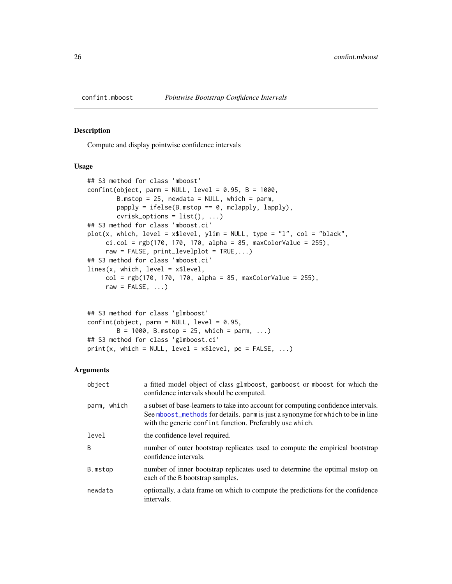<span id="page-25-1"></span><span id="page-25-0"></span>

# Description

Compute and display pointwise confidence intervals

# Usage

```
## S3 method for class 'mboost'
confint(object, parm = NULL, level = 0.95, B = 1000,B.mstop = 25, newdata = NULL, which = parm,
       papply = ifelse(B.mstop == 0, mclapply, lapply),
       cvrisk_-options = list(), ...)
## S3 method for class 'mboost.ci'
plot(x, which, level = x$level, ylim = NULL, type = "l", col = "black",
     ci.col = rgb(170, 170, 170, alpha = 85, maxColorValue = 255),raw = FALSE, print_levelplot = TRUE,...)
## S3 method for class 'mboost.ci'
lines(x, which, level = x$level,
     col = rgb(170, 170, 170, alpha = 85, maxColorValue = 255),raw = FALSE, \ldots)
```

```
## S3 method for class 'glmboost'
confint(object, parm = NULL, level = 0.95,B = 1000, B.mstop = 25, which = parm, ...)
## S3 method for class 'glmboost.ci'
print(x, which = NULL, level = x$level, pe = FALSE, ...)
```
# Arguments

| object       | a fitted model object of class glmboost, gamboost or mboost for which the<br>confidence intervals should be computed.                                                                                                             |
|--------------|-----------------------------------------------------------------------------------------------------------------------------------------------------------------------------------------------------------------------------------|
| parm, which  | a subset of base-learners to take into account for computing confidence intervals.<br>See mboost_methods for details. parm is just a synonyme for which to be in line<br>with the generic confint function. Preferably use which. |
| level        | the confidence level required.                                                                                                                                                                                                    |
| <sub>B</sub> | number of outer bootstrap replicates used to compute the empirical bootstrap<br>confidence intervals.                                                                                                                             |
| B.mstop      | number of inner bootstrap replicates used to determine the optimal mstop on<br>each of the B bootstrap samples.                                                                                                                   |
| newdata      | optionally, a data frame on which to compute the predictions for the confidence<br>intervals.                                                                                                                                     |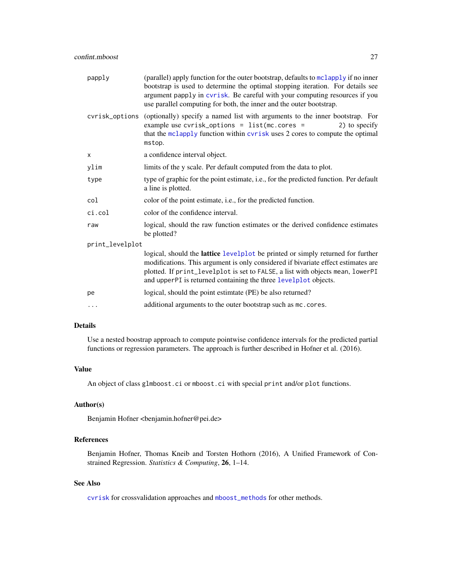<span id="page-26-0"></span>

| papply          | (parallel) apply function for the outer bootstrap, defaults to mclapply if no inner<br>bootstrap is used to determine the optimal stopping iteration. For details see<br>argument papply in cvrisk. Be careful with your computing resources if you<br>use parallel computing for both, the inner and the outer bootstrap. |  |
|-----------------|----------------------------------------------------------------------------------------------------------------------------------------------------------------------------------------------------------------------------------------------------------------------------------------------------------------------------|--|
| cvrisk_options  | (optionally) specify a named list with arguments to the inner bootstrap. For<br>example use cvrisk_options = list(mc.cores =<br>2) to specify<br>that the mclapply function within cvrisk uses 2 cores to compute the optimal<br>mstop.                                                                                    |  |
| X               | a confidence interval object.                                                                                                                                                                                                                                                                                              |  |
| ylim            | limits of the y scale. Per default computed from the data to plot.                                                                                                                                                                                                                                                         |  |
| type            | type of graphic for the point estimate, i.e., for the predicted function. Per default<br>a line is plotted.                                                                                                                                                                                                                |  |
| col             | color of the point estimate, i.e., for the predicted function.                                                                                                                                                                                                                                                             |  |
| ci.col          | color of the confidence interval.                                                                                                                                                                                                                                                                                          |  |
| raw             | logical, should the raw function estimates or the derived confidence estimates<br>be plotted?                                                                                                                                                                                                                              |  |
| print_levelplot |                                                                                                                                                                                                                                                                                                                            |  |
|                 | logical, should the lattice levelplot be printed or simply returned for further<br>modifications. This argument is only considered if bivariate effect estimates are<br>plotted. If print_levelplot is set to FALSE, a list with objects mean, lowerPI<br>and upperPI is returned containing the three levelplot objects.  |  |
| pe              | logical, should the point estimate (PE) be also returned?                                                                                                                                                                                                                                                                  |  |
| $\cdots$        | additional arguments to the outer bootstrap such as mc. cores.                                                                                                                                                                                                                                                             |  |

# Details

Use a nested boostrap approach to compute pointwise confidence intervals for the predicted partial functions or regression parameters. The approach is further described in Hofner et al. (2016).

# Value

An object of class glmboost.ci or mboost.ci with special print and/or plot functions.

# Author(s)

Benjamin Hofner <benjamin.hofner@pei.de>

# References

Benjamin Hofner, Thomas Kneib and Torsten Hothorn (2016), A Unified Framework of Constrained Regression. *Statistics & Computing*, 26, 1–14.

# See Also

[cvrisk](#page-27-1) for crossvalidation approaches and [mboost\\_methods](#page-48-2) for other methods.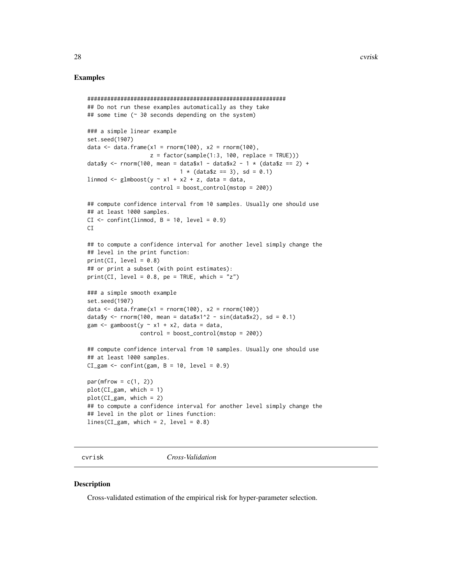# <span id="page-27-0"></span>Examples

```
############################################################
## Do not run these examples automatically as they take
## some time (~ 30 seconds depending on the system)
### a simple linear example
set.seed(1907)
data \leq data.frame(x1 = rnorm(100), x2 = rnorm(100),
                   z = factor(sample(1:3, 100, replace = TRUE)))data$y <- rnorm(100, mean = data$x1 - data$x2 - 1 * (data$z == 2) +
                            1 * (data\ = 3), sd = 0.1)
linmod \leq glmboost(y \sim x1 + x2 + z, data = data,
                   control = boost_countrol(mstop = 200))## compute confidence interval from 10 samples. Usually one should use
## at least 1000 samples.
CI \le confint(linmod, B = 10, level = 0.9)
C<sup>T</sup>
## to compute a confidence interval for another level simply change the
## level in the print function:
print(CI, level = 0.8)
## or print a subset (with point estimates):
print(CI, level = 0.8, pe = TRUE, which = "z")
### a simple smooth example
set.seed(1907)
data \le data.frame(x1 = rnorm(100), x2 = rnorm(100))
data$y <- rnorm(100, mean = data$x1^2 - sin(data$x2), sd = 0.1)
gam \leq gamboost(y \sim x1 + x2, data = data,
                control = boost_control(mstop = 200))
## compute confidence interval from 10 samples. Usually one should use
## at least 1000 samples.
CI\_gam \le confint(gam, B = 10, level = 0.9)
par(mfrow = c(1, 2))plot(CI_gam, which = 1)
plot(CI_gam, which = 2)
## to compute a confidence interval for another level simply change the
## level in the plot or lines function:
lines(CI_gam, which = 2, level = 0.8)
```
cvrisk *Cross-Validation*

#### Description

Cross-validated estimation of the empirical risk for hyper-parameter selection.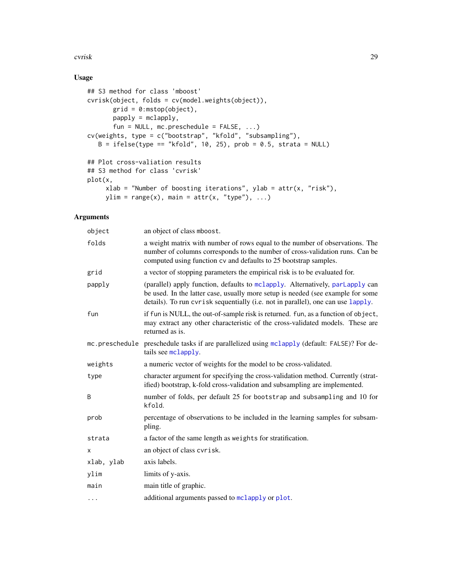<span id="page-28-0"></span>cvrisk 29

# Usage

```
## S3 method for class 'mboost'
cvrisk(object, folds = cv(model.weights(object)),
      grid = 0:mstop(object),
      papply = mclapply,
      fun = NULL, mc.preschedule = FALSE, ...)
cv(weights, type = c("bootstrap", "kfold", "subsampling"),
   B = ifelse(type == "kfold", 10, 25), prob = 0.5, strata = NULL)## Plot cross-valiation results
## S3 method for class 'cvrisk'
plot(x,
    xlab = "Number of boosting iterations", ylab = attr(x, "risk"),
    ylim = range(x), man = attr(x, "type"), ...)
```
# Arguments

| object     | an object of class mboost.                                                                                                                                                                                                                           |
|------------|------------------------------------------------------------------------------------------------------------------------------------------------------------------------------------------------------------------------------------------------------|
| folds      | a weight matrix with number of rows equal to the number of observations. The<br>number of columns corresponds to the number of cross-validation runs. Can be<br>computed using function cv and defaults to 25 bootstrap samples.                     |
| grid       | a vector of stopping parameters the empirical risk is to be evaluated for.                                                                                                                                                                           |
| papply     | (parallel) apply function, defaults to mclapply. Alternatively, parlapply can<br>be used. In the latter case, usually more setup is needed (see example for some<br>details). To run cvrisk sequentially (i.e. not in parallel), one can use lapply. |
| fun        | if fun is NULL, the out-of-sample risk is returned. fun, as a function of object,<br>may extract any other characteristic of the cross-validated models. These are<br>returned as is.                                                                |
|            | mc.preschedule preschedule tasks if are parallelized using mclapply (default: FALSE)? For de-<br>tails see mclapply.                                                                                                                                 |
| weights    | a numeric vector of weights for the model to be cross-validated.                                                                                                                                                                                     |
| type       | character argument for specifying the cross-validation method. Currently (strat-<br>ified) bootstrap, k-fold cross-validation and subsampling are implemented.                                                                                       |
| B          | number of folds, per default 25 for bootstrap and subsampling and 10 for<br>kfold.                                                                                                                                                                   |
| prob       | percentage of observations to be included in the learning samples for subsam-<br>pling.                                                                                                                                                              |
| strata     | a factor of the same length as weights for stratification.                                                                                                                                                                                           |
| x          | an object of class cvrisk.                                                                                                                                                                                                                           |
| xlab, ylab | axis labels.                                                                                                                                                                                                                                         |
| ylim       | limits of y-axis.                                                                                                                                                                                                                                    |
| main       | main title of graphic.                                                                                                                                                                                                                               |
| $\cdots$   | additional arguments passed to mclapply or plot.                                                                                                                                                                                                     |
|            |                                                                                                                                                                                                                                                      |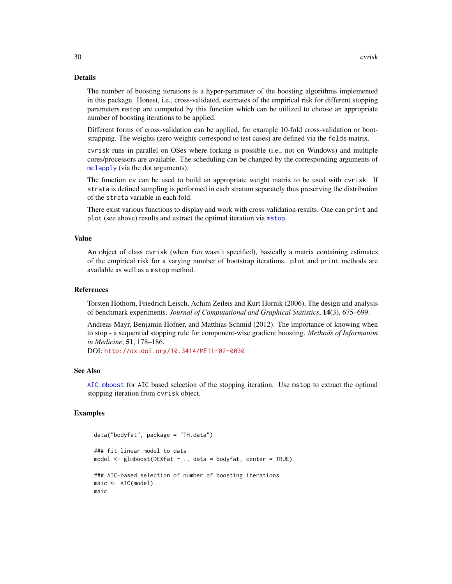# Details

The number of boosting iterations is a hyper-parameter of the boosting algorithms implemented in this package. Honest, i.e., cross-validated, estimates of the empirical risk for different stopping parameters mstop are computed by this function which can be utilized to choose an appropriate number of boosting iterations to be applied.

Different forms of cross-validation can be applied, for example 10-fold cross-validation or bootstrapping. The weights (zero weights correspond to test cases) are defined via the folds matrix.

cvrisk runs in parallel on OSes where forking is possible (i.e., not on Windows) and multiple cores/processors are available. The scheduling can be changed by the corresponding arguments of [mclapply](#page-0-0) (via the dot arguments).

The function cv can be used to build an appropriate weight matrix to be used with cvrisk. If strata is defined sampling is performed in each stratum separately thus preserving the distribution of the strata variable in each fold.

There exist various functions to display and work with cross-validation results. One can print and plot (see above) results and extract the optimal iteration via [mstop](#page-48-2).

# Value

An object of class cvrisk (when fun wasn't specified), basically a matrix containing estimates of the empirical risk for a varying number of bootstrap iterations. plot and print methods are available as well as a mstop method.

#### References

Torsten Hothorn, Friedrich Leisch, Achim Zeileis and Kurt Hornik (2006), The design and analysis of benchmark experiments. *Journal of Computational and Graphical Statistics*, 14(3), 675–699.

Andreas Mayr, Benjamin Hofner, and Matthias Schmid (2012). The importance of knowing when to stop - a sequential stopping rule for component-wise gradient boosting. *Methods of Information in Medicine*, 51, 178–186.

DOI: <http://dx.doi.org/10.3414/ME11-02-0030>

# See Also

[AIC.mboost](#page-48-2) for AIC based selection of the stopping iteration. Use mstop to extract the optimal stopping iteration from cvrisk object.

# Examples

```
data("bodyfat", package = "TH.data")
### fit linear model to data
model \leq glmboost(DEXfat \sim ., data = bodyfat, center = TRUE)
### AIC-based selection of number of boosting iterations
maic <- AIC(model)
maic
```
<span id="page-29-0"></span>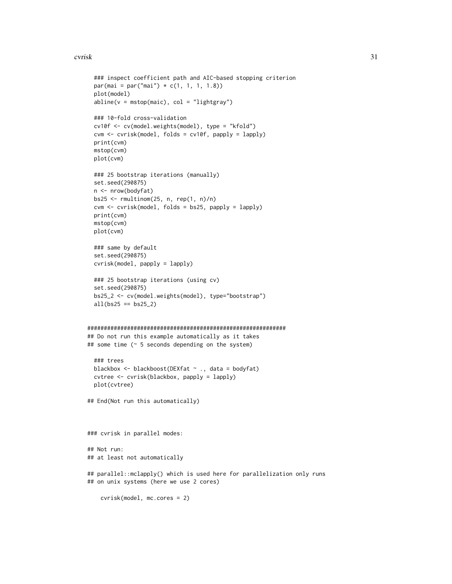#### cvrisk 31

```
### inspect coefficient path and AIC-based stopping criterion
 par(max = par("mai") * c(1, 1, 1, 1.8))plot(model)
 abline(v = mstop(maic), col = "lightgray")### 10-fold cross-validation
 cv10f <- cv(model.weights(model), type = "kfold")
 cvm <- cvrisk(model, folds = cv10f, papply = lapply)
 print(cvm)
 mstop(cvm)
 plot(cvm)
 ### 25 bootstrap iterations (manually)
 set.seed(290875)
 n <- nrow(bodyfat)
 bs25 <- rmultinom(25, n, rep(1, n)/n)
 cvm <- cvrisk(model, folds = bs25, papply = lapply)
 print(cvm)
 mstop(cvm)
 plot(cvm)
 ### same by default
 set.seed(290875)
 cvrisk(model, papply = lapply)
 ### 25 bootstrap iterations (using cv)
 set.seed(290875)
 bs25_2 <- cv(model.weights(model), type="bootstrap")
 all(bs25 == bs25_2)############################################################
## Do not run this example automatically as it takes
## some time (~ 5 seconds depending on the system)
 ### trees
 blackbox <- blackboost(DEXfat ~ ., data = bodyfat)
 cvtree <- cvrisk(blackbox, papply = lapply)
 plot(cvtree)
## End(Not run this automatically)
### cvrisk in parallel modes:
## Not run:
## at least not automatically
## parallel::mclapply() which is used here for parallelization only runs
## on unix systems (here we use 2 cores)
    cvrisk(model, mc.cores = 2)
```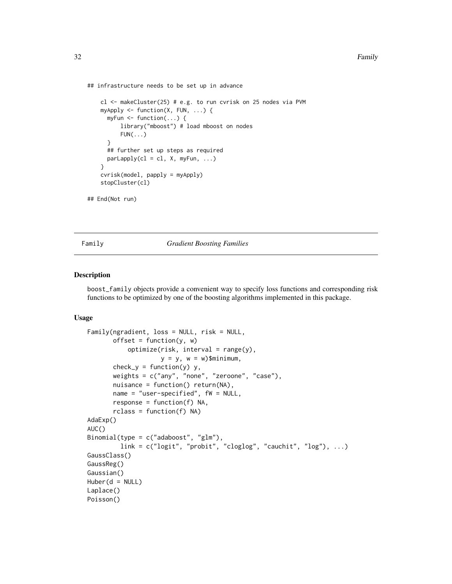<span id="page-31-0"></span>## infrastructure needs to be set up in advance

```
cl <- makeCluster(25) # e.g. to run cvrisk on 25 nodes via PVM
   myApply \leq function(X, FUN, ...) {
      myFun <- function(...) {
         library("mboost") # load mboost on nodes
          FUN(\ldots)}
      ## further set up steps as required
      parLapply(cl = cl, X, myFun, ...)}
    cvrisk(model, papply = myApply)
    stopCluster(cl)
## End(Not run)
```
<span id="page-31-2"></span>Family *Gradient Boosting Families*

# <span id="page-31-1"></span>Description

boost\_family objects provide a convenient way to specify loss functions and corresponding risk functions to be optimized by one of the boosting algorithms implemented in this package.

# Usage

```
Family(ngradient, loss = NULL, risk = NULL,
       offset = function(y, w)optimize(risk, interval = range(y),y = y, w = w)$minimum,
       check_y = function(y),
       weights = c("any", "none", "zeroone", "case"),
       nuisance = function() return(NA),
       name = "user-specified", fW = NULL,
       response = function(f) NA,
       rclass = function(f) NA)AdaExp()
AUC()
Binomial(type = c("adaboost", "glm"),
         link = c("logit", "probit", "cloglog", "cauchit", "log"), ...)
GaussClass()
GaussReg()
Gaussian()
Huber(d = NULL)Laplace()
Poisson()
```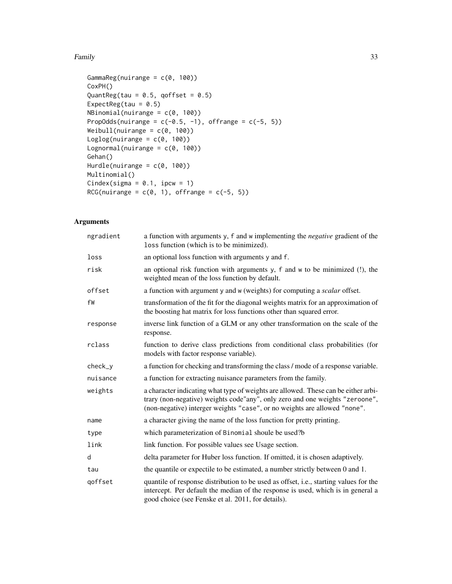# Family 33

```
GammaReg(nuirange = c(0, 100))
CoxPH()
QuantReg(tau = 0.5, qoffset = 0.5)
ExpectReg(tau = 0.5)
NBinomial(nuirange = c(0, 100))
PropOdds(nuirange = c(-0.5, -1), offrange = c(-5, 5))
Weibull(nuirange = c(0, 100))
Loglog(nuirange = c(0, 100))Lognormal(nuirange = c(\theta, 100))
Gehan()
Hurdle(nuirange = c(\theta, 100))
Multinomial()
Cindex(sigma = 0.1, ipcw = 1)
RCG(nuirange = c(0, 1), offrange = c(-5, 5))
```
# Arguments

| ngradient | a function with arguments y, f and w implementing the negative gradient of the<br>loss function (which is to be minimized).                                                                                                                     |
|-----------|-------------------------------------------------------------------------------------------------------------------------------------------------------------------------------------------------------------------------------------------------|
| loss      | an optional loss function with arguments y and f.                                                                                                                                                                                               |
| risk      | an optional risk function with arguments y, f and w to be minimized (!), the<br>weighted mean of the loss function by default.                                                                                                                  |
| offset    | a function with argument y and w (weights) for computing a <i>scalar</i> offset.                                                                                                                                                                |
| fW        | transformation of the fit for the diagonal weights matrix for an approximation of<br>the boosting hat matrix for loss functions other than squared error.                                                                                       |
| response  | inverse link function of a GLM or any other transformation on the scale of the<br>response.                                                                                                                                                     |
| rclass    | function to derive class predictions from conditional class probabilities (for<br>models with factor response variable).                                                                                                                        |
| $check_y$ | a function for checking and transforming the class / mode of a response variable.                                                                                                                                                               |
| nuisance  | a function for extracting nuisance parameters from the family.                                                                                                                                                                                  |
| weights   | a character indicating what type of weights are allowed. These can be either arbi-<br>trary (non-negative) weights code"any", only zero and one weights "zeroone",<br>(non-negative) interger weights "case", or no weights are allowed "none". |
| name      | a character giving the name of the loss function for pretty printing.                                                                                                                                                                           |
| type      | which parameterization of Binomial shoule be used?b                                                                                                                                                                                             |
| link      | link function. For possible values see Usage section.                                                                                                                                                                                           |
| d         | delta parameter for Huber loss function. If omitted, it is chosen adaptively.                                                                                                                                                                   |
| tau       | the quantile or expectile to be estimated, a number strictly between 0 and 1.                                                                                                                                                                   |
| qoffset   | quantile of response distribution to be used as offset, i.e., starting values for the<br>intercept. Per default the median of the response is used, which is in general a<br>good choice (see Fenske et al. 2011, for details).                 |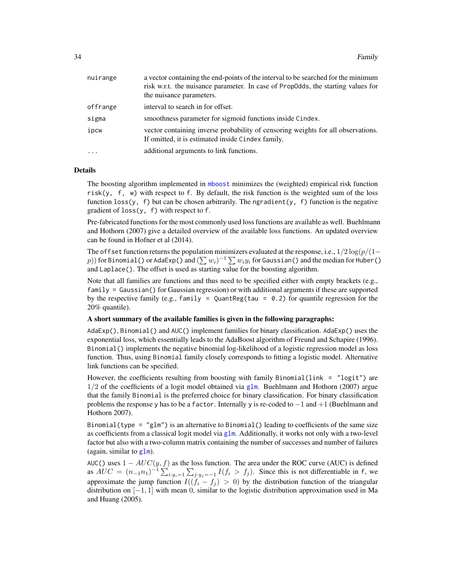<span id="page-33-0"></span>

| nuirange | a vector containing the end-points of the interval to be searched for the minimum<br>risk w.r.t. the nuisance parameter. In case of PropOdds, the starting values for<br>the nuisance parameters. |
|----------|---------------------------------------------------------------------------------------------------------------------------------------------------------------------------------------------------|
| offrange | interval to search in for offset.                                                                                                                                                                 |
| sigma    | smoothness parameter for sigmoid functions inside Cindex.                                                                                                                                         |
| ipcw     | vector containing inverse probability of censoring weights for all observations.<br>If omitted, it is estimated inside Cindex family.                                                             |
| $\cdots$ | additional arguments to link functions.                                                                                                                                                           |

# Details

The boosting algorithm implemented in [mboost](#page-44-2) minimizes the (weighted) empirical risk function risk $(y, f, w)$  with respect to f. By default, the risk function is the weighted sum of the loss function loss(y, f) but can be chosen arbitrarily. The ngradient(y, f) function is the negative gradient of loss(y, f) with respect to f.

Pre-fabricated functions for the most commonly used loss functions are available as well. Buehlmann and Hothorn (2007) give a detailed overview of the available loss functions. An updated overview can be found in Hofner et al (2014).

The offset function returns the population minimizers evaluated at the response, i.e.,  $1/2 \log (p/(1-p))$  $(p))$  for Binomial() or AdaExp() and  $(\sum w_i)^{-1} \sum w_i y_i$  for Gaussian() and the median for Huber() and Laplace(). The offset is used as starting value for the boosting algorithm.

Note that all families are functions and thus need to be specified either with empty brackets (e.g.,  $family = Gaussian()$  for Gaussian regression) or with additional arguments if these are supported by the respective family (e.g., family = QuantReg(tau =  $0.2$ ) for quantile regression for the 20% quantile).

#### A short summary of the available families is given in the following paragraphs:

AdaExp(), Binomial() and AUC() implement families for binary classification. AdaExp() uses the exponential loss, which essentially leads to the AdaBoost algorithm of Freund and Schapire (1996). Binomial() implements the negative binomial log-likelihood of a logistic regression model as loss function. Thus, using Binomial family closely corresponds to fitting a logistic model. Alternative link functions can be specified.

However, the coefficients resulting from boosting with family Binomial(link = "logit") are  $1/2$  of the coefficients of a logit model obtained via [glm](#page-0-0). Buehlmann and Hothorn (2007) argue that the family Binomial is the preferred choice for binary classification. For binary classification problems the response y has to be a factor. Internally y is re-coded to  $-1$  and  $+1$  (Buehlmann and Hothorn 2007).

Binomial(type =  $"g1m"$ ) is an alternative to Binomial() leading to coefficients of the same size as coefficients from a classical logit model via [glm](#page-0-0). Additionally, it works not only with a two-level factor but also with a two-column matrix containing the number of successes and number of failures (again, similar to  $g1m$ ).

AUC() uses  $1 - AUC(y, f)$  as the loss function. The area under the ROC curve (AUC) is defined as  $AUC = (n_{-1}n_1)^{-1} \sum_{i:y_i=1} \sum_{j:y_j=-1} I(f_i > f_j)$ . Since this is not differentiable in f, we approximate the jump function  $I((f_i - f_j) > 0)$  by the distribution function of the triangular distribution on [−1, 1] with mean 0, similar to the logistic distribution approximation used in Ma and Huang (2005).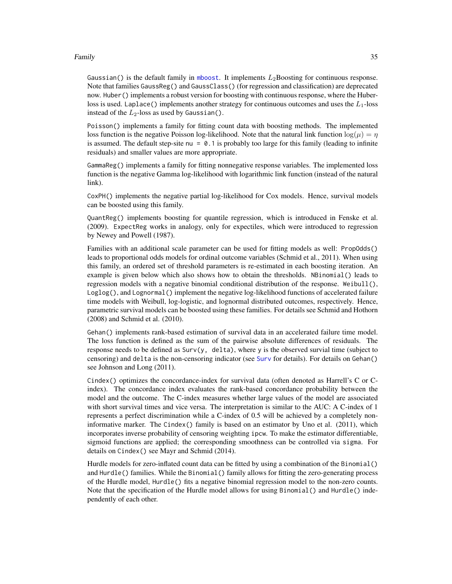# <span id="page-34-0"></span>Family 35

Gaussian() is the default family in [mboost](#page-44-2). It implements  $L_2$ Boosting for continuous response. Note that families GaussReg() and GaussClass() (for regression and classification) are deprecated now. Huber() implements a robust version for boosting with continuous response, where the Huberloss is used. Laplace() implements another strategy for continuous outcomes and uses the  $L_1$ -loss instead of the  $L_2$ -loss as used by Gaussian().

Poisson() implements a family for fitting count data with boosting methods. The implemented loss function is the negative Poisson log-likelihood. Note that the natural link function  $\log(\mu) = \eta$ is assumed. The default step-site nu =  $\theta$ . 1 is probably too large for this family (leading to infinite residuals) and smaller values are more appropriate.

GammaReg() implements a family for fitting nonnegative response variables. The implemented loss function is the negative Gamma log-likelihood with logarithmic link function (instead of the natural link).

CoxPH() implements the negative partial log-likelihood for Cox models. Hence, survival models can be boosted using this family.

QuantReg() implements boosting for quantile regression, which is introduced in Fenske et al. (2009). ExpectReg works in analogy, only for expectiles, which were introduced to regression by Newey and Powell (1987).

Families with an additional scale parameter can be used for fitting models as well: PropOdds() leads to proportional odds models for ordinal outcome variables (Schmid et al., 2011). When using this family, an ordered set of threshold parameters is re-estimated in each boosting iteration. An example is given below which also shows how to obtain the thresholds. NBinomial() leads to regression models with a negative binomial conditional distribution of the response. Weibull(), Loglog(), and Lognormal() implement the negative log-likelihood functions of accelerated failure time models with Weibull, log-logistic, and lognormal distributed outcomes, respectively. Hence, parametric survival models can be boosted using these families. For details see Schmid and Hothorn (2008) and Schmid et al. (2010).

Gehan() implements rank-based estimation of survival data in an accelerated failure time model. The loss function is defined as the sum of the pairwise absolute differences of residuals. The response needs to be defined as Surv(y, delta), where y is the observed survial time (subject to censoring) and delta is the non-censoring indicator (see [Surv](#page-0-0) for details). For details on Gehan() see Johnson and Long (2011).

Cindex() optimizes the concordance-index for survival data (often denoted as Harrell's C or Cindex). The concordance index evaluates the rank-based concordance probability between the model and the outcome. The C-index measures whether large values of the model are associated with short survival times and vice versa. The interpretation is similar to the AUC: A C-index of 1 represents a perfect discrimination while a C-index of 0.5 will be achieved by a completely noninformative marker. The Cindex() family is based on an estimator by Uno et al. (2011), which incorporates inverse probability of censoring weighting ipcw. To make the estimator differentiable, sigmoid functions are applied; the corresponding smoothness can be controlled via sigma. For details on Cindex() see Mayr and Schmid (2014).

Hurdle models for zero-inflated count data can be fitted by using a combination of the Binomial() and Hurdle() families. While the Binomial() family allows for fitting the zero-generating process of the Hurdle model, Hurdle() fits a negative binomial regression model to the non-zero counts. Note that the specification of the Hurdle model allows for using Binomial() and Hurdle() independently of each other.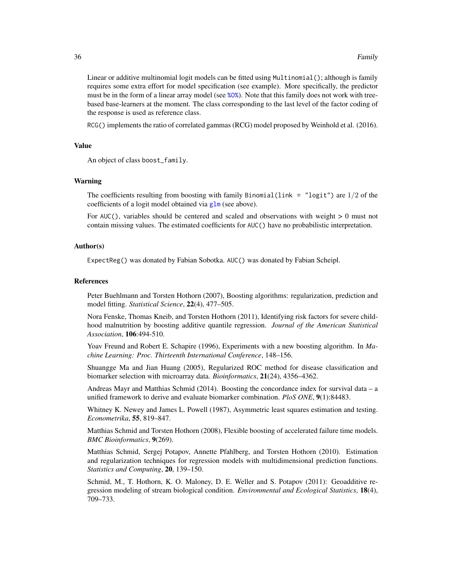Linear or additive multinomial logit models can be fitted using Multinomial(); although is family requires some extra effort for model specification (see example). More specifically, the predictor must be in the form of a linear array model (see [%O%](#page-6-1)). Note that this family does not work with treebased base-learners at the moment. The class corresponding to the last level of the factor coding of the response is used as reference class.

RCG() implements the ratio of correlated gammas (RCG) model proposed by Weinhold et al. (2016).

# Value

An object of class boost\_family.

# Warning

The coefficients resulting from boosting with family Binomial(link = "logit") are  $1/2$  of the coefficients of a logit model obtained via  $g \ln$  (see above).

For AUC(), variables should be centered and scaled and observations with weight > 0 must not contain missing values. The estimated coefficients for AUC() have no probabilistic interpretation.

# Author(s)

ExpectReg() was donated by Fabian Sobotka. AUC() was donated by Fabian Scheipl.

#### References

Peter Buehlmann and Torsten Hothorn (2007), Boosting algorithms: regularization, prediction and model fitting. *Statistical Science*, 22(4), 477–505.

Nora Fenske, Thomas Kneib, and Torsten Hothorn (2011), Identifying risk factors for severe childhood malnutrition by boosting additive quantile regression. *Journal of the American Statistical Association*, 106:494-510.

Yoav Freund and Robert E. Schapire (1996), Experiments with a new boosting algorithm. In *Machine Learning: Proc. Thirteenth International Conference*, 148–156.

Shuangge Ma and Jian Huang (2005), Regularized ROC method for disease classification and biomarker selection with microarray data. *Bioinformatics*, 21(24), 4356–4362.

Andreas Mayr and Matthias Schmid (2014). Boosting the concordance index for survival data – a unified framework to derive and evaluate biomarker combination. *PloS ONE*, 9(1):84483.

Whitney K. Newey and James L. Powell (1987), Asymmetric least squares estimation and testing. *Econometrika*, 55, 819–847.

Matthias Schmid and Torsten Hothorn (2008), Flexible boosting of accelerated failure time models. *BMC Bioinformatics*, 9(269).

Matthias Schmid, Sergej Potapov, Annette Pfahlberg, and Torsten Hothorn (2010). Estimation and regularization techniques for regression models with multidimensional prediction functions. *Statistics and Computing*, 20, 139–150.

Schmid, M., T. Hothorn, K. O. Maloney, D. E. Weller and S. Potapov (2011): Geoadditive regression modeling of stream biological condition. *Environmental and Ecological Statistics*, 18(4), 709–733.

<span id="page-35-0"></span>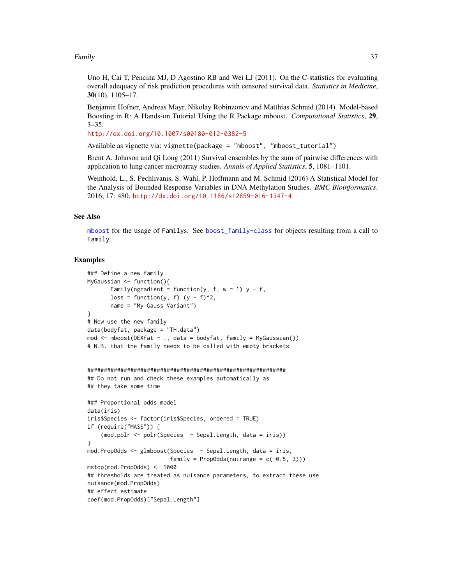# <span id="page-36-0"></span>Family 37

Uno H, Cai T, Pencina MJ, D Agostino RB and Wei LJ (2011). On the C-statistics for evaluating overall adequacy of risk prediction procedures with censored survival data. *Statistics in Medicine*,  $30(10)$ ,  $1105-17$ .

Benjamin Hofner, Andreas Mayr, Nikolay Robinzonov and Matthias Schmid (2014). Model-based Boosting in R: A Hands-on Tutorial Using the R Package mboost. *Computational Statistics*, 29,  $3 - 35.$ 

<http://dx.doi.org/10.1007/s00180-012-0382-5>

Available as vignette via: vignette(package = "mboost", "mboost\_tutorial")

Brent A. Johnson and Qi Long (2011) Survival ensembles by the sum of pairwise differences with application to lung cancer microarray studies. *Annals of Applied Statistics*, 5, 1081–1101.

Weinhold, L., S. Pechlivanis, S. Wahl, P. Hoffmann and M. Schmid (2016) A Statistical Model for the Analysis of Bounded Response Variables in DNA Methylation Studies. *BMC Bioinformatics*. 2016; 17: 480. <http://dx.doi.org/10.1186/s12859-016-1347-4>

# See Also

[mboost](#page-44-2) for the usage of Familys. See [boost\\_family-class](#page-24-1) for objects resulting from a call to Family.

# Examples

```
### Define a new family
MyGaussian <- function(){
      Family(ngradient = function(y, f, w = 1) y - f,
      loss = function(y, f) (y - f)^2,
      name = "My Gauss Variant")
}
# Now use the new family
data(bodyfat, package = "TH.data")
mod \leq mboost(DEXfat \sim ., data = bodyfat, family = MyGaussian())
# N.B. that the family needs to be called with empty brackets
############################################################
## Do not run and check these examples automatically as
## they take some time
### Proportional odds model
data(iris)
iris$Species <- factor(iris$Species, ordered = TRUE)
if (require("MASS")) {
    (mod.polr <- polr(Species ~ Sepal.Length, data = iris))
}
mod.PropOdds <- glmboost(Species ~ Sepal.Length, data = iris,
                         family = PropOdds(numimage = c(-0.5, 3)))mstop(mod.PropOdds) <- 1000
## thresholds are treated as nuisance parameters, to extract these use
nuisance(mod.PropOdds)
## effect estimate
coef(mod.PropOdds)["Sepal.Length"]
```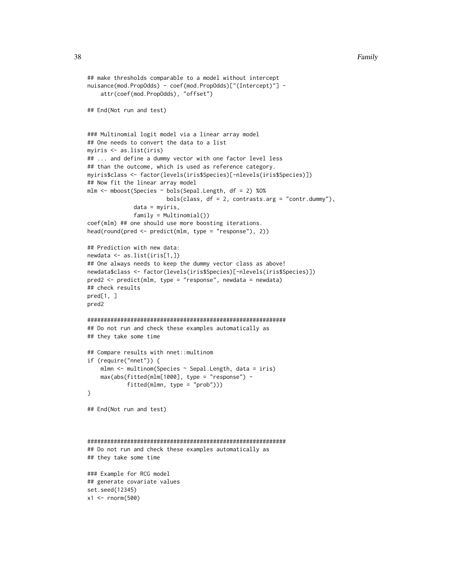```
## make thresholds comparable to a model without intercept
nuisance(mod.PropOdds) - coef(mod.PropOdds)["(Intercept)"] -
    attr(coef(mod.PropOdds), "offset")
## End(Not run and test)
### Multinomial logit model via a linear array model
## One needs to convert the data to a list
myiris <- as.list(iris)
## ... and define a dummy vector with one factor level less
## than the outcome, which is used as reference category.
myiris$class <- factor(levels(iris$Species)[-nlevels(iris$Species)])
## Now fit the linear array model
mlm <- mboost(Species ~ bols(Sepal.Length, df = 2) %O%
                        bols(class, df = 2, contrasts.arg = "contr.dummy"),
              data = myiris,
              family = Multinomial())
coef(mlm) ## one should use more boosting iterations.
head(round(pred <- predict(mlm, type = "response"), 2))
## Prediction with new data:
newdata <- as.list(iris[1,])
## One always needs to keep the dummy vector class as above!
newdata$class <- factor(levels(iris$Species)[-nlevels(iris$Species)])
pred2 <- predict(mlm, type = "response", newdata = newdata)
## check results
pred[1, ]
pred2
############################################################
## Do not run and check these examples automatically as
## they take some time
## Compare results with nnet::multinom
if (require("nnet")) {
   mlmn <- multinom(Species ~ Sepal.Length, data = iris)
   max(abs(fitted(mlm[1000], type = "response") -
            fitted(mlmn, type = "prob")))
}
## End(Not run and test)
############################################################
## Do not run and check these examples automatically as
## they take some time
### Example for RCG model
## generate covariate values
set.seed(12345)
x1 <- rnorm(500)
```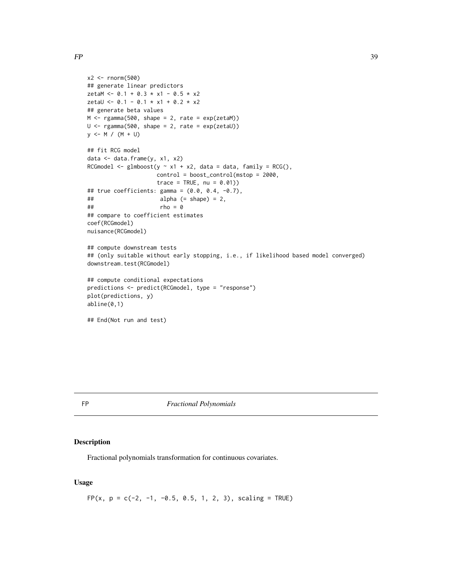```
x2 <- rnorm(500)
## generate linear predictors
zetaM <- 0.1 + 0.3 * x1 - 0.5 * x2
zetaU <- 0.1 - 0.1 * x1 + 0.2 * x2
## generate beta values
M < - rgamma(500, shape = 2, rate = exp(zeta))
U \leq - \text{rgamma}(500, \text{ shape} = 2, \text{ rate} = \exp(\text{zeta}))y <- M / (M + U)
## fit RCG model
data <- data.frame(y, x1, x2)
RCGmodel \leq glmboost(y \sim x1 + x2, data = data, family = RCG(),
                     control = boost_control(mstop = 2000,
                     trace = TRUE, nu = 0.01)## true coefficients: gamma = (0.0, 0.4, -0.7),
## alpha (= shape) = 2,
\# \# rho = 0
## compare to coefficient estimates
coef(RCGmodel)
nuisance(RCGmodel)
## compute downstream tests
## (only suitable without early stopping, i.e., if likelihood based model converged)
downstream.test(RCGmodel)
## compute conditional expectations
predictions <- predict(RCGmodel, type = "response")
plot(predictions, y)
abline(0,1)
## End(Not run and test)
```
FP *Fractional Polynomials*

# Description

Fractional polynomials transformation for continuous covariates.

# Usage

FP(x,  $p = c(-2, -1, -0.5, 0.5, 1, 2, 3)$ , scaling = TRUE)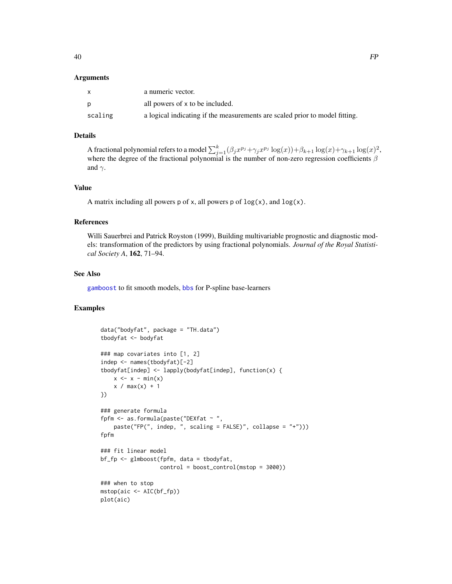#### <span id="page-39-0"></span>Arguments

|         | a numeric vector.                                                           |
|---------|-----------------------------------------------------------------------------|
|         | all powers of x to be included.                                             |
| scaling | a logical indicating if the measurements are scaled prior to model fitting. |

#### Details

A fractional polynomial refers to a model  $\sum_{j=1}^k (\beta_j x^{p_j} + \gamma_j x^{p_j} \log(x)) + \beta_{k+1} \log(x) + \gamma_{k+1} \log(x)^2$ , where the degree of the fractional polynomial is the number of non-zero regression coefficients  $\beta$ and  $\gamma$ .

# Value

A matrix including all powers  $p$  of x, all powers  $p$  of  $log(x)$ , and  $log(x)$ .

# References

Willi Sauerbrei and Patrick Royston (1999), Building multivariable prognostic and diagnostic models: transformation of the predictors by using fractional polynomials. *Journal of the Royal Statistical Society A*, 162, 71–94.

#### See Also

[gamboost](#page-44-1) to fit smooth models, [bbs](#page-6-1) for P-spline base-learners

# Examples

```
data("bodyfat", package = "TH.data")
tbodyfat <- bodyfat
### map covariates into [1, 2]
indep <- names(tbodyfat)[-2]
tbodyfat[indep] <- lapply(bodyfat[indep], function(x) {
   x \leq x - \min(x)x / max(x) + 1})
### generate formula
fpfm <- as.formula(paste("DEXfat ~ ",
    paste("FP(", indep, ", scaling = FALSE)", collapse = "+")))
fpfm
### fit linear model
bf_fp <- glmboost(fpfm, data = tbodyfat,
                 control = boost_control(mstop = 3000))
### when to stop
mstop(aic <- AIC(bf_fp))
plot(aic)
```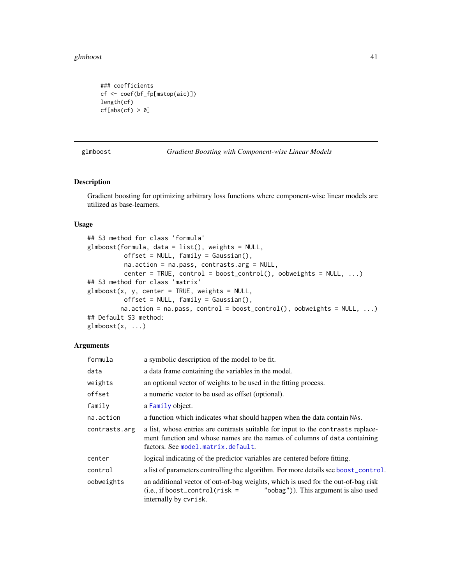#### <span id="page-40-0"></span>glmboost 41

```
### coefficients
cf <- coef(bf_fp[mstop(aic)])
length(cf)
cf[abs(cf) > 0]
```
<span id="page-40-1"></span>glmboost *Gradient Boosting with Component-wise Linear Models*

# Description

Gradient boosting for optimizing arbitrary loss functions where component-wise linear models are utilized as base-learners.

# Usage

```
## S3 method for class 'formula'
glmboost(formula, data = list(), weights = NULL,
          offset = NULL, family = Gaussian(),
          na.action = na.pass, contrasts.arg = NULL,
          center = TRUE, control = boost_control(), oobweights = NULL, ...)
## S3 method for class 'matrix'
glmboost(x, y, center = TRUE, weights = NULL,offset = NULL, family = Gaussian(),
         na. action = na.pass, control = boost_control(), oobweights = NULL, ...)
## Default S3 method:
glmboost(x, ...)
```
# Arguments

| formula       | a symbolic description of the model to be fit.                                                                                                                                                      |
|---------------|-----------------------------------------------------------------------------------------------------------------------------------------------------------------------------------------------------|
| data          | a data frame containing the variables in the model.                                                                                                                                                 |
| weights       | an optional vector of weights to be used in the fitting process.                                                                                                                                    |
| offset        | a numeric vector to be used as offset (optional).                                                                                                                                                   |
| family        | a Family object.                                                                                                                                                                                    |
| na.action     | a function which indicates what should happen when the data contain NAs.                                                                                                                            |
| contrasts.arg | a list, whose entries are contrasts suitable for input to the contrasts replace-<br>ment function and whose names are the names of columns of data containing<br>factors. See model.matrix.default. |
| center        | logical indicating of the predictor variables are centered before fitting.                                                                                                                          |
| control       | a list of parameters controlling the algorithm. For more details see boost_control.                                                                                                                 |
| oobweights    | an additional vector of out-of-bag weights, which is used for the out-of-bag risk<br>"oobag")). This argument is also used<br>$(i.e., if boost-control(risk =$<br>internally by cvrisk.             |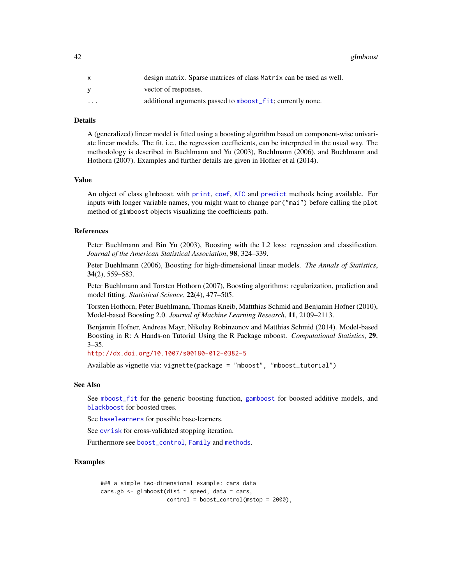<span id="page-41-0"></span>42 glmboost

| x                 | design matrix. Sparse matrices of class Matrix can be used as well. |
|-------------------|---------------------------------------------------------------------|
|                   | vector of responses.                                                |
| $\cdot\cdot\cdot$ | additional arguments passed to mboost_fit; currently none.          |

# Details

A (generalized) linear model is fitted using a boosting algorithm based on component-wise univariate linear models. The fit, i.e., the regression coefficients, can be interpreted in the usual way. The methodology is described in Buehlmann and Yu (2003), Buehlmann (2006), and Buehlmann and Hothorn (2007). Examples and further details are given in Hofner et al (2014).

#### Value

An object of class glmboost with [print](#page-0-0), [coef](#page-0-0), [AIC](#page-0-0) and [predict](#page-0-0) methods being available. For inputs with longer variable names, you might want to change par("mai") before calling the plot method of glmboost objects visualizing the coefficients path.

# References

Peter Buehlmann and Bin Yu (2003), Boosting with the L2 loss: regression and classification. *Journal of the American Statistical Association*, 98, 324–339.

Peter Buehlmann (2006), Boosting for high-dimensional linear models. *The Annals of Statistics*, 34(2), 559–583.

Peter Buehlmann and Torsten Hothorn (2007), Boosting algorithms: regularization, prediction and model fitting. *Statistical Science*, 22(4), 477–505.

Torsten Hothorn, Peter Buehlmann, Thomas Kneib, Mattthias Schmid and Benjamin Hofner (2010), Model-based Boosting 2.0. *Journal of Machine Learning Research*, 11, 2109–2113.

Benjamin Hofner, Andreas Mayr, Nikolay Robinzonov and Matthias Schmid (2014). Model-based Boosting in R: A Hands-on Tutorial Using the R Package mboost. *Computational Statistics*, 29,  $3 - 35.$ 

<http://dx.doi.org/10.1007/s00180-012-0382-5>

Available as vignette via: vignette(package = "mboost", "mboost\_tutorial")

#### See Also

See [mboost\\_fit](#page-46-1) for the generic boosting function, [gamboost](#page-44-1) for boosted additive models, and [blackboost](#page-20-1) for boosted trees.

See [baselearners](#page-6-2) for possible base-learners.

See cyrisk for cross-validated stopping iteration.

Furthermore see [boost\\_control](#page-23-1), [Family](#page-31-2) and [methods](#page-48-1).

# Examples

```
### a simple two-dimensional example: cars data
cars.gb <- glmboost(dist ~ speed, data = cars,
                   control = boost_countrol(mstop = 2000),
```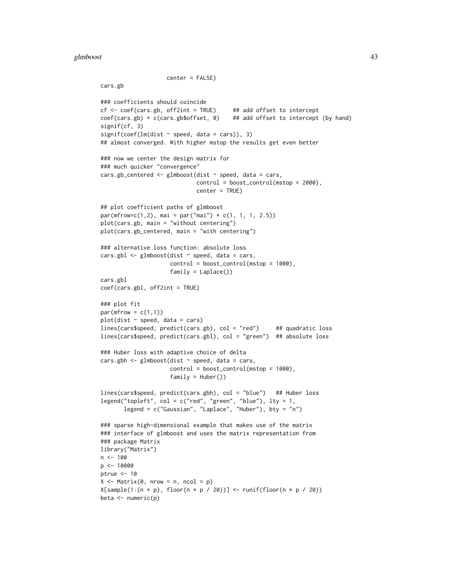#### glmboost 43

cars.gb

```
center = FALSE)
```

```
### coefficients should coincide
cf \leq coef(cars.gb, off2int = TRUE) ## add offset to intercept
coef(cars.gb) + c(cars.gb$offset, 0) ## add offset to intercept (by hand)
signif(cf, 3)
signif(coef(lm(dist \sim speed, data = cars)), 3)
## almost converged. With higher mstop the results get even better
### now we center the design matrix for
### much quicker "convergence"
cars.gb_centered <- glmboost(dist \sim speed, data = cars,
                             control = boost_countrol(mstop = 2000),
                             center = TRUE)
## plot coefficient paths of glmboost
par(mfrow=c(1,2), mai = par("mai") * c(1, 1, 1, 2.5))plot(cars.gb, main = "without centering")
plot(cars.gb_centered, main = "with centering")
### alternative loss function: absolute loss
cars.gbl <- glmboost(dist ~ speed, data = cars,
                     control = boost_countrol(mstop = 1000),
                     family = Laplace()cars.gbl
coef(cars.gbl, off2int = TRUE)
### plot fit
par(mfrow = c(1,1))plot(dist ~ ~ speed, data = cars)lines(cars$speed, predict(cars.gb), col = "red") ## quadratic loss
lines(cars$speed, predict(cars.gbl), col = "green") ## absolute loss
### Huber loss with adaptive choice of delta
cars.gbh \leq glmboost(dist \sim speed, data = cars,
                     control = boost_countrol(mstop = 1000),
                     family = Huber()lines(cars$speed, predict(cars.gbh), col = "blue") ## Huber loss
legend("topleft", col = c("red", "green", "blue"), lty = 1,
       legend = c("Gaussian", "Laplace", "Huber"), bty = "n")
### sparse high-dimensional example that makes use of the matrix
### interface of glmboost and uses the matrix representation from
### package Matrix
library("Matrix")
n < -100p <- 10000
ptrue <- 10
X \leq - Matrix(0, nrow = n, ncol = p)
X[sample(1:(n * p), floor(n * p / 20))] <- runif(floor(n * p / 20))
beta <- numeric(p)
```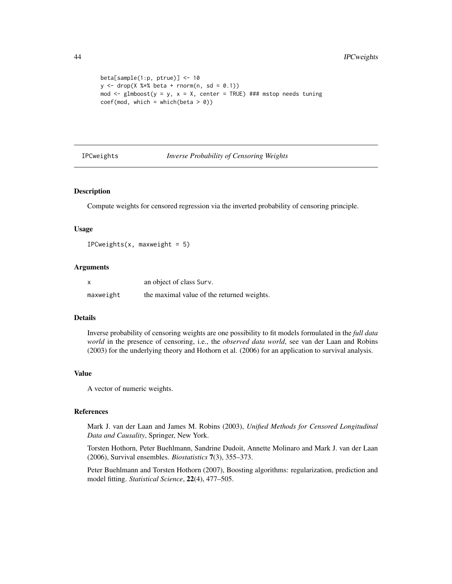```
beta[sample(1:p, ptrue)] <- 10
y \le - drop(X %*% beta + rnorm(n, sd = 0.1))
mod \le glmboost(y = y, x = X, center = TRUE) ### mstop needs tuning
coef(mod, which = which(beta > 0))
```
IPCweights *Inverse Probability of Censoring Weights*

# Description

Compute weights for censored regression via the inverted probability of censoring principle.

#### Usage

IPCweights( $x$ , maxweight = 5)

# Arguments

| x         | an object of class Surv.                   |
|-----------|--------------------------------------------|
| maxweight | the maximal value of the returned weights. |

# Details

Inverse probability of censoring weights are one possibility to fit models formulated in the *full data world* in the presence of censoring, i.e., the *observed data world*, see van der Laan and Robins (2003) for the underlying theory and Hothorn et al. (2006) for an application to survival analysis.

# Value

A vector of numeric weights.

# References

Mark J. van der Laan and James M. Robins (2003), *Unified Methods for Censored Longitudinal Data and Causality*, Springer, New York.

Torsten Hothorn, Peter Buehlmann, Sandrine Dudoit, Annette Molinaro and Mark J. van der Laan (2006), Survival ensembles. *Biostatistics* 7(3), 355–373.

Peter Buehlmann and Torsten Hothorn (2007), Boosting algorithms: regularization, prediction and model fitting. *Statistical Science*, 22(4), 477–505.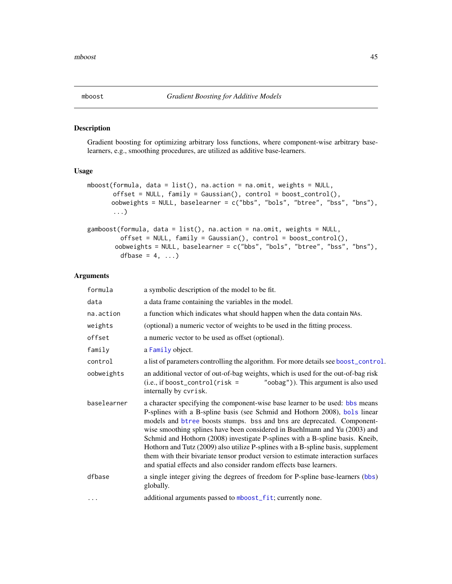<span id="page-44-2"></span><span id="page-44-0"></span>

# <span id="page-44-1"></span>Description

Gradient boosting for optimizing arbitrary loss functions, where component-wise arbitrary baselearners, e.g., smoothing procedures, are utilized as additive base-learners.

# Usage

```
mboost(formula, data = list(), na.action = na.omit, weights = NULL,
       offset = NULL, family = Gaussian(), control = boost_control(),
      oobweights = NULL, baselearner = c("bbs", "bols", "btree", "bss", "bns"),
       ...)
```

```
gamboost(formula, data = list(), na.action = na.omit, weights = NULL,
        offset = NULL, family = Gaussian(), control = boost_control(),
       oobweights = NULL, baselearner = c("bbs", "bols", "btree", "bss", "bns"),
         dfbase = 4, ...)
```
# Arguments

| formula     | a symbolic description of the model to be fit.                                                                                                                                                                                                                                                                                                                                                                                                                                                                                                                                                                                                      |
|-------------|-----------------------------------------------------------------------------------------------------------------------------------------------------------------------------------------------------------------------------------------------------------------------------------------------------------------------------------------------------------------------------------------------------------------------------------------------------------------------------------------------------------------------------------------------------------------------------------------------------------------------------------------------------|
| data        | a data frame containing the variables in the model.                                                                                                                                                                                                                                                                                                                                                                                                                                                                                                                                                                                                 |
| na.action   | a function which indicates what should happen when the data contain NAs.                                                                                                                                                                                                                                                                                                                                                                                                                                                                                                                                                                            |
| weights     | (optional) a numeric vector of weights to be used in the fitting process.                                                                                                                                                                                                                                                                                                                                                                                                                                                                                                                                                                           |
| offset      | a numeric vector to be used as offset (optional).                                                                                                                                                                                                                                                                                                                                                                                                                                                                                                                                                                                                   |
| family      | a Family object.                                                                                                                                                                                                                                                                                                                                                                                                                                                                                                                                                                                                                                    |
| control     | a list of parameters controlling the algorithm. For more details see boost_control.                                                                                                                                                                                                                                                                                                                                                                                                                                                                                                                                                                 |
| oobweights  | an additional vector of out-of-bag weights, which is used for the out-of-bag risk<br>"oobag")). This argument is also used<br>$(i.e., if boost-control(risk =$<br>internally by cvrisk.                                                                                                                                                                                                                                                                                                                                                                                                                                                             |
| baselearner | a character specifying the component-wise base learner to be used: bbs means<br>P-splines with a B-spline basis (see Schmid and Hothorn 2008), bols linear<br>models and btree boosts stumps. bss and bns are deprecated. Component-<br>wise smoothing splines have been considered in Buehlmann and Yu (2003) and<br>Schmid and Hothorn (2008) investigate P-splines with a B-spline basis. Kneib,<br>Hothorn and Tutz (2009) also utilize P-splines with a B-spline basis, supplement<br>them with their bivariate tensor product version to estimate interaction surfaces<br>and spatial effects and also consider random effects base learners. |
| dfbase      | a single integer giving the degrees of freedom for P-spline base-learners (bbs)<br>globally.                                                                                                                                                                                                                                                                                                                                                                                                                                                                                                                                                        |
| $\cdots$    | additional arguments passed to mboost_fit; currently none.                                                                                                                                                                                                                                                                                                                                                                                                                                                                                                                                                                                          |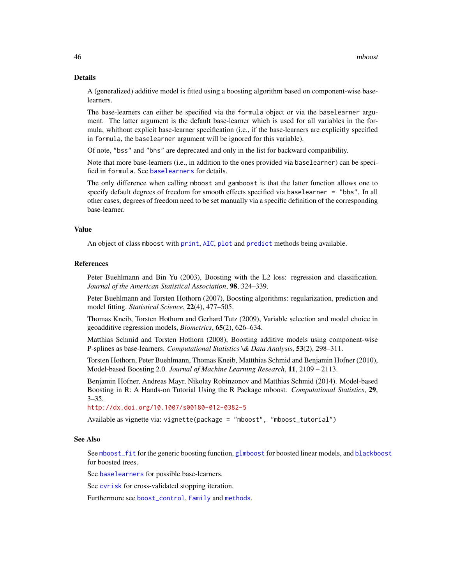#### <span id="page-45-0"></span>Details

A (generalized) additive model is fitted using a boosting algorithm based on component-wise baselearners.

The base-learners can either be specified via the formula object or via the baselearner argument. The latter argument is the default base-learner which is used for all variables in the formula, whithout explicit base-learner specification (i.e., if the base-learners are explicitly specified in formula, the baselearner argument will be ignored for this variable).

Of note, "bss" and "bns" are deprecated and only in the list for backward compatibility.

Note that more base-learners (i.e., in addition to the ones provided via baselearner) can be specified in formula. See [baselearners](#page-6-2) for details.

The only difference when calling mboost and gamboost is that the latter function allows one to specify default degrees of freedom for smooth effects specified via baselearner = "bbs". In all other cases, degrees of freedom need to be set manually via a specific definition of the corresponding base-learner.

# Value

An object of class mboost with [print](#page-0-0), [AIC](#page-0-0), [plot](#page-56-2) and [predict](#page-0-0) methods being available.

# References

Peter Buehlmann and Bin Yu (2003), Boosting with the L2 loss: regression and classification. *Journal of the American Statistical Association*, 98, 324–339.

Peter Buehlmann and Torsten Hothorn (2007), Boosting algorithms: regularization, prediction and model fitting. *Statistical Science*, 22(4), 477–505.

Thomas Kneib, Torsten Hothorn and Gerhard Tutz (2009), Variable selection and model choice in geoadditive regression models, *Biometrics*, 65(2), 626–634.

Matthias Schmid and Torsten Hothorn (2008), Boosting additive models using component-wise P-splines as base-learners. *Computational Statistics \& Data Analysis*, 53(2), 298–311.

Torsten Hothorn, Peter Buehlmann, Thomas Kneib, Mattthias Schmid and Benjamin Hofner (2010), Model-based Boosting 2.0. *Journal of Machine Learning Research*, 11, 2109 – 2113.

Benjamin Hofner, Andreas Mayr, Nikolay Robinzonov and Matthias Schmid (2014). Model-based Boosting in R: A Hands-on Tutorial Using the R Package mboost. *Computational Statistics*, 29,  $3 - 35.$ 

<http://dx.doi.org/10.1007/s00180-012-0382-5>

Available as vignette via: vignette(package = "mboost", "mboost\_tutorial")

#### See Also

See [mboost\\_fit](#page-46-1) for the generic boosting function, [glmboost](#page-40-1) for boosted linear models, and [blackboost](#page-20-1) for boosted trees.

See [baselearners](#page-6-2) for possible base-learners.

See [cvrisk](#page-27-1) for cross-validated stopping iteration.

Furthermore see [boost\\_control](#page-23-1), [Family](#page-31-2) and [methods](#page-48-1).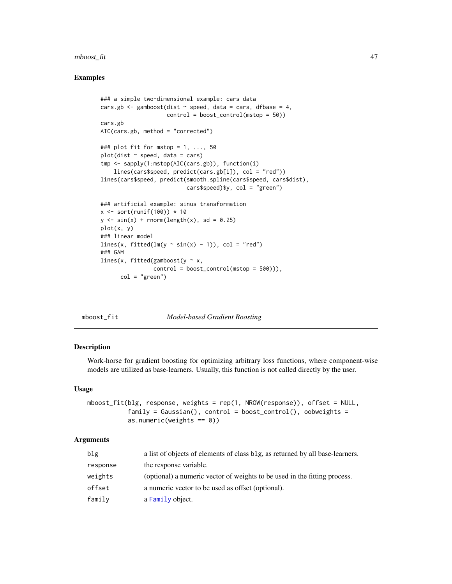#### <span id="page-46-0"></span>mboost\_fit 47

# Examples

```
### a simple two-dimensional example: cars data
cars.gb \leq gamboost(dist \sim speed, data = cars, dfbase = 4,
                     control = boost_countrol(mstop = 50)cars.gb
AIC(cars.gb, method = "corrected")
### plot fit for mstop = 1, \ldots, 50plot(dist ~ ~ speed, data = cars)tmp <- sapply(1:mstop(AIC(cars.gb)), function(i)
    lines(cars$speed, predict(cars.gb[i]), col = "red"))
lines(cars$speed, predict(smooth.spline(cars$speed, cars$dist),
                           cars$speed)$y, col = "green")### artificial example: sinus transformation
x \le - sort(runif(100)) * 10
y \le -\sin(x) + \text{norm}(\text{length}(x), \text{ sd} = 0.25)plot(x, y)
### linear model
lines(x, fitted(lm(y \sim sin(x) - 1)), col = "red")
### GAM
lines(x, fitted(gamboost(y \sim x,
                 control = boost_countrol(mstop = 500)),
      col = "green")
```
<span id="page-46-1"></span>mboost\_fit *Model-based Gradient Boosting*

# Description

Work-horse for gradient boosting for optimizing arbitrary loss functions, where component-wise models are utilized as base-learners. Usually, this function is not called directly by the user.

# Usage

```
mboost_fit(blg, response, weights = rep(1, NROW(response)), offset = NULL,
           family = Gaussian(), control = boost_control(), oobweights =
           as.numeric(weights == 0))
```
# Arguments

| blg      | a list of objects of elements of class blg, as returned by all base-learners. |
|----------|-------------------------------------------------------------------------------|
| response | the response variable.                                                        |
| weights  | (optional) a numeric vector of weights to be used in the fitting process.     |
| offset   | a numeric vector to be used as offset (optional).                             |
| family   | a Family object.                                                              |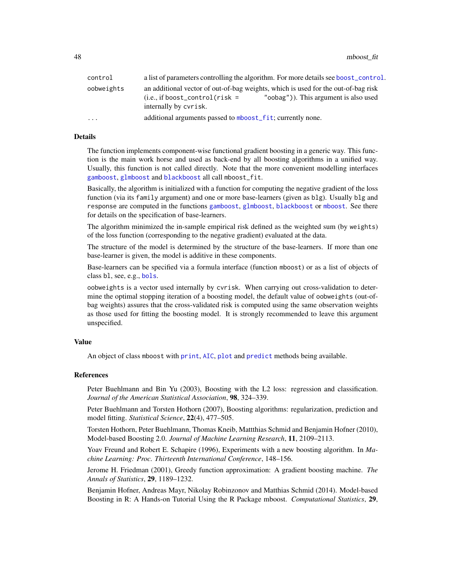<span id="page-47-0"></span>

| control    | a list of parameters controlling the algorithm. For more details see boost_control.                                                                                                     |
|------------|-----------------------------------------------------------------------------------------------------------------------------------------------------------------------------------------|
| oobweights | an additional vector of out-of-bag weights, which is used for the out-of-bag risk<br>"oobag")). This argument is also used<br>$(i.e., if boost-control(risk =$<br>internally by cyrisk. |
| $\ddots$ . | additional arguments passed to mboost_fit; currently none.                                                                                                                              |

# Details

The function implements component-wise functional gradient boosting in a generic way. This function is the main work horse and used as back-end by all boosting algorithms in a unified way. Usually, this function is not called directly. Note that the more convenient modelling interfaces [gamboost](#page-44-1), [glmboost](#page-40-1) and [blackboost](#page-20-1) all call mboost\_fit.

Basically, the algorithm is initialized with a function for computing the negative gradient of the loss function (via its family argument) and one or more base-learners (given as blg). Usually blg and response are computed in the functions [gamboost](#page-44-1), [glmboost](#page-40-1), [blackboost](#page-20-1) or [mboost](#page-44-2). See there for details on the specification of base-learners.

The algorithm minimized the in-sample empirical risk defined as the weighted sum (by weights) of the loss function (corresponding to the negative gradient) evaluated at the data.

The structure of the model is determined by the structure of the base-learners. If more than one base-learner is given, the model is additive in these components.

Base-learners can be specified via a formula interface (function mboost) or as a list of objects of class bl, see, e.g., [bols](#page-6-1).

oobweights is a vector used internally by cvrisk. When carrying out cross-validation to determine the optimal stopping iteration of a boosting model, the default value of oobweights (out-ofbag weights) assures that the cross-validated risk is computed using the same observation weights as those used for fitting the boosting model. It is strongly recommended to leave this argument unspecified.

# Value

An object of class mboost with [print](#page-0-0), [AIC](#page-0-0), [plot](#page-56-2) and [predict](#page-0-0) methods being available.

#### References

Peter Buehlmann and Bin Yu (2003), Boosting with the L2 loss: regression and classification. *Journal of the American Statistical Association*, 98, 324–339.

Peter Buehlmann and Torsten Hothorn (2007), Boosting algorithms: regularization, prediction and model fitting. *Statistical Science*, 22(4), 477–505.

Torsten Hothorn, Peter Buehlmann, Thomas Kneib, Mattthias Schmid and Benjamin Hofner (2010), Model-based Boosting 2.0. *Journal of Machine Learning Research*, 11, 2109–2113.

Yoav Freund and Robert E. Schapire (1996), Experiments with a new boosting algorithm. In *Machine Learning: Proc. Thirteenth International Conference*, 148–156.

Jerome H. Friedman (2001), Greedy function approximation: A gradient boosting machine. *The Annals of Statistics*, 29, 1189–1232.

Benjamin Hofner, Andreas Mayr, Nikolay Robinzonov and Matthias Schmid (2014). Model-based Boosting in R: A Hands-on Tutorial Using the R Package mboost. *Computational Statistics*, 29,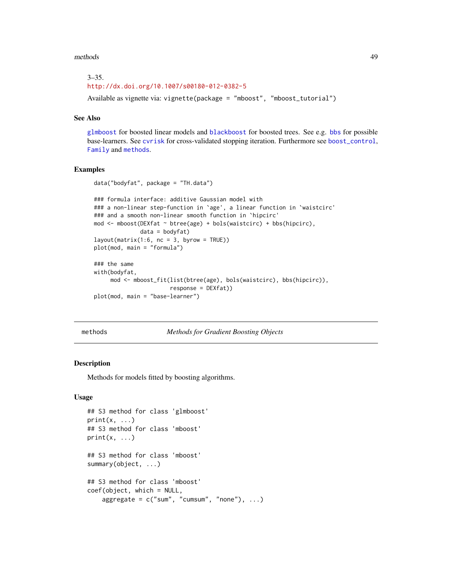#### <span id="page-48-0"></span>methods 49

 $3 - 35.$ <http://dx.doi.org/10.1007/s00180-012-0382-5> Available as vignette via: vignette(package = "mboost", "mboost\_tutorial")

# See Also

[glmboost](#page-40-1) for boosted linear models and [blackboost](#page-20-1) for boosted trees. See e.g. [bbs](#page-6-1) for possible base-learners. See [cvrisk](#page-27-1) for cross-validated stopping iteration. Furthermore see [boost\\_control](#page-23-1), [Family](#page-31-2) and [methods](#page-48-1).

# Examples

```
data("bodyfat", package = "TH.data")
```

```
### formula interface: additive Gaussian model with
### a non-linear step-function in `age', a linear function in `waistcirc'
### and a smooth non-linear smooth function in `hipcirc'
mod <- mboost(DEXfat ~ btree(age) + bols(waistcirc) + bbs(hipcirc),
              data = bodyfat)
layout(matrix(1:6, nc = 3, byrow = TRUE))plot(mod, main = "formula")
### the same
with(bodyfat,
     mod <- mboost_fit(list(btree(age), bols(waistcirc), bbs(hipcirc)),
                       response = DEXfat))
plot(mod, main = "base-learner")
```
<span id="page-48-1"></span>methods *Methods for Gradient Boosting Objects*

# <span id="page-48-2"></span>Description

Methods for models fitted by boosting algorithms.

# Usage

```
## S3 method for class 'glmboost'
print(x, \ldots)## S3 method for class 'mboost'
print(x, \ldots)## S3 method for class 'mboost'
summary(object, ...)
## S3 method for class 'mboost'
coef(object, which = NULL,
    aggregate = c("sum", "cum", "none"), ...)
```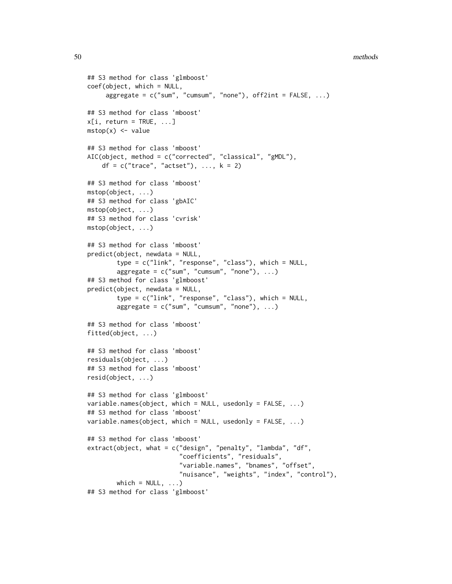#### 50 methods

```
## S3 method for class 'glmboost'
coef(object, which = NULL,
     aggregate = c("sum", "cum", "none"), off2int = FALSE, ...)## S3 method for class 'mboost'
x[i, return = TRUE, ...]mstop(x) < - value
## S3 method for class 'mboost'
AIC(object, method = c("corrected", "classical", "gMDL"),
    df = c("trace", "acts"), ..., k = 2)## S3 method for class 'mboost'
mstop(object, ...)
## S3 method for class 'gbAIC'
mstop(object, ...)
## S3 method for class 'cvrisk'
mstop(object, ...)
## S3 method for class 'mboost'
predict(object, newdata = NULL,
        type = c("link", "response", "class"), which = NULL,
        aggregate = c("sum", "cum", "none"), ...## S3 method for class 'glmboost'
predict(object, newdata = NULL,
        type = c("link", "response", "class"), which = NULL,
        aggregate = c("sum", "cum", "none"), ...)## S3 method for class 'mboost'
fitted(object, ...)
## S3 method for class 'mboost'
residuals(object, ...)
## S3 method for class 'mboost'
resid(object, ...)
## S3 method for class 'glmboost'
variable.names(object, which = NULL, usedonly = FALSE, ...)
## S3 method for class 'mboost'
variable.names(object, which = NULL, usedonly = FALSE, ...)
## S3 method for class 'mboost'
extract(object, what = c("design", "penalty", "lambda", "df",
                         "coefficients", "residuals",
                         "variable.names", "bnames", "offset",
                         "nuisance", "weights", "index", "control"),
        which = NULL, ...)## S3 method for class 'glmboost'
```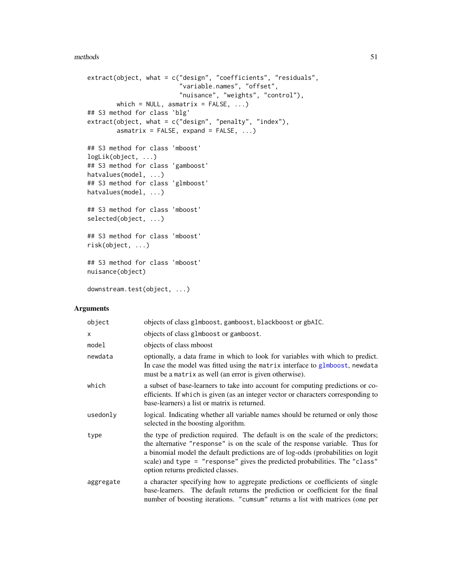```
extract(object, what = c("design", "coefficients", "residuals",
                         "variable.names", "offset",
                         "nuisance", "weights", "control"),
        which = NULL, asmatrix = FALSE, ...)
## S3 method for class 'blg'
extract(object, what = c("design", "penalty", "index"),
        asmatrix = FALSE, expand = FALSE, ...## S3 method for class 'mboost'
logLik(object, ...)
## S3 method for class 'gamboost'
hatvalues(model, ...)
## S3 method for class 'glmboost'
hatvalues(model, ...)
## S3 method for class 'mboost'
selected(object, ...)
## S3 method for class 'mboost'
risk(object, ...)
## S3 method for class 'mboost'
```
nuisance(object)

downstream.test(object, ...)

# Arguments

| object    | objects of class glmboost, gamboost, blackboost or gbAIC.                                                                                                                                                                                                                                                                                                                |
|-----------|--------------------------------------------------------------------------------------------------------------------------------------------------------------------------------------------------------------------------------------------------------------------------------------------------------------------------------------------------------------------------|
| X         | objects of class glmboost or gamboost.                                                                                                                                                                                                                                                                                                                                   |
| model     | objects of class mboost                                                                                                                                                                                                                                                                                                                                                  |
| newdata   | optionally, a data frame in which to look for variables with which to predict.<br>In case the model was fitted using the matrix interface to glmboost, newdata<br>must be a matrix as well (an error is given otherwise).                                                                                                                                                |
| which     | a subset of base-learners to take into account for computing predictions or co-<br>efficients. If which is given (as an integer vector or characters corresponding to<br>base-learners) a list or matrix is returned.                                                                                                                                                    |
| usedonly  | logical. Indicating whether all variable names should be returned or only those<br>selected in the boosting algorithm.                                                                                                                                                                                                                                                   |
| type      | the type of prediction required. The default is on the scale of the predictors;<br>the alternative "response" is on the scale of the response variable. Thus for<br>a binomial model the default predictions are of log-odds (probabilities on logit<br>scale) and type = "response" gives the predicted probabilities. The "class"<br>option returns predicted classes. |
| aggregate | a character specifying how to aggregate predictions or coefficients of single<br>base-learners. The default returns the prediction or coefficient for the final<br>number of boosting iterations. "cumsum" returns a list with matrices (one per                                                                                                                         |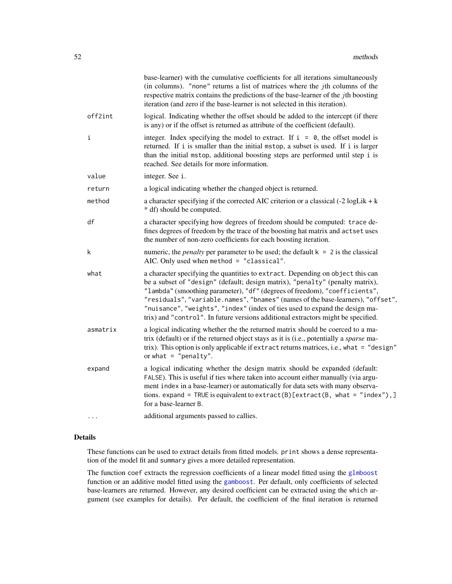<span id="page-51-0"></span>

|          | base-learner) with the cumulative coefficients for all iterations simultaneously<br>(in columns). "none" returns a list of matrices where the <i>j</i> th columns of the<br>respective matrix contains the predictions of the base-learner of the jth boosting<br>iteration (and zero if the base-learner is not selected in this iteration).                                                                                                                                                        |
|----------|------------------------------------------------------------------------------------------------------------------------------------------------------------------------------------------------------------------------------------------------------------------------------------------------------------------------------------------------------------------------------------------------------------------------------------------------------------------------------------------------------|
| off2int  | logical. Indicating whether the offset should be added to the intercept (if there<br>is any) or if the offset is returned as attribute of the coefficient (default).                                                                                                                                                                                                                                                                                                                                 |
| i        | integer. Index specifying the model to extract. If $i = 0$ , the offset model is<br>returned. If i is smaller than the initial mstop, a subset is used. If i is larger<br>than the initial mstop, additional boosting steps are performed until step i is<br>reached. See details for more information.                                                                                                                                                                                              |
| value    | integer. See i.                                                                                                                                                                                                                                                                                                                                                                                                                                                                                      |
| return   | a logical indicating whether the changed object is returned.                                                                                                                                                                                                                                                                                                                                                                                                                                         |
| method   | a character specifying if the corrected AIC criterion or a classical $(-2 \log \text{Lik} + \text{k})$<br>* df) should be computed.                                                                                                                                                                                                                                                                                                                                                                  |
| df       | a character specifying how degrees of freedom should be computed: trace de-<br>fines degrees of freedom by the trace of the boosting hat matrix and actset uses<br>the number of non-zero coefficients for each boosting iteration.                                                                                                                                                                                                                                                                  |
| k        | numeric, the <i>penalty</i> per parameter to be used; the default $k = 2$ is the classical<br>AIC. Only used when method = "classical".                                                                                                                                                                                                                                                                                                                                                              |
| what     | a character specifying the quantities to extract. Depending on object this can<br>be a subset of "design" (default; design matrix), "penalty" (penalty matrix),<br>"lambda" (smoothing parameter), "df" (degrees of freedom), "coefficients",<br>"residuals", "variable.names", "bnames" (names of the base-learners), "offset",<br>"nuisance", "weights", "index" (index of ties used to expand the design ma-<br>trix) and "control". In future versions additional extractors might be specified. |
| asmatrix | a logical indicating whether the the returned matrix should be coerced to a ma-<br>trix (default) or if the returned object stays as it is (i.e., potentially a sparse ma-<br>trix). This option is only applicable if extract returns matrices, i.e., what = "design"<br>or what $=$ "penalty".                                                                                                                                                                                                     |
| expand   | a logical indicating whether the design matrix should be expanded (default:<br>FALSE). This is useful if ties where taken into account either manually (via argu-<br>ment index in a base-learner) or automatically for data sets with many observa-<br>tions. expand = TRUE is equivalent to extract(B)[extract(B, what = "index"),]<br>for a base-learner B.                                                                                                                                       |
| .        | additional arguments passed to callies.                                                                                                                                                                                                                                                                                                                                                                                                                                                              |

# Details

These functions can be used to extract details from fitted models. print shows a dense representation of the model fit and summary gives a more detailed representation.

The function coef extracts the regression coefficients of a linear model fitted using the [glmboost](#page-40-1) function or an additive model fitted using the [gamboost](#page-44-1). Per default, only coefficients of selected base-learners are returned. However, any desired coefficient can be extracted using the which argument (see examples for details). Per default, the coefficient of the final iteration is returned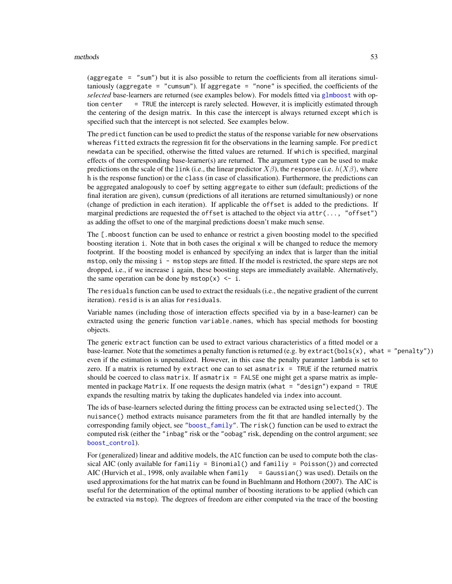### <span id="page-52-0"></span>methods 53

(aggregate = "sum") but it is also possible to return the coefficients from all iterations simultaniously (aggregate = "cumsum"). If aggregate = "none" is specified, the coefficients of the *selected* base-learners are returned (see examples below). For models fitted via [glmboost](#page-40-1) with option center = TRUE the intercept is rarely selected. However, it is implicitly estimated through the centering of the design matrix. In this case the intercept is always returned except which is specified such that the intercept is not selected. See examples below.

The predict function can be used to predict the status of the response variable for new observations whereas fitted extracts the regression fit for the observations in the learning sample. For predict newdata can be specified, otherwise the fitted values are returned. If which is specified, marginal effects of the corresponding base-learner(s) are returned. The argument type can be used to make predictions on the scale of the link (i.e., the linear predictor  $X\beta$ ), the response (i.e.  $h(X\beta)$ , where h is the response function) or the class (in case of classification). Furthermore, the predictions can be aggregated analogously to coef by setting aggregate to either sum (default; predictions of the final iteration are given), cumsum (predictions of all iterations are returned simultaniously) or none (change of prediction in each iteration). If applicable the offset is added to the predictions. If marginal predictions are requested the offset is attached to the object via  $attr(..., "offset")$ as adding the offset to one of the marginal predictions doesn't make much sense.

The [.mboost function can be used to enhance or restrict a given boosting model to the specified boosting iteration i. Note that in both cases the original x will be changed to reduce the memory footprint. If the boosting model is enhanced by specifying an index that is larger than the initial mstop, only the missing i - mstop steps are fitted. If the model is restricted, the spare steps are not dropped, i.e., if we increase i again, these boosting steps are immediately available. Alternatively, the same operation can be done by  $mstop(x) < -i$ .

The residuals function can be used to extract the residuals (i.e., the negative gradient of the current iteration). resid is is an alias for residuals.

Variable names (including those of interaction effects specified via by in a base-learner) can be extracted using the generic function variable.names, which has special methods for boosting objects.

The generic extract function can be used to extract various characteristics of a fitted model or a base-learner. Note that the sometimes a penalty function is returned (e.g. by extract(bols(x), what = "penalty")) even if the estimation is unpenalized. However, in this case the penalty paramter lambda is set to zero. If a matrix is returned by extract one can to set asmatrix = TRUE if the returned matrix should be coerced to class matrix. If asmatrix  $=$  FALSE one might get a sparse matrix as implemented in package Matrix. If one requests the design matrix (what  $=$  "design") expand  $=$  TRUE expands the resulting matrix by taking the duplicates handeled via index into account.

The ids of base-learners selected during the fitting process can be extracted using selected(). The nuisance() method extracts nuisance parameters from the fit that are handled internally by the corresponding family object, see ["boost\\_family"](#page-24-1). The risk() function can be used to extract the computed risk (either the "inbag" risk or the "oobag" risk, depending on the control argument; see [boost\\_control](#page-23-1)).

For (generalized) linear and additive models, the AIC function can be used to compute both the classical AIC (only available for familiy = Binomial() and familiy = Poisson()) and corrected AIC (Hurvich et al., 1998, only available when  $f$  amily = Gaussian() was used). Details on the used approximations for the hat matrix can be found in Buehlmann and Hothorn (2007). The AIC is useful for the determination of the optimal number of boosting iterations to be applied (which can be extracted via mstop). The degrees of freedom are either computed via the trace of the boosting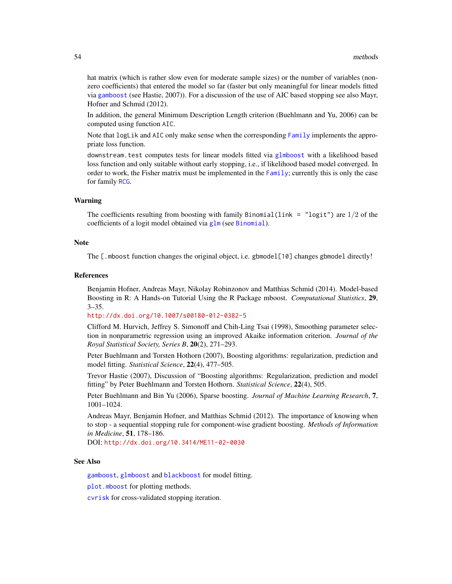<span id="page-53-0"></span>hat matrix (which is rather slow even for moderate sample sizes) or the number of variables (nonzero coefficients) that entered the model so far (faster but only meaningful for linear models fitted via [gamboost](#page-44-1) (see Hastie, 2007)). For a discussion of the use of AIC based stopping see also Mayr, Hofner and Schmid (2012).

In addition, the general Minimum Description Length criterion (Buehlmann and Yu, 2006) can be computed using function AIC.

Note that logLik and AIC only make sense when the corresponding [Family](#page-31-2) implements the appropriate loss function.

downstream.test computes tests for linear models fitted via [glmboost](#page-40-1) with a likelihood based loss function and only suitable without early stopping, i.e., if likelihood based model converged. In order to work, the Fisher matrix must be implemented in the [Family](#page-31-2); currently this is only the case for family [RCG](#page-31-1).

# Warning

The coefficients resulting from boosting with family Binomial(link = "logit") are  $1/2$  of the coefficients of a logit model obtained via [glm](#page-0-0) (see [Binomial](#page-31-1)).

#### Note

The [.mboost function changes the original object, i.e. gbmodel[10] changes gbmodel directly!

#### References

Benjamin Hofner, Andreas Mayr, Nikolay Robinzonov and Matthias Schmid (2014). Model-based Boosting in R: A Hands-on Tutorial Using the R Package mboost. *Computational Statistics*, 29,  $3 - 35.$ 

<http://dx.doi.org/10.1007/s00180-012-0382-5>

Clifford M. Hurvich, Jeffrey S. Simonoff and Chih-Ling Tsai (1998), Smoothing parameter selection in nonparametric regression using an improved Akaike information criterion. *Journal of the Royal Statistical Society, Series B*, 20(2), 271–293.

Peter Buehlmann and Torsten Hothorn (2007), Boosting algorithms: regularization, prediction and model fitting. *Statistical Science*, 22(4), 477–505.

Trevor Hastie (2007), Discussion of "Boosting algorithms: Regularization, prediction and model fitting" by Peter Buehlmann and Torsten Hothorn. *Statistical Science*, 22(4), 505.

Peter Buehlmann and Bin Yu (2006), Sparse boosting. *Journal of Machine Learning Research*, 7, 1001–1024.

Andreas Mayr, Benjamin Hofner, and Matthias Schmid (2012). The importance of knowing when to stop - a sequential stopping rule for component-wise gradient boosting. *Methods of Information in Medicine*, 51, 178–186.

DOI: <http://dx.doi.org/10.3414/ME11-02-0030>

# See Also

[gamboost](#page-44-1), [glmboost](#page-40-1) and [blackboost](#page-20-1) for model fitting.

[plot.mboost](#page-56-1) for plotting methods.

[cvrisk](#page-27-1) for cross-validated stopping iteration.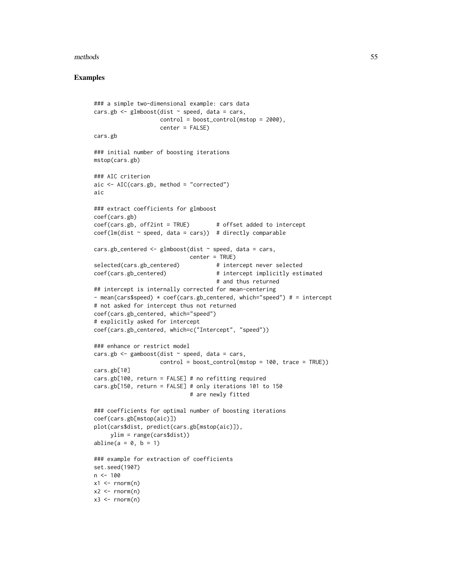#### methods 55

# Examples

```
### a simple two-dimensional example: cars data
cars.gb <- glmboost(dist ~ speed, data = cars,
                    control = boost_countrol(mstop = 2000),
                    center = FALSE)
cars.gb
### initial number of boosting iterations
mstop(cars.gb)
### AIC criterion
aic <- AIC(cars.gb, method = "corrected")
aic
### extract coefficients for glmboost
coef(cars.gb)
coef(cars.gb, off2int = TRUE) # offset added to intercept
coeff(lm(dist \sim speed, data = cars)) # directly comparable
cars.gb_centered \leq glmboost(dist \sim speed, data = cars,
                             center = TRUE)
selected(cars.gb_centered) # intercept never selected
coef(cars.gb_centered) \qquad \qquad \qquad \qquad \text{intercept implicitly estimated}# and thus returned
## intercept is internally corrected for mean-centering
- mean(cars$speed) * coef(cars.gb_centered, which="speed") # = intercept
# not asked for intercept thus not returned
coef(cars.gb_centered, which="speed")
# explicitly asked for intercept
coef(cars.gb_centered, which=c("Intercept", "speed"))
### enhance or restrict model
cars.gb \leq gamboost(dist \sim speed, data = cars,
                    control = boost_countrol(mstop = 100, trace = TRUE))cars.gb[10]
cars.gb[100, return = FALSE] # no refitting required
cars.gb[150, return = FALSE] # only iterations 101 to 150
                             # are newly fitted
### coefficients for optimal number of boosting iterations
coef(cars.gb[mstop(aic)])
plot(cars$dist, predict(cars.gb[mstop(aic)]),
     ylim = range(cars$dist))
abline(a = 0, b = 1)### example for extraction of coefficients
set.seed(1907)
n < -100x1 \leftarrow \text{norm}(n)x2 \le- rnorm(n)x3 \le- rnorm(n)
```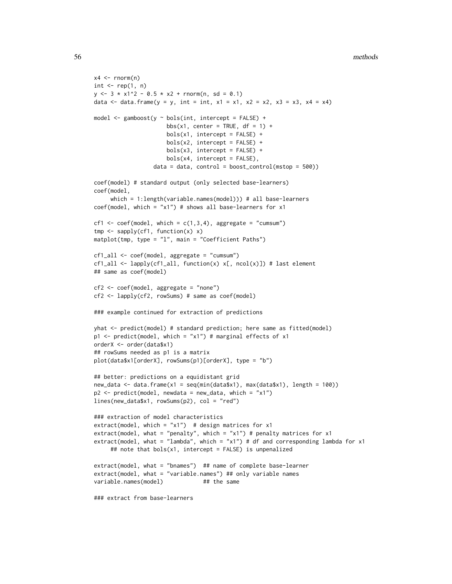```
x4 \le- rnorm(n)int \leq rep(1, n)
y \le -3 \times x1^2 - 0.5 \times x2 + \text{rnorm}(n, \text{sd} = 0.1)data <- data.frame(y = y, int = int, x1 = x1, x2 = x2, x3 = x3, x4 = x4)
model \leq gamboost(y \sim bols(int, intercept = FALSE) +
                      bbs(x1, center = TRUE, df = 1) +
                      bols(x1, intercept = FALSE) +bols(x2, intercept = FALSE) +bols(x3, intercept = FALSE) +bols(x4, intercept = FALSE),data = data, control = boost_countol(mstop = 500))coef(model) # standard output (only selected base-learners)
coef(model,
     which = 1:length(variable.names(model))) # all base-learners
coef(model, which = "x1") # shows all base-learning for x1cf1 <- coef(model, which = c(1,3,4), aggregate = "cumsum")
tmp \leftarrow supply(cf1, function(x) x)matplot(tmp, type = "l", main = "Coefficient Paths")
cf1_all <- coef(model, aggregate = "cumsum")
cf1_all <- lapply(cf1_all, function(x) x[, ncol(x)]) # last element
## same as coef(model)
cf2 <- coef(model, aggregate = "none")
cf2 <- lapply(cf2, rowSums) # same as coef(model)
### example continued for extraction of predictions
yhat <- predict(model) # standard prediction; here same as fitted(model)
p1 <- predict(model, which = "x1") # marginal effects of x1
orderX <- order(data$x1)
## rowSums needed as p1 is a matrix
plot(data$x1[orderX], rowSums(p1)[orderX], type = "b")
## better: predictions on a equidistant grid
new_data <- data.frame(x1 = seq(min(data$x1), max(data$x1), length = 100))
p2 \le predict(model, newdata = new_data, which = "x1")
lines(new_data$x1, rowSums(p2), col = "red")
### extraction of model characteristics
extract(model, which = "x1") # design matrices for x1
extract(model, what = "penalty", which = "x1") # penalty matrices for x1
extract(model, what = "lambda", which = "x1") # df and corresponding lambda for x1
     ## note that bols(x1, intercept = FALSE) is unpenalized
extract(model, what = "bnames") ## name of complete base-learner
extract(model, what = "variable.names") ## only variable names
variable.names(model) ## the same
### extract from base-learners
```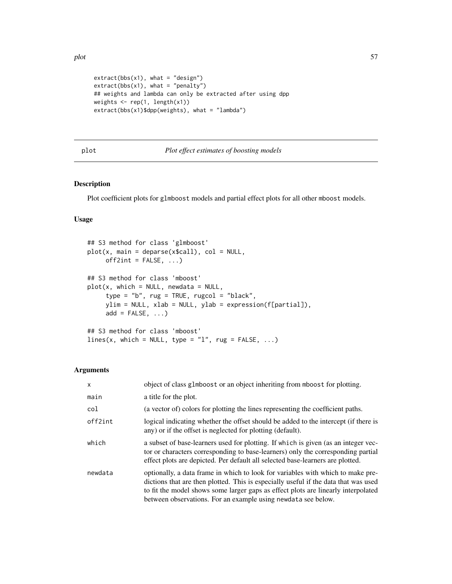```
extract(bbs(x1), what = "design")extract(bbs(x1), what = "penalty")## weights and lambda can only be extracted after using dpp
weights \leq rep(1, length(x1))
extract(bbs(x1)$dpp(weights), what = "lambda")
```
# <span id="page-56-2"></span>plot *Plot effect estimates of boosting models*

# <span id="page-56-1"></span>Description

Plot coefficient plots for glmboost models and partial effect plots for all other mboost models.

# Usage

```
## S3 method for class 'glmboost'
plot(x, main = deparse(x$call), col = NULL,
     off2int = FALSE, ...)## S3 method for class 'mboost'
plot(x, which = NULL, newdata = NULL,type = "b", rug = TRUE, rugcol = "black",
     ylim = NULL, xlab = NULL, ylab = expression(f[partial]),
     add = FALSE, ...)## S3 method for class 'mboost'
lines(x, which = NULL, type = "l", rug = FALSE, ...)
```
#### Arguments

| $\mathsf{x}$ | object of class glmboost or an object inheriting from mboost for plotting.                                                                                                                                                                                                                                                   |
|--------------|------------------------------------------------------------------------------------------------------------------------------------------------------------------------------------------------------------------------------------------------------------------------------------------------------------------------------|
| main         | a title for the plot.                                                                                                                                                                                                                                                                                                        |
| col          | (a vector of) colors for plotting the lines representing the coefficient paths.                                                                                                                                                                                                                                              |
| off2int      | logical indicating whether the offset should be added to the intercept (if there is<br>any) or if the offset is neglected for plotting (default).                                                                                                                                                                            |
| which        | a subset of base-learners used for plotting. If which is given (as an integer vec-<br>tor or characters corresponding to base-learners) only the corresponding partial<br>effect plots are depicted. Per default all selected base-learners are plotted.                                                                     |
| newdata      | optionally, a data frame in which to look for variables with which to make pre-<br>dictions that are then plotted. This is especially useful if the data that was used<br>to fit the model shows some larger gaps as effect plots are linearly interpolated<br>between observations. For an example using newdata see below. |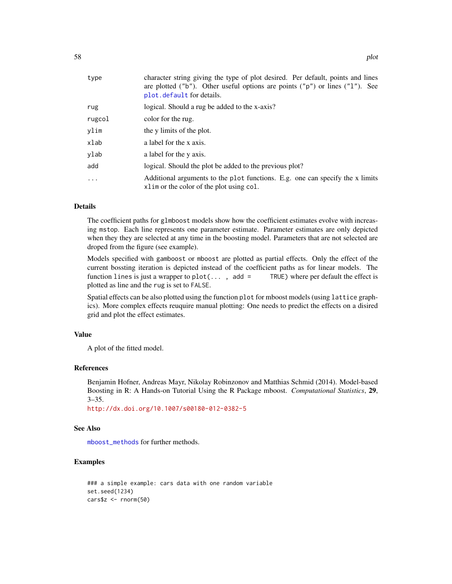<span id="page-57-0"></span>

| type   | character string giving the type of plot desired. Per default, points and lines<br>are plotted ("b"). Other useful options are points ("p") or lines (" $1$ "). See<br>plot.default for details. |
|--------|--------------------------------------------------------------------------------------------------------------------------------------------------------------------------------------------------|
| rug    | logical. Should a rug be added to the x-axis?                                                                                                                                                    |
| rugcol | color for the rug.                                                                                                                                                                               |
| vlim   | the y limits of the plot.                                                                                                                                                                        |
| xlab   | a label for the x axis.                                                                                                                                                                          |

| ylab | a label for the y axis.                                 |
|------|---------------------------------------------------------|
| add  | logical. Should the plot be added to the previous plot? |

... Additional arguments to the plot functions. E.g. one can specify the x limits xlim or the color of the plot using col.

# Details

The coefficient paths for glmboost models show how the coefficient estimates evolve with increasing mstop. Each line represents one parameter estimate. Parameter estimates are only depicted when they they are selected at any time in the boosting model. Parameters that are not selected are droped from the figure (see example).

Models specified with gamboost or mboost are plotted as partial effects. Only the effect of the current bossting iteration is depicted instead of the coefficient paths as for linear models. The function lines is just a wrapper to plot( $\dots$ , add = TRUE) where per default the effect is plotted as line and the rug is set to FALSE.

Spatial effects can be also plotted using the function plot for mboost models (using lattice graphics). More complex effects reuquire manual plotting: One needs to predict the effects on a disired grid and plot the effect estimates.

# Value

A plot of the fitted model.

#### References

Benjamin Hofner, Andreas Mayr, Nikolay Robinzonov and Matthias Schmid (2014). Model-based Boosting in R: A Hands-on Tutorial Using the R Package mboost. *Computational Statistics*, 29, 3–35.

<http://dx.doi.org/10.1007/s00180-012-0382-5>

# See Also

[mboost\\_methods](#page-48-2) for further methods.

# Examples

```
### a simple example: cars data with one random variable
set.seed(1234)
cars$z < -rnorm(50)
```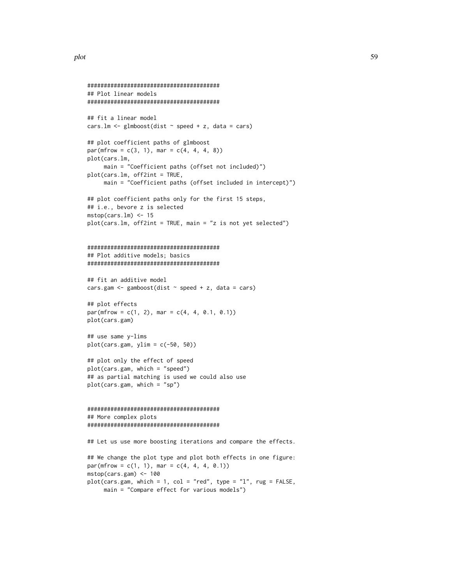```
########################################
## Plot linear models
########################################
## fit a linear model
cars.lm \leq glmboost(dist \sim speed + z, data = cars)
## plot coefficient paths of glmboost
par(mfrow = c(3, 1), mar = c(4, 4, 4, 8))plot(cars.lm,
     main = "Coefficient paths (offset not included)")
plot(cars.lm, off2int = TRUE,
     main = "Coefficient paths (offset included in intercept)")
## plot coefficient paths only for the first 15 steps,
## i.e., bevore z is selected
mstop(cars.lm) <- 15
plot(cars.lm, off2int = TRUE, main = "z is not yet selected")
########################################
```

```
## Plot additive models; basics
########################################
```

```
## fit an additive model
cars.gam \leq gamboost(dist \sim speed + z, data = cars)
```

```
## plot effects
par(mfrow = c(1, 2), mar = c(4, 4, 0.1, 0.1))plot(cars.gam)
```

```
## use same y-lims
plot(cars.gam, ylim = c(-50, 50))
```

```
## plot only the effect of speed
plot(cars.gam, which = "speed")
## as partial matching is used we could also use
plot(cars.gam, which = "sp")
```

```
########################################
## More complex plots
########################################
```
## Let us use more boosting iterations and compare the effects.

## We change the plot type and plot both effects in one figure:  $par(mfrow = c(1, 1), mar = c(4, 4, 4, 0.1))$ mstop(cars.gam) <- 100  $plot(cars.gam, which = 1, col = "red", type = "l", rug = FALSE,$ main = "Compare effect for various models")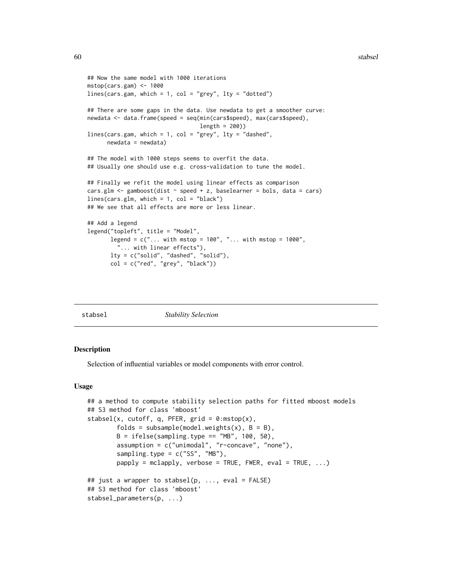```
## Now the same model with 1000 iterations
mstop(cars.gam) <- 1000
lines(cars.gam, which = 1, col = "grey", lty = "dotted")## There are some gaps in the data. Use newdata to get a smoother curve:
newdata <- data.frame(speed = seq(min(cars$speed), max(cars$speed),
                                  length = 200))
lines(cars.gam, which = 1, col = "grey", lty = "dashed",
      newdata = newdata)
## The model with 1000 steps seems to overfit the data.
## Usually one should use e.g. cross-validation to tune the model.
## Finally we refit the model using linear effects as comparison
cars.glm <- gamboost(dist \sim speed + z, baselearner = bols, data = cars)
lines(cars.glm, which = 1, col = "black")
## We see that all effects are more or less linear.
## Add a legend
legend("topleft", title = "Model",
       legend = c("... with mstop = 100", "... with mstop = 1000","... with linear effects"),
       lty = c("solid", "dashed", "solid"),
       col = c("red", "grey", "black"))
```
<span id="page-59-1"></span>

stabsel *Stability Selection*

# **Description**

Selection of influential variables or model components with error control.

#### Usage

```
## a method to compute stability selection paths for fitted mboost models
## S3 method for class 'mboost'
stabsel(x, cutoff, q, PFER, grid = 0:mstop(x),
        folds = subsample(model.weights(x), B = B),
       B = ifelse(sampling-type == "MB", 100, 50),assumption = c("unimodal", "r-concave", "none"),
        sampling.type = c("SS", "MB"),
        papply = mclapply, verbose = TRUE, FWER, eval = TRUE, \ldots)
## just a wrapper to stabsel(p, ..., eval = FALSE)
## S3 method for class 'mboost'
stabsel_parameters(p, ...)
```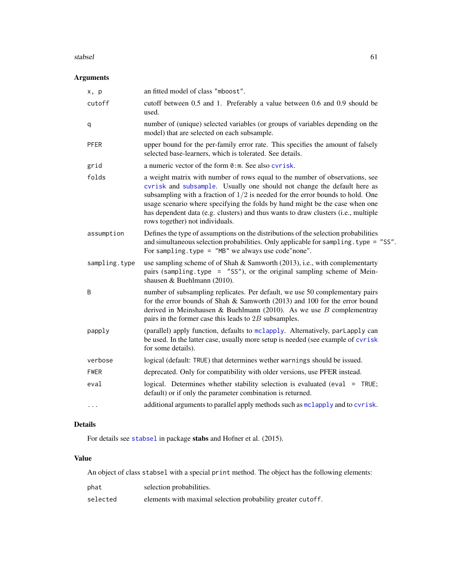#### <span id="page-60-0"></span>stabsel 61

# Arguments

| x, p          | an fitted model of class "mboost".                                                                                                                                                                                                                                                                                                                                                                                                                   |
|---------------|------------------------------------------------------------------------------------------------------------------------------------------------------------------------------------------------------------------------------------------------------------------------------------------------------------------------------------------------------------------------------------------------------------------------------------------------------|
| cutoff        | cutoff between 0.5 and 1. Preferably a value between 0.6 and 0.9 should be<br>used.                                                                                                                                                                                                                                                                                                                                                                  |
| q             | number of (unique) selected variables (or groups of variables depending on the<br>model) that are selected on each subsample.                                                                                                                                                                                                                                                                                                                        |
| PFER          | upper bound for the per-family error rate. This specifies the amount of falsely<br>selected base-learners, which is tolerated. See details.                                                                                                                                                                                                                                                                                                          |
| grid          | a numeric vector of the form $\theta$ : m. See also cyrisk.                                                                                                                                                                                                                                                                                                                                                                                          |
| folds         | a weight matrix with number of rows equal to the number of observations, see<br>cvrisk and subsample. Usually one should not change the default here as<br>subsampling with a fraction of $1/2$ is needed for the error bounds to hold. One<br>usage scenario where specifying the folds by hand might be the case when one<br>has dependent data (e.g. clusters) and thus wants to draw clusters (i.e., multiple<br>rows together) not individuals. |
| assumption    | Defines the type of assumptions on the distributions of the selection probabilities<br>and simultaneous selection probabilities. Only applicable for sampling. type = "SS".<br>For sampling. type = $"MB"$ we always use code" none".                                                                                                                                                                                                                |
| sampling.type | use sampling scheme of of Shah & Samworth (2013), i.e., with complementarty<br>pairs (sampling.type = "SS"), or the original sampling scheme of Mein-<br>shausen & Buehlmann (2010).                                                                                                                                                                                                                                                                 |
| B             | number of subsampling replicates. Per default, we use 50 complementary pairs<br>for the error bounds of Shah & Samworth (2013) and 100 for the error bound<br>derived in Meinshausen & Buehlmann (2010). As we use $B$ complementray<br>pairs in the former case this leads to $2B$ subsamples.                                                                                                                                                      |
| papply        | (parallel) apply function, defaults to mclapply. Alternatively, parLapply can<br>be used. In the latter case, usually more setup is needed (see example of cyrisk<br>for some details).                                                                                                                                                                                                                                                              |
| verbose       | logical (default: TRUE) that determines wether warnings should be issued.                                                                                                                                                                                                                                                                                                                                                                            |
| <b>FWER</b>   | deprecated. Only for compatibility with older versions, use PFER instead.                                                                                                                                                                                                                                                                                                                                                                            |
| eval          | logical. Determines whether stability selection is evaluated (eval = TRUE;<br>default) or if only the parameter combination is returned.                                                                                                                                                                                                                                                                                                             |
| $\cdots$      | additional arguments to parallel apply methods such as mclapply and to cvrisk.                                                                                                                                                                                                                                                                                                                                                                       |
|               |                                                                                                                                                                                                                                                                                                                                                                                                                                                      |

# Details

For details see [stabsel](#page-59-1) in package stabs and Hofner et al. (2015).

# Value

An object of class stabsel with a special print method. The object has the following elements:

| phat     | selection probabilities.                                    |
|----------|-------------------------------------------------------------|
| selected | elements with maximal selection probability greater cutoff. |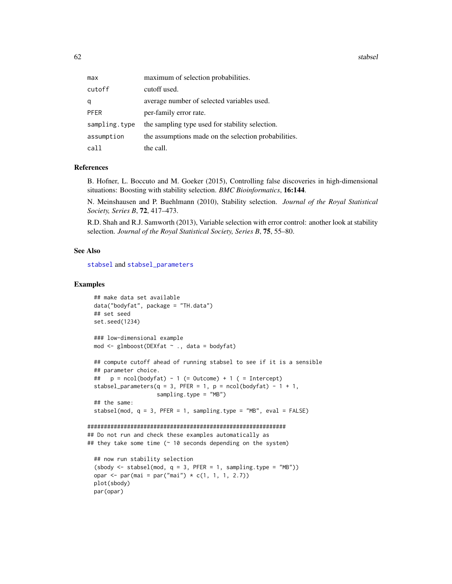<span id="page-61-0"></span>62 stabsel

| max           | maximum of selection probabilities.                  |
|---------------|------------------------------------------------------|
| cutoff        | cutoff used.                                         |
| q             | average number of selected variables used.           |
| <b>PFER</b>   | per-family error rate.                               |
| sampling.type | the sampling type used for stability selection.      |
| assumption    | the assumptions made on the selection probabilities. |
| call          | the call.                                            |

# References

B. Hofner, L. Boccuto and M. Goeker (2015), Controlling false discoveries in high-dimensional situations: Boosting with stability selection. *BMC Bioinformatics*, 16:144.

N. Meinshausen and P. Buehlmann (2010), Stability selection. *Journal of the Royal Statistical Society, Series B*, 72, 417–473.

R.D. Shah and R.J. Samworth (2013), Variable selection with error control: another look at stability selection. *Journal of the Royal Statistical Society, Series B*, 75, 55–80.

# See Also

[stabsel](#page-59-1) and [stabsel\\_parameters](#page-0-0)

# Examples

```
## make data set available
 data("bodyfat", package = "TH.data")
 ## set seed
 set.seed(1234)
 ### low-dimensional example
 mod <- glmboost(DEXfat ~ ., data = bodyfat)
 ## compute cutoff ahead of running stabsel to see if it is a sensible
 ## parameter choice.
 ## p = ncol(bodyfat) - 1 (= Outcome) + 1 (= Interept)stabsel_parameters(q = 3, PFER = 1, p = ncol(bodyfat) - 1 + 1,
                    sampling.type = "MB")
 ## the same:
 stabsel(mod, q = 3, PFER = 1, sampling.type = "MB", eval = FALSE)
############################################################
## Do not run and check these examples automatically as
## they take some time (~ 10 seconds depending on the system)
 ## now run stability selection
  (sbody \leq stabsel(mod, q = 3, PFER = 1, sampling-type = "MB")opar <- par(mai = par("mai") * c(1, 1, 1, 2.7))
 plot(sbody)
 par(opar)
```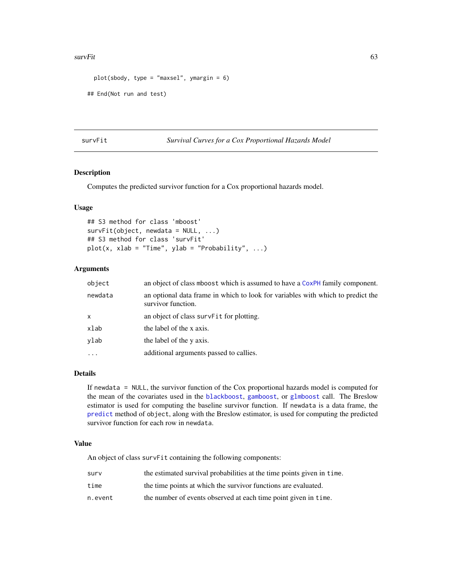#### <span id="page-62-0"></span>survFit 63

```
plot(sbody, type = "maxsel", ymargin = 6)
## End(Not run and test)
```
#### survFit *Survival Curves for a Cox Proportional Hazards Model*

# Description

Computes the predicted survivor function for a Cox proportional hazards model.

# Usage

```
## S3 method for class 'mboost'
survFit(object, newdata = NULL, ...)
## S3 method for class 'survFit'
plot(x, xlab = "Time", ylab = "Probability", ...)
```
# Arguments

| object   | an object of class mboost which is assumed to have a CoxPH family component.                          |
|----------|-------------------------------------------------------------------------------------------------------|
| newdata  | an optional data frame in which to look for variables with which to predict the<br>survivor function. |
| x        | an object of class survers for plotting.                                                              |
| xlab     | the label of the x axis.                                                                              |
| ylab     | the label of the y axis.                                                                              |
| $\cdots$ | additional arguments passed to callies.                                                               |

# Details

If newdata = NULL, the survivor function of the Cox proportional hazards model is computed for the mean of the covariates used in the [blackboost](#page-20-1), [gamboost](#page-44-1), or [glmboost](#page-40-1) call. The Breslow estimator is used for computing the baseline survivor function. If newdata is a data frame, the [predict](#page-0-0) method of object, along with the Breslow estimator, is used for computing the predicted survivor function for each row in newdata.

# Value

An object of class survFit containing the following components:

| surv    | the estimated survival probabilities at the time points given in time. |
|---------|------------------------------------------------------------------------|
| time    | the time points at which the survivor functions are evaluated.         |
| n.event | the number of events observed at each time point given in time.        |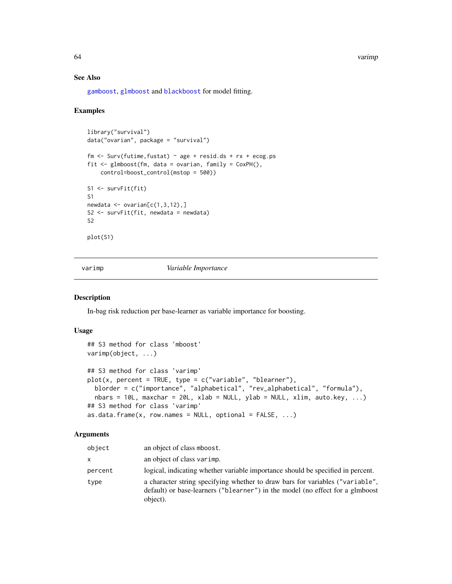64 varimp

# See Also

[gamboost](#page-44-1), [glmboost](#page-40-1) and [blackboost](#page-20-1) for model fitting.

# Examples

```
library("survival")
data("ovarian", package = "survival")
fm \le Surv(futime, fustat) \sim age + resid.ds + rx + ecog.ps
fit \leq glmboost(fm, data = ovarian, family = CoxPH(),
   control=boost_control(mstop = 500))
S1 <- survFit(fit)
S1
newdata < -ovarian[c(1,3,12),]S2 <- survFit(fit, newdata = newdata)
S2
plot(S1)
```
varimp *Variable Importance*

# Description

In-bag risk reduction per base-learner as variable importance for boosting.

# Usage

```
## S3 method for class 'mboost'
varimp(object, ...)
## S3 method for class 'varimp'
plot(x, percent = TRUE, type = c("variable", "blearner"),blorder = c("importance", "alphabetical", "rev_alphabetical", "formula"),
  nbars = 10L, maxchar = 20L, xlab = NULL, ylab = NULL, xlim, auto.key, ...)
## S3 method for class 'varimp'
as.data.frame(x, row.names = NULL, optional = FALSE, ...)
```
# Arguments

| object  | an object of class mboost.                                                                                                                                                 |
|---------|----------------------------------------------------------------------------------------------------------------------------------------------------------------------------|
| x       | an object of class varimp.                                                                                                                                                 |
| percent | logical, indicating whether variable importance should be specified in percent.                                                                                            |
| type    | a character string specifying whether to draw bars for variables ("variable",<br>default) or base-learners ("blearner") in the model (no effect for a glmboost<br>object). |

<span id="page-63-0"></span>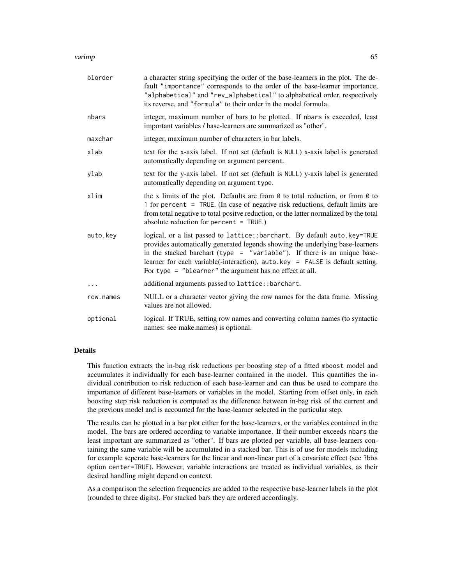#### varimp 65

| blorder   | a character string specifying the order of the base-learners in the plot. The de-<br>fault "importance" corresponds to the order of the base-learner importance,<br>"alphabetical" and "rev_alphabetical" to alphabetical order, respectively<br>its reverse, and "formula" to their order in the model formula.                                                                       |
|-----------|----------------------------------------------------------------------------------------------------------------------------------------------------------------------------------------------------------------------------------------------------------------------------------------------------------------------------------------------------------------------------------------|
| nbars     | integer, maximum number of bars to be plotted. If nbars is exceeded, least<br>important variables / base-learners are summarized as "other".                                                                                                                                                                                                                                           |
| maxchar   | integer, maximum number of characters in bar labels.                                                                                                                                                                                                                                                                                                                                   |
| xlab      | text for the x-axis label. If not set (default is NULL) x-axis label is generated<br>automatically depending on argument percent.                                                                                                                                                                                                                                                      |
| ylab      | text for the y-axis label. If not set (default is NULL) y-axis label is generated<br>automatically depending on argument type.                                                                                                                                                                                                                                                         |
| xlim      | the x limits of the plot. Defaults are from $\theta$ to total reduction, or from $\theta$ to<br>1 for percent = TRUE. (In case of negative risk reductions, default limits are<br>from total negative to total positve reduction, or the latter normalized by the total<br>absolute reduction for percent $=$ TRUE.)                                                                   |
| auto.key  | logical, or a list passed to lattice:: barchart. By default auto. key=TRUE<br>provides automatically generated legends showing the underlying base-learners<br>in the stacked barchart (type = "variable"). If there is an unique base-<br>learner for each variable(-interaction), auto.key = FALSE is default setting.<br>For type $=$ "blearner" the argument has no effect at all. |
|           | additional arguments passed to lattice:: barchart.                                                                                                                                                                                                                                                                                                                                     |
| row.names | NULL or a character vector giving the row names for the data frame. Missing<br>values are not allowed.                                                                                                                                                                                                                                                                                 |
| optional  | logical. If TRUE, setting row names and converting column names (to syntactic<br>names: see make.names) is optional.                                                                                                                                                                                                                                                                   |

# Details

This function extracts the in-bag risk reductions per boosting step of a fitted mboost model and accumulates it individually for each base-learner contained in the model. This quantifies the individual contribution to risk reduction of each base-learner and can thus be used to compare the importance of different base-learners or variables in the model. Starting from offset only, in each boosting step risk reduction is computed as the difference between in-bag risk of the current and the previous model and is accounted for the base-learner selected in the particular step.

The results can be plotted in a bar plot either for the base-learners, or the variables contained in the model. The bars are ordered according to variable importance. If their number exceeds nbars the least important are summarized as "other". If bars are plotted per variable, all base-learners containing the same variable will be accumulated in a stacked bar. This is of use for models including for example seperate base-learners for the linear and non-linear part of a covariate effect (see ?bbs option center=TRUE). However, variable interactions are treated as individual variables, as their desired handling might depend on context.

As a comparison the selection frequencies are added to the respective base-learner labels in the plot (rounded to three digits). For stacked bars they are ordered accordingly.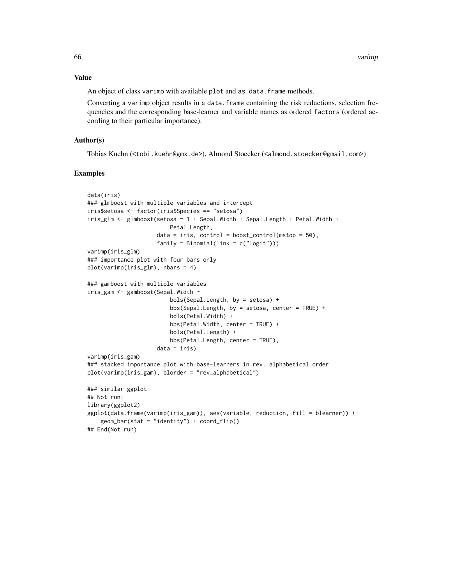# Value

An object of class varimp with available plot and as.data.frame methods.

Converting a varimp object results in a data. frame containing the risk reductions, selection frequencies and the corresponding base-learner and variable names as ordered factors (ordered according to their particular importance).

# Author(s)

Tobias Kuehn (<tobi.kuehn@gmx.de>), Almond Stoecker (<almond.stoecker@gmail.com>)

# Examples

```
data(iris)
### glmboost with multiple variables and intercept
iris$setosa <- factor(iris$Species == "setosa")
iris_glm <- glmboost(setosa ~ 1 + Sepal.Width + Sepal.Length + Petal.Width +
                        Petal.Length,
                     data = iris, control = boost-control(mstop = 50),family = Binomial(link = c("logit")))
varimp(iris_glm)
### importance plot with four bars only
plot(varimp(iris_glm), nbars = 4)
### gamboost with multiple variables
iris_gam <- gamboost(Sepal.Width ~
                         bols(Sepal.Length, by = setosa) +
                         bbs(Sepal.Length, by = setosa, center = TRUE) +
                         bols(Petal.Width) +
                         bbs(Petal.Width, center = TRUE) +
                         bols(Petal.Length) +
                         bbs(Petal.Length, center = TRUE),
                     data = iris)
varimp(iris_gam)
### stacked importance plot with base-learners in rev. alphabetical order
plot(varimp(iris_gam), blorder = "rev_alphabetical")
### similar ggplot
## Not run:
library(ggplot2)
ggplot(data.frame(varimp(iris_gam)), aes(variable, reduction, fill = blearner)) +
    geom_bar(stat = "identity") + coord_flip()
## End(Not run)
```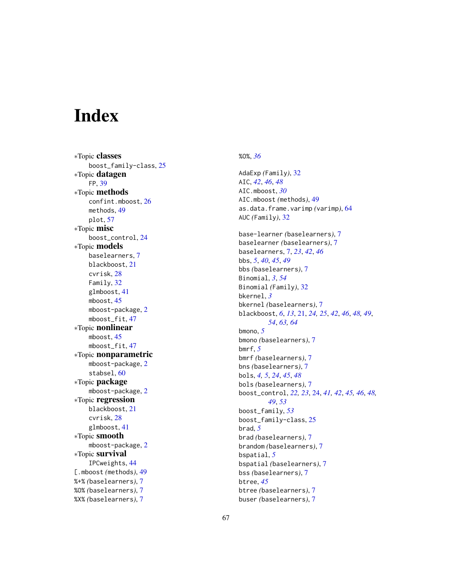# <span id="page-66-0"></span>**Index**

∗Topic classes boost\_family-class , [25](#page-24-0) ∗Topic datagen FP , [39](#page-38-0) ∗Topic methods confint.mboost , [26](#page-25-0) methods , [49](#page-48-0) plot , [57](#page-56-0) ∗Topic misc boost\_control , [24](#page-23-0) ∗Topic models baselearners , [7](#page-6-0) blackboost , [21](#page-20-0) cvrisk , [28](#page-27-0) Family, [32](#page-31-0) glmboost , [41](#page-40-0) mboost , [45](#page-44-0) mboost-package , [2](#page-1-0) mboost\_fit , [47](#page-46-0) ∗Topic nonlinear mboost , [45](#page-44-0) mboost\_fit , [47](#page-46-0) ∗Topic nonparametric mboost-package , [2](#page-1-0) stabsel, [60](#page-59-0) ∗Topic package mboost-package , [2](#page-1-0) ∗Topic regression blackboost , [21](#page-20-0) cvrisk , [28](#page-27-0) glmboost , [41](#page-40-0) ∗Topic smooth mboost-package , [2](#page-1-0) ∗Topic survival IPCweights , [44](#page-43-0) [.mboost *(*methods *)* , [49](#page-48-0) %+% *(*baselearners *)* , [7](#page-6-0) %O% *(*baselearners *)* , [7](#page-6-0) %X% *(*baselearners *)* , [7](#page-6-0)

# %O% , *[36](#page-35-0)*

AdaExp *(*Family *)* , [32](#page-31-0) AIC , *[42](#page-41-0)* , *[46](#page-45-0)* , *[48](#page-47-0)* AIC.mboost , *[30](#page-29-0)* AIC.mboost *(*methods *)* , [49](#page-48-0) as.data.frame.varimp *(*varimp *)* , [64](#page-63-0) AUC *(*Family *)* , [32](#page-31-0) base-learner *(*baselearners *)* , [7](#page-6-0) baselearner *(*baselearners *)* , [7](#page-6-0) baselearners , [7](#page-6-0) , *[23](#page-22-0)* , *[42](#page-41-0)* , *[46](#page-45-0)* bbs , *[5](#page-4-0)* , *[40](#page-39-0)* , *[45](#page-44-0)* , *[49](#page-48-0)* bbs *(*baselearners *)* , [7](#page-6-0) Binomial , *[3](#page-2-0)* , *[54](#page-53-0)* Binomial *(*Family *)* , [32](#page-31-0) bkernel , *[3](#page-2-0)* bkernel *(*baselearners *)* , [7](#page-6-0) blackboost, [6](#page-5-0), [13](#page-12-0), [21](#page-20-0), [24](#page-23-0), [25](#page-24-0), [42](#page-41-0), [46](#page-45-0), [48](#page-47-0), [49](#page-48-0), *[54](#page-53-0)* , *[63](#page-62-0) , [64](#page-63-0)* bmono , *[5](#page-4-0)* bmono *(*baselearners *)* , [7](#page-6-0) bmrf , *[5](#page-4-0)* bmrf *(*baselearners *)* , [7](#page-6-0) bns *(*baselearners *)* , [7](#page-6-0) bols , *[4](#page-3-0) , [5](#page-4-0)* , *[24](#page-23-0)* , *[45](#page-44-0)* , *[48](#page-47-0)* bols *(*baselearners *)* , [7](#page-6-0) boost\_control , *[22](#page-21-0) , [23](#page-22-0)* , [24](#page-23-0) , *[41](#page-40-0) , [42](#page-41-0)* , *[45](#page-44-0) , [46](#page-45-0)* , *[48](#page-47-0) , [49](#page-48-0)* , *[53](#page-52-0)* boost\_family , *[53](#page-52-0)* boost\_family-class , [25](#page-24-0) brad , *[5](#page-4-0)* brad *(*baselearners *)* , [7](#page-6-0) brandom *(*baselearners *)* , [7](#page-6-0) bspatial , *[5](#page-4-0)* bspatial *(*baselearners *)* , [7](#page-6-0) bss *(*baselearners *)* , [7](#page-6-0) btree , *[45](#page-44-0)* btree *(*baselearners *)* , [7](#page-6-0) buser *(*baselearners *)* , [7](#page-6-0)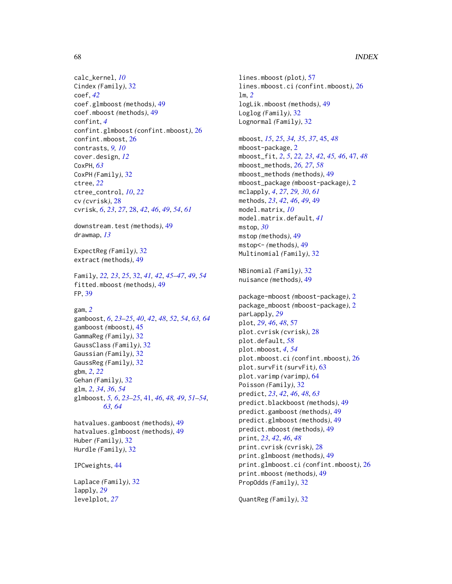```
calc_kernel, 10
Cindex (Family), 32
coef, 42
coef.glmboost (methods), 49
coef.mboost (methods), 49
confint, 4
confint.glmboost (confint.mboost), 26
confint.mboost, 26
contrasts, 9, 10
cover.design, 12
CoxPH, 63
CoxPH (Family), 32
ctree, 22
ctree_control, 10, 22
cv (cvrisk), 28
cvrisk, 6, 23, 27, 28, 42, 46, 49, 54, 61
```
downstream.test *(*methods*)*, [49](#page-48-0) drawmap, *[13](#page-12-0)*

ExpectReg *(*Family*)*, [32](#page-31-0) extract *(*methods*)*, [49](#page-48-0)

Family, *[22,](#page-21-0) [23](#page-22-0)*, *[25](#page-24-0)*, [32,](#page-31-0) *[41,](#page-40-0) [42](#page-41-0)*, *[45–](#page-44-0)[47](#page-46-0)*, *[49](#page-48-0)*, *[54](#page-53-0)* fitted.mboost *(*methods*)*, [49](#page-48-0) FP, [39](#page-38-0)

```
gam, 2
gamboost, 6, 23–25, 40, 42, 48, 52, 54, 63, 64
gamboost (mboost), 45
GammaReg (Family), 32
GaussClass (Family), 32
Gaussian (Family), 32
GaussReg (Family), 32
gbm, 2, 22
Gehan (Family), 32
glm, 2, 34, 36, 54
glmboost, 5, 6, 23–25, 41, 46, 48, 49, 51–54,
         63, 64
```
hatvalues.gamboost *(*methods*)*, [49](#page-48-0) hatvalues.glmboost *(*methods*)*, [49](#page-48-0) Huber *(*Family*)*, [32](#page-31-0) Hurdle *(*Family*)*, [32](#page-31-0)

IPCweights, [44](#page-43-0)

Laplace *(*Family*)*, [32](#page-31-0) lapply, *[29](#page-28-0)* levelplot, *[27](#page-26-0)*

lines.mboost *(*plot*)*, [57](#page-56-0) lines.mboost.ci *(*confint.mboost*)*, [26](#page-25-0) lm, *[2](#page-1-0)* logLik.mboost *(*methods*)*, [49](#page-48-0) Loglog *(*Family*)*, [32](#page-31-0) Lognormal *(*Family*)*, [32](#page-31-0)

```
mboost, 15, 25, 34, 35, 37, 45, 48
mboost-package, 2
mboost_fit, 2, 5, 22, 23, 42, 45, 46, 47, 48
mboost_methods, 26, 27, 58
mboost_methods (methods), 49
mboost_package (mboost-package), 2
mclapply, 4, 27, 29, 30, 61
methods, 23, 42, 46, 49, 49
model.matrix, 10
model.matrix.default, 41
mstop, 30
mstop (methods), 49
mstop<- (methods), 49
Multinomial (Family), 32
```
NBinomial *(*Family*)*, [32](#page-31-0) nuisance *(*methods*)*, [49](#page-48-0)

```
package-mboost (mboost-package), 2
package_mboost (mboost-package), 2
parLapply, 29
plot, 29, 46, 48, 57
plot.cvrisk (cvrisk), 28
plot.default, 58
plot.mboost, 4, 54
plot.mboost.ci (confint.mboost), 26
plot.survFit (survFit), 63
plot.varimp (varimp), 64
Poisson (Family), 32
predict, 23, 42, 46, 48, 63
predict.blackboost (methods), 49
predict.gamboost (methods), 49
predict.glmboost (methods), 49
predict.mboost (methods), 49
print, 23, 42, 46, 48
print.cvrisk (cvrisk), 28
print.glmboost (methods), 49
print.glmboost.ci (confint.mboost), 26
print.mboost (methods), 49
PropOdds (Family), 32
```
QuantReg *(*Family*)*, [32](#page-31-0)